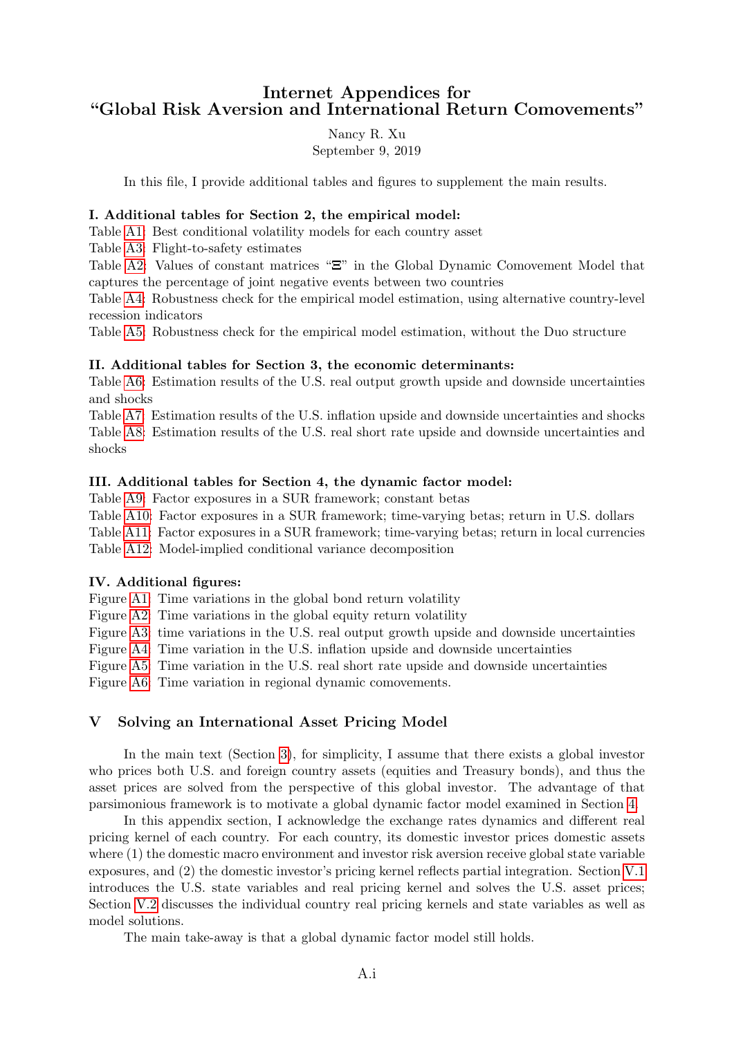# Internet Appendices for "Global Risk Aversion and International Return Comovements"

Nancy R. Xu

September 9, 2019

In this file, I provide additional tables and figures to supplement the main results.

### I. Additional tables for Section 2, the empirical model:

Table [A1:](#page--1-0) Best conditional volatility models for each country asset

Table [A3:](#page--1-0) Flight-to-safety estimates

Table [A2:](#page--1-0) Values of constant matrices "Ξ" in the Global Dynamic Comovement Model that captures the percentage of joint negative events between two countries

Table [A4:](#page--1-0) Robustness check for the empirical model estimation, using alternative country-level recession indicators

Table [A5:](#page--1-0) Robustness check for the empirical model estimation, without the Duo structure

### II. Additional tables for Section 3, the economic determinants:

Table [A6:](#page-15-0) Estimation results of the U.S. real output growth upside and downside uncertainties and shocks

Table [A7:](#page-16-0) Estimation results of the U.S. inflation upside and downside uncertainties and shocks Table [A8:](#page-17-0) Estimation results of the U.S. real short rate upside and downside uncertainties and shocks

## III. Additional tables for Section 4, the dynamic factor model:

Table [A9:](#page--1-0) Factor exposures in a SUR framework; constant betas

Table [A10:](#page--1-0) Factor exposures in a SUR framework; time-varying betas; return in U.S. dollars Table [A11:](#page--1-0) Factor exposures in a SUR framework; time-varying betas; return in local currencies Table [A12:](#page--1-0) Model-implied conditional variance decomposition

## IV. Additional figures:

Figure [A1:](#page--1-0) Time variations in the global bond return volatility

Figure [A2:](#page--1-0) Time variations in the global equity return volatility

Figure [A3:](#page--1-0) time variations in the U.S. real output growth upside and downside uncertainties

Figure [A4:](#page--1-0) Time variation in the U.S. inflation upside and downside uncertainties

Figure [A5:](#page--1-0) Time variation in the U.S. real short rate upside and downside uncertainties

Figure [A6:](#page--1-0) Time variation in regional dynamic comovements.

## V Solving an International Asset Pricing Model

In the main text (Section [3\)](#page--1-0), for simplicity, I assume that there exists a global investor who prices both U.S. and foreign country assets (equities and Treasury bonds), and thus the asset prices are solved from the perspective of this global investor. The advantage of that parsimonious framework is to motivate a global dynamic factor model examined in Section [4.](#page--1-0)

In this appendix section, I acknowledge the exchange rates dynamics and different real pricing kernel of each country. For each country, its domestic investor prices domestic assets where (1) the domestic macro environment and investor risk aversion receive global state variable exposures, and (2) the domestic investor's pricing kernel reflects partial integration. Section [V.1](#page-1-0) introduces the U.S. state variables and real pricing kernel and solves the U.S. asset prices; Section [V.2](#page-6-0) discusses the individual country real pricing kernels and state variables as well as model solutions.

The main take-away is that a global dynamic factor model still holds.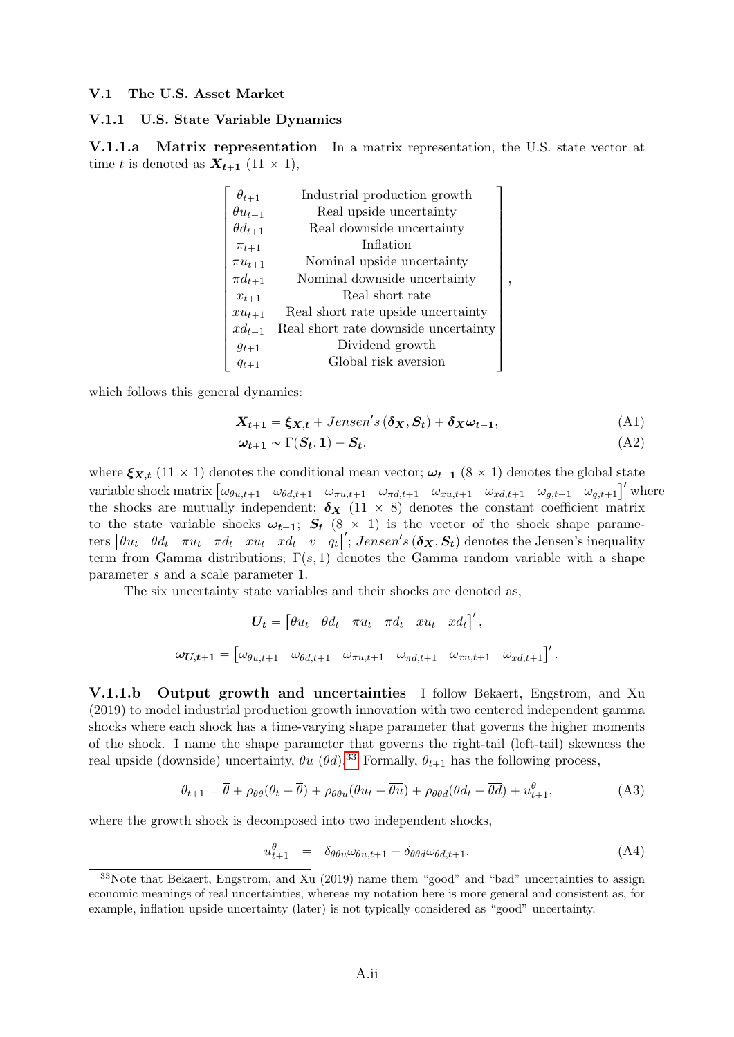#### <span id="page-1-0"></span>V.1 The U.S. Asset Market

#### <span id="page-1-1"></span>V.1.1 U.S. State Variable Dynamics

»

V.1.1.a Matrix representation In a matrix representation, the U.S. state vector at time t is denoted as  $X_{t+1}$  (11  $\times$  1),

| $\theta_{t+1}$   | Industrial production growth         |
|------------------|--------------------------------------|
| $\theta u_{t+1}$ | Real upside uncertainty              |
| $\theta d_{t+1}$ | Real downside uncertainty            |
| $\pi_{t+1}$      | Inflation                            |
| $\pi u_{t+1}$    | Nominal upside uncertainty           |
| $\pi d_{t+1}$    | Nominal downside uncertainty         |
| $x_{t+1}$        | Real short rate                      |
| $xu_{t+1}$       | Real short rate upside uncertainty   |
| $xd_{t+1}$       | Real short rate downside uncertainty |
| $q_{t+1}$        | Dividend growth                      |
| $q_{t+1}$        | Global risk aversion                 |

which follows this general dynamics:

$$
X_{t+1} = \xi_{X,t} + Jensen's\left(\delta_X, S_t\right) + \delta_X\omega_{t+1},\tag{A1}
$$

fi

,

$$
\omega_{t+1} \sim \Gamma(S_t, 1) - S_t, \tag{A2}
$$

where  $\xi_{X,t}$  (11  $\times$  1) denotes the conditional mean vector;  $\omega_{t+1}$  (8  $\times$  1) denotes the global state<br>wrights absoluted in the global state where  $\xi_{X,t}$  (11 × 1) denotes the conditional mean vector;  $\omega_{t+1}$  (8 × 1) denotes the global state<br>variable shock matrix  $\begin{bmatrix} \omega_{\theta u,t+1} & \omega_{\theta d,t+1} & \omega_{\pi u,t+1} & \omega_{\pi d,t+1} & \omega_{xu,t+1} & \omega_{xd,t+1} & \omega_{g,t+1} & \omega_{q,t+1} \end{bmatrix}'$  the shocks are mutually independent;  $\delta_X$  (11  $\times$  8) denotes the constant coefficient matrix to the state variable shocks  $\omega_{t+1}$ ;  $S_t$  (8  $\times$  1) is the vector of the shock shape parameto the state variable shocks  $\omega_{t+1}$ ;  $S_t$  (8 × 1) is the vector of the shock shape parame-<br>ters  $\begin{bmatrix} \theta u_t & \theta d_t & \pi u_t & \pi d_t & xu_t & xd_t & v & q_t \end{bmatrix}'$ ; Jensen's  $(\delta_X, S_t)$  denotes the Jensen's inequality term from Gamma distributions;  $\Gamma(s, 1)$  denotes the Gamma random variable with a shape parameter s and a scale parameter 1.

The six uncertainty state variables and their shocks are denoted as,

$$
U_t = \begin{bmatrix} \theta u_t & \theta d_t & \pi u_t & \pi d_t & x u_t & x d_t \end{bmatrix}',
$$
\n
$$
\omega_{U,t+1} = \begin{bmatrix} \omega_{\theta u,t+1} & \omega_{\theta d,t+1} & \omega_{\pi u,t+1} & \omega_{\pi d,t+1} & \omega_{x u,t+1} & \omega_{x d,t+1} \end{bmatrix}'.
$$

V.1.1.b Output growth and uncertainties I follow Bekaert, Engstrom, and Xu (2019) to model industrial production growth innovation with two centered independent gamma shocks where each shock has a time-varying shape parameter that governs the higher moments of the shock. I name the shape parameter that governs the right-tail (left-tail) skewness the real upside (downside) uncertainty,  $\theta u$  ( $\theta d$ ).<sup>[33](#page--1-0)</sup> Formally,  $\theta_{t+1}$  has the following process,

$$
\theta_{t+1} = \overline{\theta} + \rho_{\theta\theta}(\theta_t - \overline{\theta}) + \rho_{\theta\theta u}(\theta u_t - \overline{\theta u}) + \rho_{\theta\theta d}(\theta d_t - \overline{\theta d}) + u_{t+1}^{\theta},
$$
(A3)

where the growth shock is decomposed into two independent shocks,

$$
u_{t+1}^{\theta} = \delta_{\theta\theta u} \omega_{\theta u, t+1} - \delta_{\theta\theta d} \omega_{\theta d, t+1}.
$$
 (A4)

 $33$ Note that Bekaert, Engstrom, and Xu (2019) name them "good" and "bad" uncertainties to assign economic meanings of real uncertainties, whereas my notation here is more general and consistent as, for example, inflation upside uncertainty (later) is not typically considered as "good" uncertainty.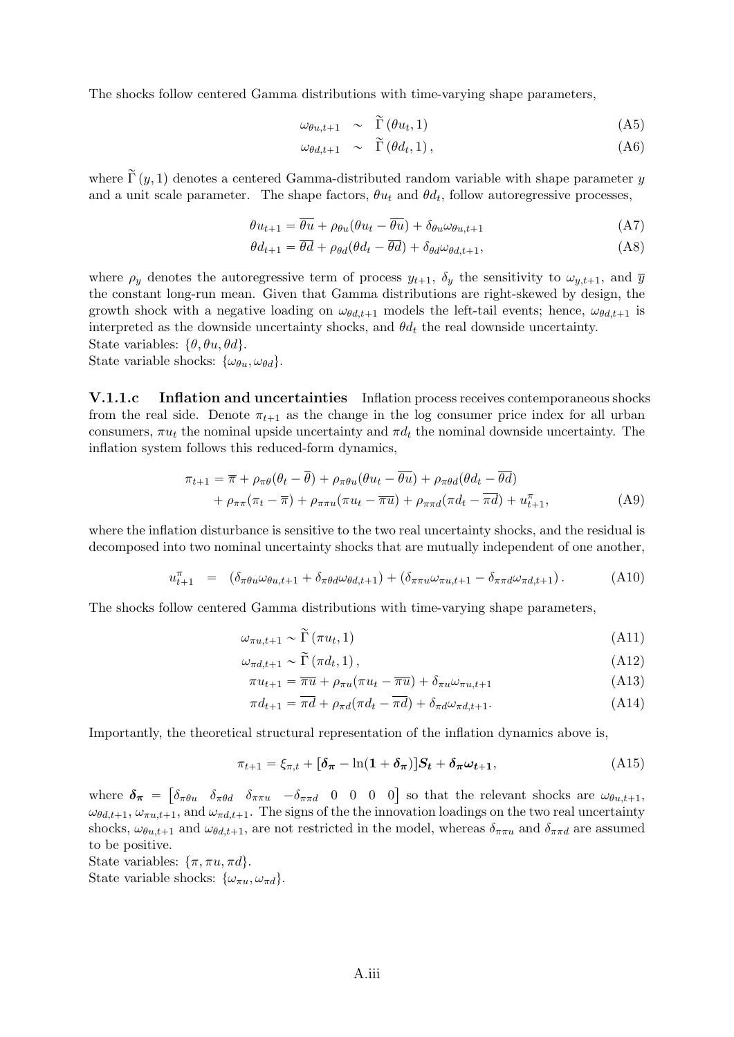The shocks follow centered Gamma distributions with time-varying shape parameters,

$$
\omega_{\theta u, t+1} \sim \widetilde{\Gamma}(\theta u_t, 1) \tag{A5}
$$

$$
\omega_{\theta d,t+1} \sim \widetilde{\Gamma}(\theta d_t, 1), \qquad (A6)
$$

where  $\tilde{\Gamma}(y, 1)$  denotes a centered Gamma-distributed random variable with shape parameter y and a unit scale parameter. The shape factors,  $\theta u_t$  and  $\theta d_t$ , follow autoregressive processes,

$$
\theta u_{t+1} = \overline{\theta u} + \rho_{\theta u} (\theta u_t - \overline{\theta u}) + \delta_{\theta u} \omega_{\theta u, t+1}
$$
 (A7)

$$
\theta d_{t+1} = \overline{\theta d} + \rho_{\theta d} (\theta d_t - \overline{\theta d}) + \delta_{\theta d} \omega_{\theta d, t+1},
$$
\n(A8)

where  $\rho_y$  denotes the autoregressive term of process  $y_{t+1}$ ,  $\delta_y$  the sensitivity to  $\omega_{y,t+1}$ , and  $\overline{y}$ the constant long-run mean. Given that Gamma distributions are right-skewed by design, the growth shock with a negative loading on  $\omega_{\theta d,t+1}$  models the left-tail events; hence,  $\omega_{\theta d,t+1}$  is interpreted as the downside uncertainty shocks, and  $\theta d_t$  the real downside uncertainty. State variables:  $\{\theta, \theta u, \theta d\}.$ 

State variable shocks:  $\{\omega_{\theta u}, \omega_{\theta d}\}.$ 

V.1.1.c Inflation and uncertainties Inflation process receives contemporaneous shocks from the real side. Denote  $\pi_{t+1}$  as the change in the log consumer price index for all urban consumers,  $\pi u_t$  the nominal upside uncertainty and  $\pi d_t$  the nominal downside uncertainty. The inflation system follows this reduced-form dynamics,

$$
\pi_{t+1} = \overline{\pi} + \rho_{\pi\theta}(\theta_t - \overline{\theta}) + \rho_{\pi\theta u}(\theta u_t - \overline{\theta u}) + \rho_{\pi\theta d}(\theta d_t - \overline{\theta d}) + \rho_{\pi\pi}(\pi_t - \overline{\pi}) + \rho_{\pi\pi u}(\pi u_t - \overline{\pi u}) + \rho_{\pi\pi d}(\pi d_t - \overline{\pi d}) + u_{t+1}^{\pi},
$$
(A9)

where the inflation disturbance is sensitive to the two real uncertainty shocks, and the residual is decomposed into two nominal uncertainty shocks that are mutually independent of one another,

$$
u_{t+1}^{\pi} = (\delta_{\pi\theta u}\omega_{\theta u,t+1} + \delta_{\pi\theta d}\omega_{\theta d,t+1}) + (\delta_{\pi\pi u}\omega_{\pi u,t+1} - \delta_{\pi\pi d}\omega_{\pi d,t+1}). \tag{A10}
$$

The shocks follow centered Gamma distributions with time-varying shape parameters,

$$
\omega_{\pi u, t+1} \sim \widetilde{\Gamma}(\pi u_t, 1) \tag{A11}
$$

$$
\omega_{\pi d, t+1} \sim \widetilde{\Gamma} \left( \pi d_t, 1 \right), \tag{A12}
$$

$$
\pi u_{t+1} = \overline{\pi u} + \rho_{\pi u} (\pi u_t - \overline{\pi u}) + \delta_{\pi u} \omega_{\pi u, t+1}
$$
\n(A13)

$$
\pi d_{t+1} = \overline{\pi d} + \rho_{\pi d} (\pi d_t - \overline{\pi d}) + \delta_{\pi d} \omega_{\pi d, t+1}.
$$
\n(A14)

Importantly, the theoretical structural representation of the inflation dynamics above is,

$$
\pi_{t+1} = \xi_{\pi,t} + [\delta_{\pi} - \ln(1 + \delta_{\pi})]S_t + \delta_{\pi}\omega_{t+1},
$$
\n(A15)

where  $\delta_{\pi}$  =  $\begin{bmatrix} \delta_{\pi \theta u} & \delta_{\pi \theta d} & \delta_{\pi \pi u} & -\delta_{\pi \pi d} & 0 & 0 & 0 \end{bmatrix}$  so that the relevant shocks are  $\omega_{\theta u,t+1}$ ,  $\omega_{\theta d,t+1}, \omega_{\pi u,t+1}$ , and  $\omega_{\pi d,t+1}$ . The signs of the the innovation loadings on the two real uncertainty shocks,  $\omega_{\theta u,t+1}$  and  $\omega_{\theta d,t+1}$ , are not restricted in the model, whereas  $\delta_{\pi\pi u}$  and  $\delta_{\pi\pi d}$  are assumed to be positive.

State variables:  $\{\pi, \pi u, \pi d\}.$ State variable shocks:  $\{\omega_{\pi u}, \omega_{\pi d}\}.$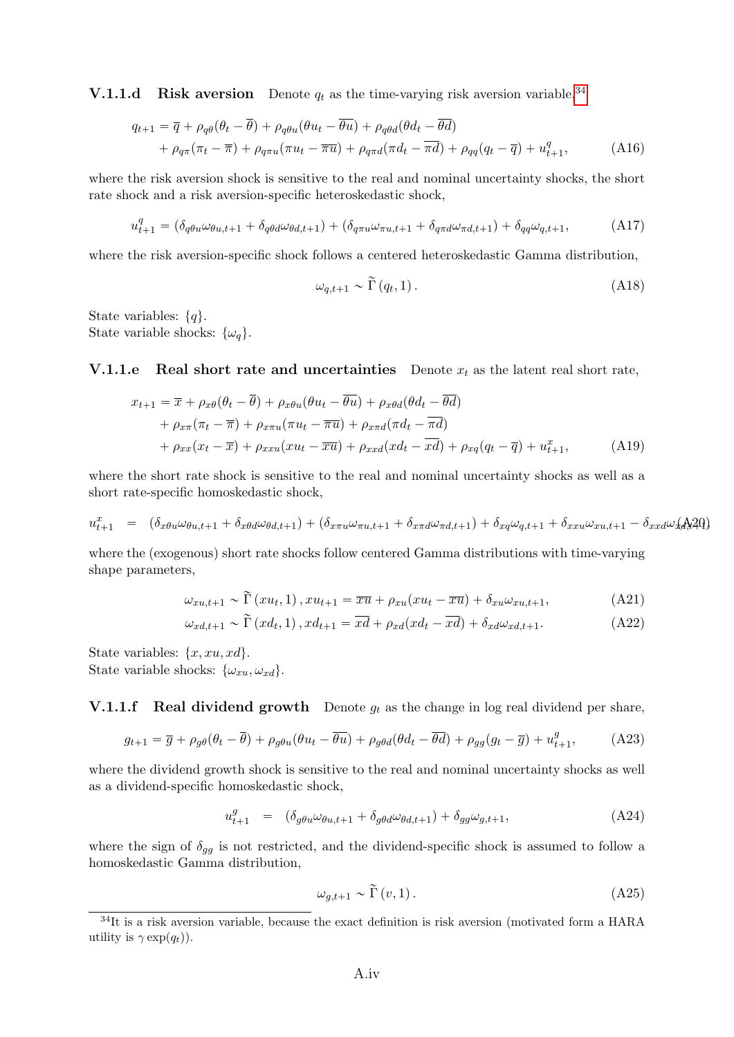**V.1.1.d** Risk aversion Denote  $q_t$  as the time-varying risk aversion variable, <sup>[34](#page--1-0)</sup>

$$
q_{t+1} = \overline{q} + \rho_{q\theta}(\theta_t - \overline{\theta}) + \rho_{q\theta u}(\theta u_t - \overline{\theta u}) + \rho_{q\theta d}(\theta d_t - \overline{\theta d})
$$
  
+ 
$$
\rho_{q\pi}(\pi_t - \overline{\pi}) + \rho_{q\pi u}(\pi u_t - \overline{\pi u}) + \rho_{q\pi d}(\pi d_t - \overline{\pi d}) + \rho_{q\theta}(q_t - \overline{q}) + u_{t+1}^q,
$$
 (A16)

where the risk aversion shock is sensitive to the real and nominal uncertainty shocks, the short rate shock and a risk aversion-specific heteroskedastic shock,

$$
u_{t+1}^q = (\delta_{q\theta u}\omega_{\theta u,t+1} + \delta_{q\theta d}\omega_{\theta d,t+1}) + (\delta_{q\pi u}\omega_{\pi u,t+1} + \delta_{q\pi d}\omega_{\pi d,t+1}) + \delta_{qq}\omega_{q,t+1},
$$
\n(A17)

where the risk aversion-specific shock follows a centered heteroskedastic Gamma distribution,

$$
\omega_{q,t+1} \sim \widetilde{\Gamma}(q_t, 1). \tag{A18}
$$

State variables:  ${q}$ . State variable shocks:  $\{\omega_q\}.$ 

**V.1.1.e** Real short rate and uncertainties Denote  $x_t$  as the latent real short rate,

$$
x_{t+1} = \overline{x} + \rho_{x\theta}(\theta_t - \overline{\theta}) + \rho_{x\theta u}(\theta u_t - \overline{\theta u}) + \rho_{x\theta d}(\theta d_t - \overline{\theta d})
$$
  
+ 
$$
\rho_{x\pi}(\pi_t - \overline{\pi}) + \rho_{x\pi u}(\pi u_t - \overline{\pi u}) + \rho_{x\pi d}(\pi d_t - \overline{\pi d})
$$
  
+ 
$$
\rho_{xx}(x_t - \overline{x}) + \rho_{x\pi u}(x u_t - \overline{x u}) + \rho_{xxd}(x d_t - \overline{x d}) + \rho_{xq}(q_t - \overline{q}) + u_{t+1}^x, \tag{A19}
$$

where the short rate shock is sensitive to the real and nominal uncertainty shocks as well as a short rate-specific homoskedastic shock,

$$
u_{t+1}^x = (\delta_{x\theta u}\omega_{\theta u,t+1} + \delta_{x\theta d}\omega_{\theta d,t+1}) + (\delta_{x\pi u}\omega_{\pi u,t+1} + \delta_{x\pi d}\omega_{\pi d,t+1}) + \delta_{xq}\omega_{q,t+1} + \delta_{xxu}\omega_{xu,t+1} - \delta_{xxd}\omega_{xd,t} + \delta_{xq}\omega_{xd,t+1} + \delta_{xr}(\omega_{\theta u,t+1} + \delta_{xr}(\omega_{\theta u,t+1} + \delta_{xr}(\omega_{\theta u,t+1} + \delta_{xr}(\omega_{\theta u,t+1} + \delta_{xr}(\omega_{\theta u,t+1} + \delta_{xr}(\omega_{\theta u,t+1} + \delta_{xr}(\omega_{\theta u,t+1} + \delta_{xr}(\omega_{\theta u,t+1} + \delta_{xr}(\omega_{\theta u,t+1} + \delta_{xr}(\omega_{\theta u,t+1} + \delta_{xr}(\omega_{\theta u,t+1} + \delta_{xr}(\omega_{\theta u,t+1} + \delta_{xr}(\omega_{\theta u,t+1} + \delta_{xr}(\omega_{\theta u,t+1} + \delta_{xr}(\omega_{\theta u,t+1} + \delta_{xr}(\omega_{\theta u,t+1} + \delta_{xr}(\omega_{\theta u,t+1} + \delta_{xr}(\omega_{\theta u,t+1} + \delta_{xr}(\omega_{\theta u,t+1} + \delta_{xr}(\omega_{\theta u,t+1} + \delta_{xr}(\omega_{\theta u,t+1} + \delta_{xr}(\omega_{\theta u,t+1} + \delta_{xr}(\omega_{\theta u,t+1} + \delta_{xr}(\omega_{\theta u,t+1} + \delta_{xr}(\omega_{\theta u,t+1} + \delta_{xr}(\omega_{\theta u,t+1} + \delta_{xr}(\omega_{\theta u,t+1} + \delta_{xr}(\omega_{\theta u,t+1} + \delta_{xr}(\omega_{\theta u,t+1} + \delta_{xr}(\omega_{\theta u,t+1} + \delta_{xr}(\omega_{\theta u,t+1} + \delta_{xr}(\omega_{\theta u,t+1} + \delta_{xr}(\omega_{\theta u,t+1} + \delta_{xr}(\omega_{\theta u,t+1} + \delta_{xr}(\omega_{\theta u,t+1} + \delta_{xr}(\omega_{\theta u,t+1} + \delta_{xr}(\omega
$$

where the (exogenous) short rate shocks follow centered Gamma distributions with time-varying shape parameters,

$$
\omega_{xu,t+1} \sim \widetilde{\Gamma}(xu_t, 1), xu_{t+1} = \overline{xu} + \rho_{xu}(xu_t - \overline{xu}) + \delta_{xu}\omega_{xu,t+1},
$$
\n(A21)

$$
\omega_{xd,t+1} \sim \widetilde{\Gamma}(xd_t, 1), x d_{t+1} = \overline{xd} + \rho_{xd}(xd_t - \overline{xd}) + \delta_{xd} \omega_{xd,t+1}.
$$
 (A22)

State variables:  $\{x, xu, xd\}.$ State variable shocks:  $\{\omega_{xu}, \omega_{xd}\}.$ 

**V.1.1.f** Real dividend growth Denote  $g_t$  as the change in log real dividend per share,

$$
g_{t+1} = \overline{g} + \rho_g \theta (\theta_t - \overline{\theta}) + \rho_g \theta_u (\theta u_t - \overline{\theta u}) + \rho_g \theta_d (\theta d_t - \overline{\theta d}) + \rho_g g (g_t - \overline{g}) + u_{t+1}^g,
$$
 (A23)

where the dividend growth shock is sensitive to the real and nominal uncertainty shocks as well as a dividend-specific homoskedastic shock,

$$
u_{t+1}^g = (\delta_{g\theta u} \omega_{\theta u, t+1} + \delta_{g\theta d} \omega_{\theta d, t+1}) + \delta_{gg} \omega_{g, t+1},
$$
\n(A24)

where the sign of  $\delta_{gg}$  is not restricted, and the dividend-specific shock is assumed to follow a homoskedastic Gamma distribution,

$$
\omega_{g,t+1} \sim \widetilde{\Gamma}(v,1). \tag{A25}
$$

<sup>34</sup>It is a risk aversion variable, because the exact definition is risk aversion (motivated form a HARA utility is  $\gamma \exp(q_t)$ ).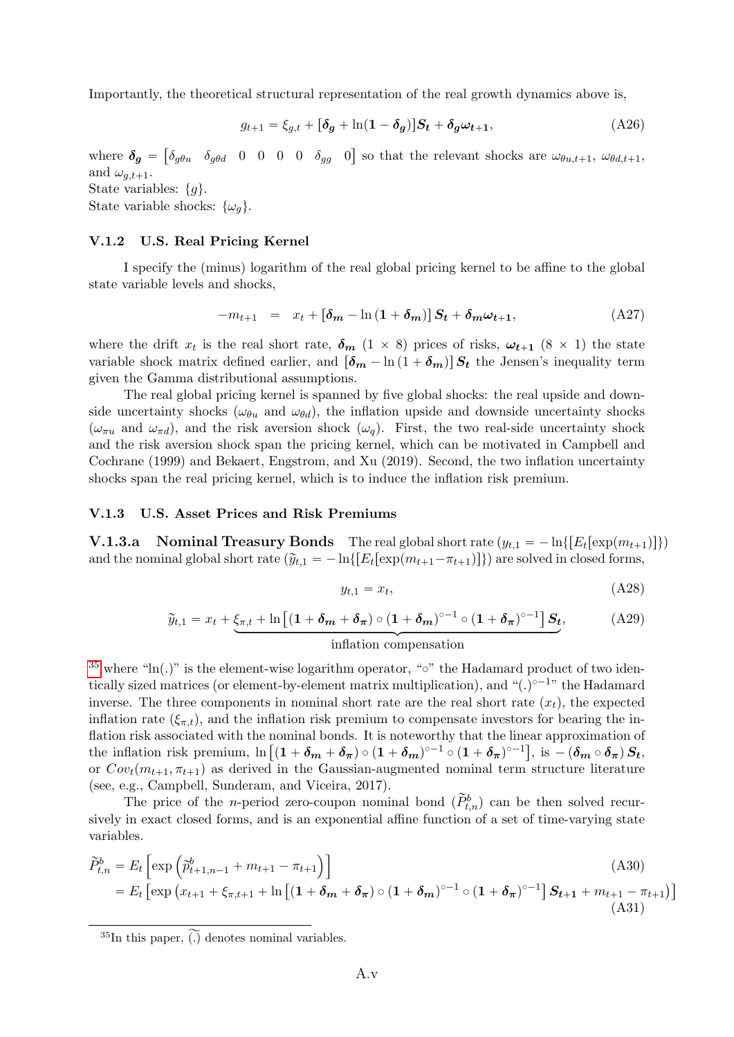Importantly, the theoretical structural representation of the real growth dynamics above is,

$$
g_{t+1} = \xi_{g,t} + [\delta_g + \ln(1 - \delta_g)]S_t + \delta_g \omega_{t+1},
$$
\n(A26)

where  $\delta_g =$ "  $\delta_{g\theta u}$   $\delta_{g\theta d}$  0 0 0 0  $\delta_{gg}$  0 ‰ so that the relevant shocks are  $\omega_{\theta u,t+1}$ ,  $\omega_{\theta d,t+1}$ , and  $\omega_{g,t+1}$ .

State variables:  ${g}$ .

State variable shocks:  $\{\omega_q\}.$ 

#### <span id="page-4-0"></span>V.1.2 U.S. Real Pricing Kernel

I specify the (minus) logarithm of the real global pricing kernel to be affine to the global state variable levels and shocks,

$$
-m_{t+1} = x_t + \left[\delta_m - \ln(1+\delta_m)\right]S_t + \delta_m\omega_{t+1},\tag{A27}
$$

where the drift  $x_t$  is the real short rate,  $\delta_m$  (1  $\times$  8) prices of risks,  $\omega_{t+1}$  (8  $\times$  1) the state variable shock matrix defined earlier, and  $\left[\delta_m - \ln(1 + \delta_m)\right] S_t$  the Jensen's inequality term given the Gamma distributional assumptions.

The real global pricing kernel is spanned by five global shocks: the real upside and downside uncertainty shocks ( $\omega_{\theta u}$  and  $\omega_{\theta d}$ ), the inflation upside and downside uncertainty shocks  $(\omega_{\pi u}$  and  $\omega_{\pi d})$ , and the risk aversion shock  $(\omega_q)$ . First, the two real-side uncertainty shock and the risk aversion shock span the pricing kernel, which can be motivated in Campbell and Cochrane (1999) and Bekaert, Engstrom, and Xu (2019). Second, the two inflation uncertainty shocks span the real pricing kernel, which is to induce the inflation risk premium.

#### V.1.3 U.S. Asset Prices and Risk Premiums

**V.1.3.a** Nominal Treasury Bonds The real global short rate  $(y_{t,1} = -\ln\{[E_t[\exp(m_{t+1})]\})$ and the nominal global short rate  $(\widetilde{y}_{t,1} = -\ln\{[E_t[\exp(m_{t+1} - \pi_{t+1})]\})$  are solved in closed forms,

$$
y_{t,1} = x_t,\tag{A28}
$$

$$
\widetilde{y}_{t,1} = x_t + \underbrace{\xi_{\pi,t} + \ln\left[(1+\delta_m+\delta_\pi)\circ(1+\delta_m)^{\circ-1}\circ(1+\delta_\pi)^{\circ-1}\right]S_t}_{\text{...},\text{...}},\tag{A29}
$$

#### inflation compensation

 $35$  where "ln(.)" is the element-wise logarithm operator, " $\circ$ " the Hadamard product of two identically sized matrices (or element-by-element matrix multiplication), and " $(.)^{\circ -1}$ " the Hadamard inverse. The three components in nominal short rate are the real short rate  $(x_t)$ , the expected inflation rate  $(\xi_{\pi,t})$ , and the inflation risk premium to compensate investors for bearing the inflation risk associated with the nominal bonds. It is noteworthy that the linear approximation of flation risk associated with the nominal bonds. It is noteworthy that the linear approximation of<br>the inflation risk premium,  $\ln \left[ (1 + \delta_m + \delta_\pi) \circ (1 + \delta_m)^{\circ -1} \circ (1 + \delta_\pi)^{\circ -1} \right]$ , is  $- (\delta_m \circ \delta_\pi) S_t$ , or  $Cov_t(m_{t+1}, \pi_{t+1})$  as derived in the Gaussian-augmented nominal term structure literature (see, e.g., Campbell, Sunderam, and Viceira, 2017).

The price of the *n*-period zero-coupon nominal bond  $(\widetilde{P}_{t,n}^b)$  can be then solved recursively in exact closed forms, and is an exponential affine function of a set of time-varying state variables. " ¯ı

$$
\widetilde{P}_{t,n}^{b} = E_{t} \left[ \exp \left( \widetilde{p}_{t+1,n-1}^{b} + m_{t+1} - \pi_{t+1} \right) \right]
$$
\n
$$
= E_{t} \left[ \exp \left( x_{t+1} + \xi_{\pi,t+1} + \ln \left[ (1 + \delta_{m} + \delta_{\pi}) \circ (1 + \delta_{m})^{\circ - 1} \circ (1 + \delta_{\pi})^{\circ - 1} \right] \mathbf{S}_{t+1} + m_{t+1} - \pi_{t+1} \right) \right]
$$
\n(A30)

 ${}^{35}$ In this paper,  $\widetilde{(.)}$  denotes nominal variables.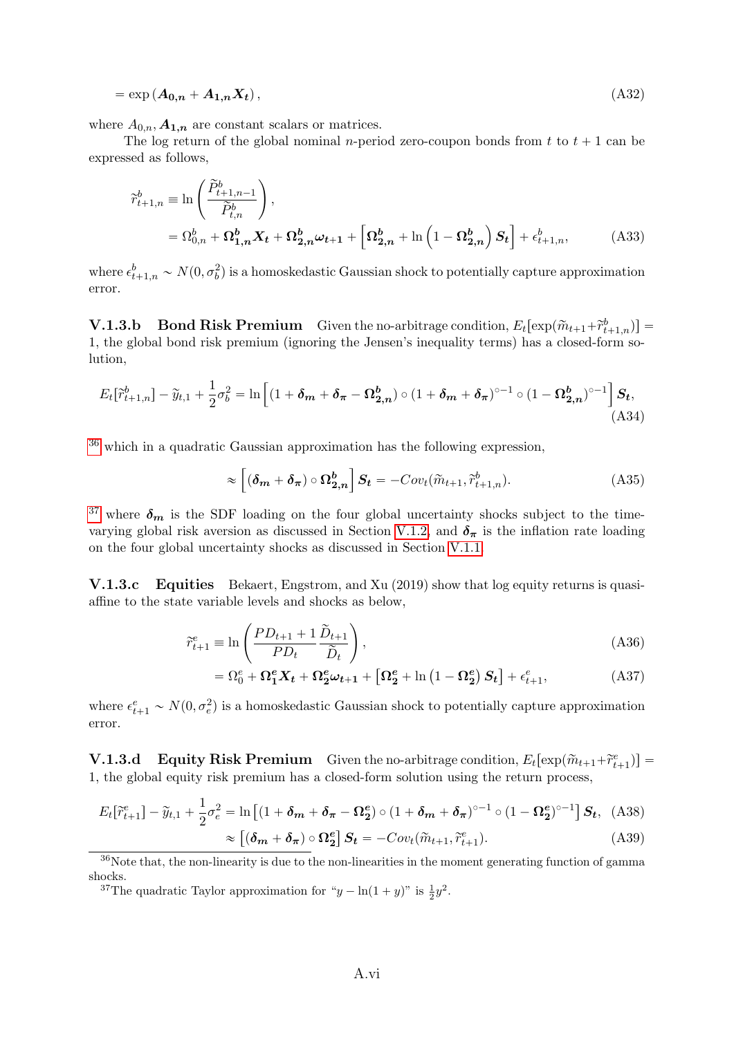$$
= \exp\left(A_{0,n} + A_{1,n}X_t\right),\tag{A32}
$$

where  $A_{0,n}$ ,  $A_{1,n}$  are constant scalars or matrices.

The log return of the global nominal *n*-period zero-coupon bonds from t to  $t + 1$  can be expressed as follows,

$$
\widetilde{r}_{t+1,n}^{b} \equiv \ln\left(\frac{\widetilde{P}_{t+1,n-1}^{b}}{\widetilde{P}_{t,n}^{b}}\right),
$$
\n
$$
= \Omega_{0,n}^{b} + \Omega_{1,n}^{b} X_{t} + \Omega_{2,n}^{b} \omega_{t+1} + \left[\Omega_{2,n}^{b} + \ln\left(1 - \Omega_{2,n}^{b}\right) S_{t}\right] + \epsilon_{t+1,n}^{b},
$$
\n(A33)

where  $\epsilon_{t+1,n}^b \sim N(0, \sigma_b^2)$  is a homoskedastic Gaussian shock to potentially capture approximation error.

**V.1.3.b** Bond Risk Premium Given the no-arbitrage condition,  $E_t[\exp(\widetilde{m}_{t+1} + \widetilde{r}_{t+1,n}^b)] =$ 1, the global bond risk premium (ignoring the Jensen's inequality terms) has a closed-form solution,

$$
E_t[\widetilde{r}_{t+1,n}^b] - \widetilde{y}_{t,1} + \frac{1}{2}\sigma_b^2 = \ln\left[ (1 + \delta_m + \delta_\pi - \Omega_{2,n}^b) \circ (1 + \delta_m + \delta_\pi)^{\circ - 1} \circ (1 - \Omega_{2,n}^b)^{\circ - 1} \right] S_t,
$$
\n(A34)

[36](#page--1-0) which in a quadratic Gaussian approximation has the following expression,

<span id="page-5-0"></span>
$$
\approx \left[ (\delta_{m} + \delta_{\pi}) \circ \Omega_{2,n}^{b} \right] S_{t} = -Cov_{t}(\widetilde{m}_{t+1}, \widetilde{r}_{t+1,n}^{b}). \tag{A35}
$$

<sup>[37](#page--1-0)</sup> where  $\delta_m$  is the SDF loading on the four global uncertainty shocks subject to the time-varying global risk aversion as discussed in Section [V.1.2,](#page-4-0) and  $\delta_{\pi}$  is the inflation rate loading on the four global uncertainty shocks as discussed in Section [V.1.1.](#page-1-1)

V.1.3.c Equities Bekaert, Engstrom, and Xu (2019) show that log equity returns is quasiaffine to the state variable levels and shocks as below,

<span id="page-5-1"></span>į,

$$
\widetilde{r}_{t+1}^{e} \equiv \ln \left( \frac{PD_{t+1} + 1}{PD_{t}} \frac{\widetilde{D}_{t+1}}{\widetilde{D}_{t}} \right),\tag{A36}
$$

$$
= \Omega_0^e + \Omega_1^e X_t + \Omega_2^e \omega_{t+1} + \left[ \Omega_2^e + \ln \left( 1 - \Omega_2^e \right) S_t \right] + \epsilon_{t+1}^e, \tag{A37}
$$

where  $\epsilon_{t+1}^e \sim N(0, \sigma_e^2)$  is a homoskedastic Gaussian shock to potentially capture approximation error.

**V.1.3.d** Equity Risk Premium Given the no-arbitrage condition,  $E_t[\exp(\widetilde{m}_{t+1} + \widetilde{r}_{t+1}^e)] =$ 1, the global equity risk premium has a closed-form solution using the return process,

$$
E_t[\tilde{r}_{t+1}^e] - \tilde{y}_{t,1} + \frac{1}{2}\sigma_e^2 = \ln\left[(1 + \delta_m + \delta_\pi - \Omega_2^e)\circ(1 + \delta_m + \delta_\pi)^{\circ - 1}\circ(1 - \Omega_2^e)^{\circ - 1}\right]S_t, \quad \text{(A38)}
$$

$$
\approx \left[(\delta_m + \delta_\pi)\circ\Omega_2^e\right]S_t = -Cov_t(\tilde{m}_{t+1}, \tilde{r}_{t+1}^e). \quad \text{(A39)}
$$

<sup>36</sup>Note that, the non-linearity is due to the non-linearities in the moment generating function of gamma shocks.

<sup>&</sup>lt;sup>37</sup>The quadratic Taylor approximation for " $y - \ln(1 + y)$ " is  $\frac{1}{2}y^2$ .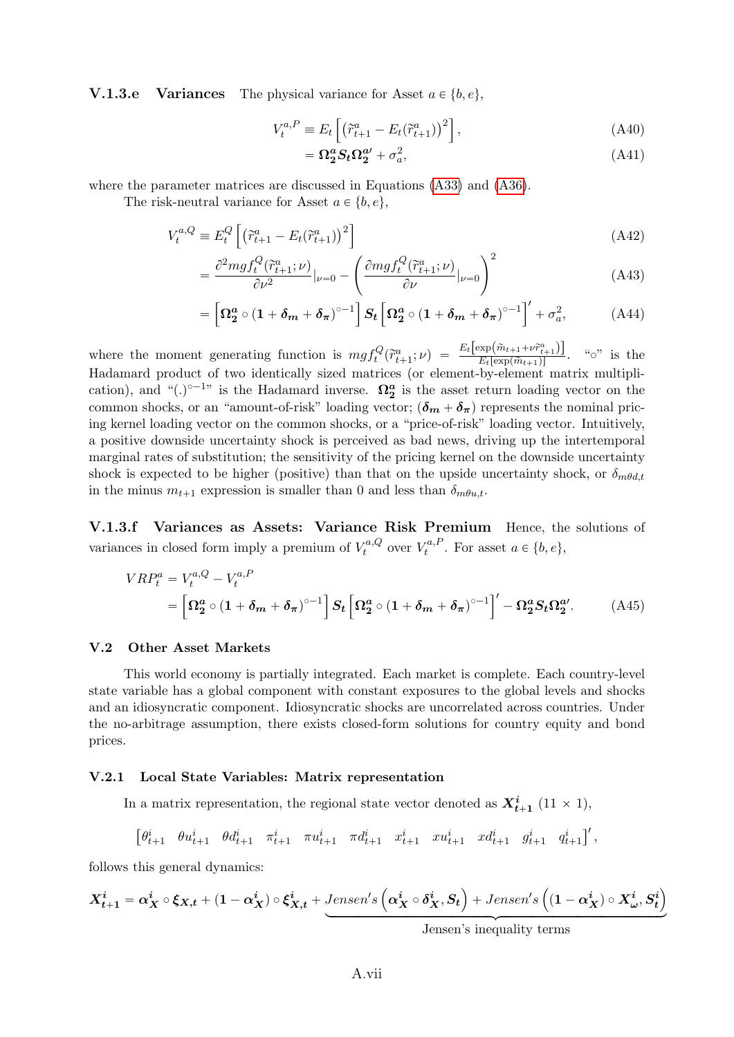**V.1.3.e** Variances The physical variance for Asset  $a \in \{b, e\}$ ,

$$
V_t^{a,P} \equiv E_t \left[ \left( \tilde{r}_{t+1}^a - E_t(\tilde{r}_{t+1}^a) \right)^2 \right], \tag{A40}
$$

$$
=\Omega_2^a S_t \Omega_2^{a'} + \sigma_a^2,\tag{A41}
$$

where the parameter matrices are discussed in Equations [\(A33\)](#page-5-0) and [\(A36\)](#page-5-1).

The risk-neutral variance for Asset  $a \in \{b, e\},\$ 

$$
V_t^{a,Q} \equiv E_t^Q \left[ \left( \tilde{r}_{t+1}^a - E_t(\tilde{r}_{t+1}^a) \right)^2 \right]
$$
\n(A42)

$$
=\frac{\partial^2 mg f_t^Q(\tilde{r}_{t+1}^a; \nu)}{\partial \nu^2}|_{\nu=0} - \left(\frac{\partial mg f_t^Q(\tilde{r}_{t+1}^a; \nu)}{\partial \nu}|_{\nu=0}\right)^2 \tag{A43}
$$

$$
= \left[\Omega_2^a \circ (1 + \delta_m + \delta_\pi)^{\circ - 1}\right] S_t \left[\Omega_2^a \circ (1 + \delta_m + \delta_\pi)^{\circ - 1}\right]' + \sigma_a^2, \tag{A44}
$$

where the moment generating function is  $mgf_t^Q(\tilde{r}_{t+1}^a; \nu) = \frac{E_t[\exp(\tilde{m}_{t+1} + \nu \tilde{r}_{t+1}^a)]}{E_t[\exp(\tilde{m}_{t+1})]}$ . " $\circ$ " is the Hadamard product of two identically sized matrices (or element-by-element matrix multiplication), and " $(.)^{\circ -1}$ " is the Hadamard inverse.  $\Omega_2^a$  is the asset return loading vector on the common shocks, or an "amount-of-risk" loading vector;  $(\delta_m + \delta_\pi)$  represents the nominal pricing kernel loading vector on the common shocks, or a "price-of-risk" loading vector. Intuitively, a positive downside uncertainty shock is perceived as bad news, driving up the intertemporal marginal rates of substitution; the sensitivity of the pricing kernel on the downside uncertainty shock is expected to be higher (positive) than that on the upside uncertainty shock, or  $\delta_{m\theta d,t}$ in the minus  $m_{t+1}$  expression is smaller than 0 and less than  $\delta_{m\theta u,t}$ .

V.1.3.f Variances as Assets: Variance Risk Premium Hence, the solutions of variances in closed form imply a premium of  $V_t^{a,Q}$  $t^{a,Q}$  over  $V^{a,F}_t$  $t^{a,P}$ . For asset  $a \in \{b, e\},\$ 

$$
VRP_t^a = V_t^{a,Q} - V_t^{a,P}
$$
  
=  $\left[\Omega_2^a \circ (1 + \delta_m + \delta_\pi)^{\circ - 1}\right] S_t \left[\Omega_2^a \circ (1 + \delta_m + \delta_\pi)^{\circ - 1}\right]' - \Omega_2^a S_t \Omega_2^{a'}$ . (A45)

#### <span id="page-6-0"></span>V.2 Other Asset Markets

This world economy is partially integrated. Each market is complete. Each country-level state variable has a global component with constant exposures to the global levels and shocks and an idiosyncratic component. Idiosyncratic shocks are uncorrelated across countries. Under the no-arbitrage assumption, there exists closed-form solutions for country equity and bond prices.

#### V.2.1 Local State Variables: Matrix representation

In a matrix representation, the regional state vector denoted as  $X_{t+1}^i$  (11  $\times$  1),

"  $\theta_{t+1}^i \quad \theta u_{t+1}^i \quad \theta d_{t+1}^i \quad \pi_{t+1}^i \quad \pi u_{t+1}^i \quad \pi d_{t+1}^i \quad x_{t+1}^i \quad x u_{t+1}^i \quad x d_{t+1}^i \quad g_{t+1}^i \quad q_{t+1}^i$  $\vert'$ ,

follows this general dynamics:

$$
X_{t+1}^i = \alpha_X^i \circ \xi_{X,t} + (1-\alpha_X^i) \circ \xi_{X,t}^i + \underbrace{Jensen's\left(\alpha_X^i \circ \delta_X^i, S_t\right) + Jensen's\left((1-\alpha_X^i) \circ X_{\omega}^i, S_t^i\right)}_{\text{N},\text{N},\text{N}}.
$$

Jensen's inequality terms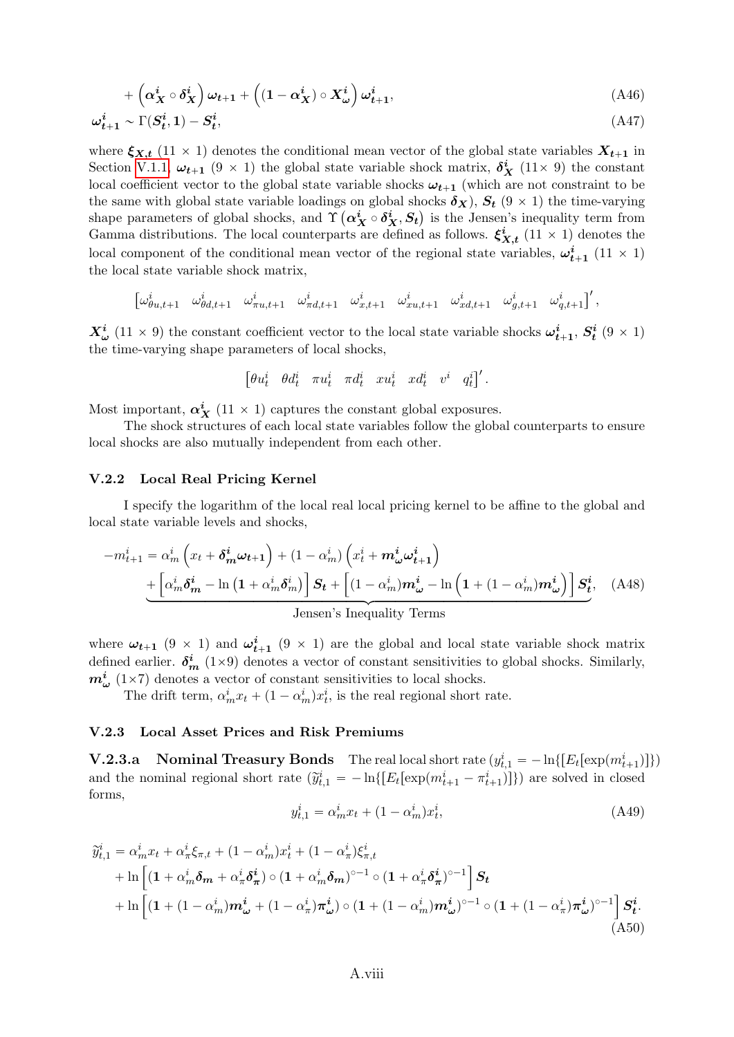$$
+\left(\alpha_X^i \circ \delta_X^i\right)\omega_{t+1}+\left(\left(1-\alpha_X^i\right)\circ X_{\omega}^i\right)\omega_{t+1}^i,\tag{A46}
$$

$$
\omega_{t+1}^i \sim \Gamma(S_t^i, 1) - S_t^i,\tag{A47}
$$

where  $\xi_{X,t}$  (11  $\times$  1) denotes the conditional mean vector of the global state variables  $X_{t+1}$  in Section [V.1.1,](#page-1-1)  $\omega_{t+1}$  (9  $\times$  1) the global state variable shock matrix,  $\delta_X^i$  (11 $\times$  9) the constant local coefficient vector to the global state variable shocks  $\omega_{t+1}$  (which are not constraint to be the same with global state variable loadings on global shocks  $\delta_X$ ),  $S_t$  (9  $\times$  1) the time-varying the same with global state variable loadings on global shocks  $\delta x$ ),  $S_t$  (9 × 1) the time-varying shape parameters of global shocks, and  $\Upsilon(\alpha^i_X \circ \delta^i_X, S_t)$  is the Jensen's inequality term from Gamma distributions. The local counterparts are defined as follows.  $\xi_{X,t}^{i}$  (11  $\times$  1) denotes the local component of the conditional mean vector of the regional state variables,  $\omega_{t+1}^{i}$  (11  $\times$  1) the local state variable shock matrix,

$$
\begin{bmatrix} \omega^i_{\theta u,t+1} & \omega^i_{\theta d,t+1} & \omega^i_{\pi u,t+1} & \omega^i_{\pi d,t+1} & \omega^i_{x,t+1} & \omega^i_{xu,t+1} & \omega^i_{xd,t+1} & \omega^i_{g,t+1} & \omega^i_{q,t+1} \end{bmatrix}',
$$

 $X^i_\omega$  (11 × 9) the constant coefficient vector to the local state variable shocks  $\omega^i_{t+1}$ ,  $S^i_t$  (9 × 1) the time-varying shape parameters of local shocks,

$$
\begin{bmatrix} \theta u_t^i & \theta d_t^i & \pi u_t^i & \pi d_t^i & xu_t^i & xd_t^i & v^i & q_t^i \end{bmatrix}'.
$$

Most important,  $\alpha_X^i$  (11 × 1) captures the constant global exposures.

The shock structures of each local state variables follow the global counterparts to ensure local shocks are also mutually independent from each other.

#### V.2.2 Local Real Pricing Kernel

I specify the logarithm of the local real local pricing kernel to be affine to the global and local state variable levels and shocks,

$$
-m_{t+1}^{i} = \alpha_{m}^{i} \left( x_{t} + \delta_{m}^{i} \omega_{t+1} \right) + (1 - \alpha_{m}^{i}) \left( x_{t}^{i} + m_{\omega}^{i} \omega_{t+1}^{i} \right)
$$
  
+ 
$$
\left[ \alpha_{m}^{i} \delta_{m}^{i} - \ln \left( 1 + \alpha_{m}^{i} \delta_{m}^{i} \right) \right] \mathbf{S}_{t} + \left[ (1 - \alpha_{m}^{i}) m_{\omega}^{i} - \ln \left( 1 + (1 - \alpha_{m}^{i}) m_{\omega}^{i} \right) \right] \mathbf{S}_{t}^{i}, \quad \text{(A48)}
$$
  
Jensen's Inequality Terms

where  $\omega_{t+1}$  (9  $\times$  1) and  $\omega_{t+1}^{i}$  (9  $\times$  1) are the global and local state variable shock matrix defined earlier.  $\delta_m^i$  (1×9) denotes a vector of constant sensitivities to global shocks. Similarly,  $\boldsymbol{m}_{\boldsymbol{\omega}}^i$  (1×7) denotes a vector of constant sensitivities to local shocks.

The drift term,  $\alpha_m^i x_t + (1 - \alpha_m^i) x_t^i$ , is the real regional short rate.

#### V.2.3 Local Asset Prices and Risk Premiums

**V.2.3.a** Nominal Treasury Bonds The real local short rate  $(y_{t,1}^i = -\ln\{[E_t[\exp(m_{t+1}^i)]\})$ and the nominal regional short rate  $(\tilde{y}_{t,1}^i = -\ln\{[E_t[\exp(m_{t+1}^i - \pi_{t+1}^i)]\})$  are solved in closed forms,

$$
y_{t,1}^i = \alpha_m^i x_t + (1 - \alpha_m^i) x_t^i, \tag{A49}
$$

$$
\tilde{y}_{t,1}^{i} = \alpha_{m}^{i} x_{t} + \alpha_{\pi}^{i} \xi_{\pi,t} + (1 - \alpha_{m}^{i}) x_{t}^{i} + (1 - \alpha_{\pi}^{i}) \xi_{\pi,t}^{i} \n+ \ln \left[ (1 + \alpha_{m}^{i} \delta_{m} + \alpha_{\pi}^{i} \delta_{\pi}^{i}) \circ (1 + \alpha_{m}^{i} \delta_{m})^{\circ - 1} \circ (1 + \alpha_{\pi}^{i} \delta_{\pi}^{i})^{\circ - 1} \right] \mathbf{S}_{t} \n+ \ln \left[ (1 + (1 - \alpha_{m}^{i}) m_{\omega}^{i} + (1 - \alpha_{\pi}^{i}) \pi_{\omega}^{i}) \circ (1 + (1 - \alpha_{m}^{i}) m_{\omega}^{i})^{\circ - 1} \circ (1 + (1 - \alpha_{\pi}^{i}) \pi_{\omega}^{i})^{\circ - 1} \right] \mathbf{S}_{t}^{i}.
$$
\n(A50)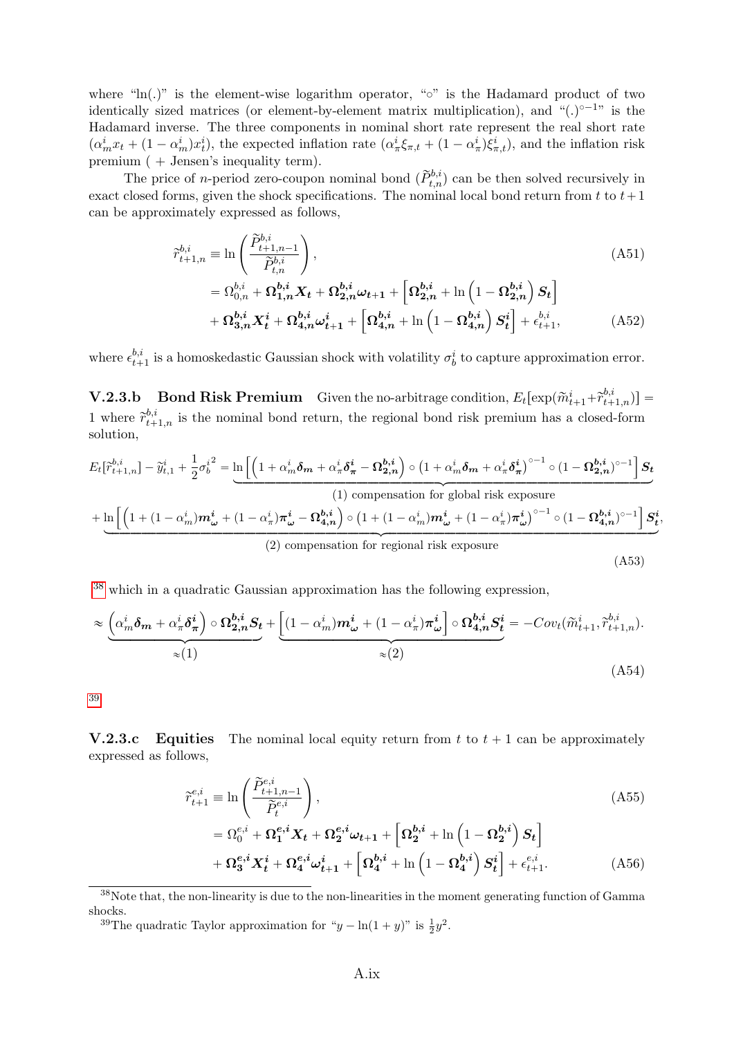where "ln(.)" is the element-wise logarithm operator, " $\circ$ " is the Hadamard product of two identically sized matrices (or element-by-element matrix multiplication), and " $(.)^{\circ -1}$ " is the Hadamard inverse. The three components in nominal short rate represent the real short rate  $(\alpha_m^i x_t + (1 - \alpha_m^i)x_t^i)$ , the expected inflation rate  $(\alpha_\pi^i \xi_{\pi,t} + (1 - \alpha_\pi^i)\xi_{\pi,t}^i)$ , and the inflation risk premium ( + Jensen's inequality term).

The price of *n*-period zero-coupon nominal bond  $(\tilde{P}_{t,n}^{b,i})$  can be then solved recursively in exact closed forms, given the shock specifications. The nominal local bond return from t to  $t+1$ can be approximately expressed as follows,

$$
\widetilde{r}_{t+1,n}^{b,i} \equiv \ln \left( \frac{\widetilde{P}_{t+1,n-1}^{b,i}}{\widetilde{P}_{t,n}^{b,i}} \right),
$$
\n
$$
= \Omega_{0,n}^{b,i} + \Omega_{1,n}^{b,i} X_t + \Omega_{2,n}^{b,i} \omega_{t+1} + \left[ \Omega_{2,n}^{b,i} + \ln \left( 1 - \Omega_{2,n}^{b,i} \right) S_t \right]
$$
\n
$$
(A51)
$$

<span id="page-8-0"></span>
$$
+\Omega_{3,n}^{b,i} X_t^i + \Omega_{4,n}^{b,i} \omega_{t+1}^i + \left[\Omega_{4,n}^{b,i} + \ln\left(1 - \Omega_{4,n}^{b,i}\right) S_t^i\right] + \epsilon_{t+1}^{b,i},\tag{A52}
$$

where  $\epsilon_{t+1}^{b,i}$  $t_{t+1}^{b,i}$  is a homoskedastic Gaussian shock with volatility  $\sigma_b^i$  to capture approximation error.

**V.2.3.b** Bond Risk Premium Given the no-arbitrage condition,  $E_t[\exp(\widetilde{m}_{t+1}^i + \widetilde{r}_{t+1,n}^{b,i})] =$ 1 where  $\tilde{r}_{t+1,n}^{b,i}$  is the nominal bond return, the regional bond risk premium has a closed-form solution,

$$
E_t[\tilde{r}_{t+1,n}^{b,i}] - \tilde{y}_{t,1}^i + \frac{1}{2}\sigma_b^{i^2} = \underbrace{\ln\left[\left(1 + \alpha_m^i \delta_m + \alpha_\pi^i \delta_\pi^i - \Omega_{2,n}^{b,i}\right) \circ \left(1 + \alpha_m^i \delta_m + \alpha_\pi^i \delta_\pi^i\right)^{\circ - 1} \circ \left(1 - \Omega_{2,n}^{b,i}\right)^{\circ - 1}\right] S_t}_{(1) \text{ compensation for global risk exposure}}
$$
\n
$$
+ \underbrace{\ln\left[\left(1 + \left(1 - \alpha_m^i\right)m_\omega^i + \left(1 - \alpha_\pi^i\right)\pi_\omega^i - \Omega_{4,n}^{b,i}\right) \circ \left(1 + \left(1 - \alpha_m^i\right)m_\omega^i + \left(1 - \alpha_\pi^i\right)\pi_\omega^i\right)^{\circ - 1} \circ \left(1 - \Omega_{4,n}^{b,i}\right)^{\circ - 1}\right] S_t^i}_{(2) \text{ compensation for regional risk exposure}}.
$$
\n(A53)

[38](#page--1-0) which in a quadratic Gaussian approximation has the following expression,

$$
\approx \underbrace{\left(\alpha_m^i \delta_m + \alpha_\pi^i \delta_\pi^i\right) \circ \Omega_{2,n}^{b,i} S_t}_{\approx (1)} + \underbrace{\left[(1 - \alpha_m^i) m_\omega^i + (1 - \alpha_\pi^i) \pi_\omega^i\right] \circ \Omega_{4,n}^{b,i} S_t^i}_{\approx (2)} = -Cov_t(\widetilde{m}_{t+1}^i, \widetilde{r}_{t+1,n}^{b,i}).
$$
\n(A54)

[39](#page--1-0)

**V.2.3.c** Equities The nominal local equity return from t to  $t + 1$  can be approximately expressed as follows,

<span id="page-8-1"></span>
$$
\tilde{r}_{t+1}^{e,i} \equiv \ln\left(\frac{\tilde{P}_{t+1,n-1}^{e,i}}{\tilde{P}_t^{e,i}}\right),
$$
\n
$$
= \Omega_0^{e,i} + \Omega_1^{e,i} X_t + \Omega_2^{e,i} \omega_{t+1} + \left[\Omega_2^{b,i} + \ln\left(1 - \Omega_2^{b,i}\right) S_t\right]
$$
\n
$$
+ \Omega_3^{e,i} X_t^i + \Omega_4^{e,i} \omega_{t+1}^i + \left[\Omega_4^{b,i} + \ln\left(1 - \Omega_4^{b,i}\right) S_t^i\right] + \epsilon_{t+1}^{e,i}.
$$
\n(A56)

<sup>39</sup>The quadratic Taylor approximation for " $y - \ln(1 + y)$ " is  $\frac{1}{2}y^2$ .

<sup>38</sup>Note that, the non-linearity is due to the non-linearities in the moment generating function of Gamma shocks.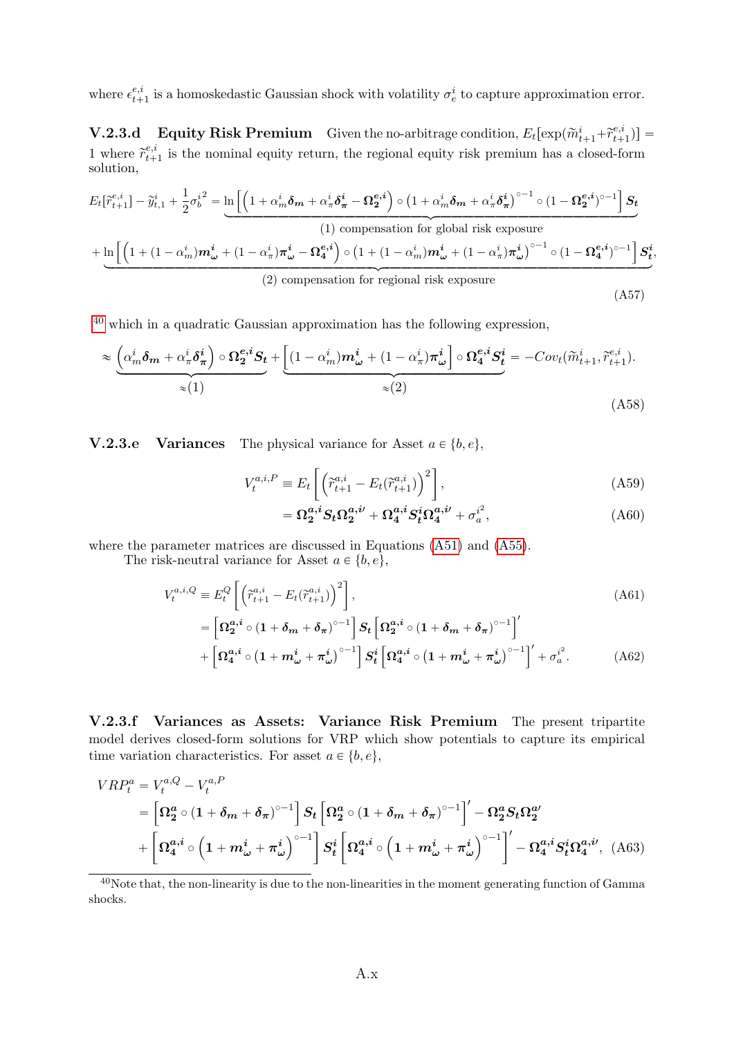where  $\epsilon_{t+1}^{e,i}$  $\epsilon_{t+1}^{e,i}$  is a homoskedastic Gaussian shock with volatility  $\sigma_e^i$  to capture approximation error.

**V.2.3.d** Equity Risk Premium Given the no-arbitrage condition,  $E_t[\exp(\widetilde{m}_{t+1}^i + \widetilde{r}_{t+1}^{e,i})]$  $\begin{bmatrix} e, i \\ t+1 \end{bmatrix}$  = 1 where  $\tilde{r}_{t+}^{e,i}$  $t_{t+1}^{e,i}$  is the nominal equity return, the regional equity risk premium has a closed-form solution,

$$
E_t[\tilde{r}_{t+1}^{e,i}] - \tilde{y}_{t,1}^i + \frac{1}{2}\sigma_b^{i^2} = \underbrace{\ln\left[\left(1 + \alpha_m^i \delta_m + \alpha_\pi^i \delta_\pi^i - \Omega_2^{e,i}\right) \circ \left(1 + \alpha_m^i \delta_m + \alpha_\pi^i \delta_\pi^i\right)^{\circ - 1} \circ \left(1 - \Omega_2^{e,i}\right)^{\circ - 1}\right] S_t}_{(1) \text{ compensation for global risk exposure}}
$$
\n
$$
+ \underbrace{\ln\left[\left(1 + (1 - \alpha_m^i)m_\omega^i + (1 - \alpha_\pi^i)\pi_\omega^i - \Omega_4^{e,i}\right) \circ \left(1 + (1 - \alpha_m^i)m_\omega^i + (1 - \alpha_\pi^i)\pi_\omega^i\right)^{\circ - 1} \circ \left(1 - \Omega_4^{e,i}\right)^{\circ - 1}\right] S_t^i}_{(2) \text{ compensation for regional risk exposure}},
$$
\n(A57)

[40](#page--1-0) which in a quadratic Gaussian approximation has the following expression,

$$
\approx \underbrace{\left(\alpha_m^i \delta_m + \alpha_\pi^i \delta_\pi^i\right) \circ \Omega_2^{e,i} S_t}_{\approx (1)} + \underbrace{\left[(1 - \alpha_m^i) m_\omega^i + (1 - \alpha_\pi^i) \pi_\omega^i\right] \circ \Omega_4^{e,i} S_t^i}_{\approx (2)} = -Cov_t(\widetilde{m}_{t+1}^i, \widetilde{r}_{t+1}^{e,i}).
$$
\n(A58)

**V.2.3.e** Variances The physical variance for Asset  $a \in \{b, e\}$ ,

$$
V_t^{a,i,P} \equiv E_t \left[ \left( \hat{r}_{t+1}^{a,i} - E_t(\hat{r}_{t+1}^{a,i}) \right)^2 \right], \tag{A59}
$$

$$
= \Omega_2^{a,i} S_t \Omega_2^{a,i'} + \Omega_4^{a,i} S_t^i \Omega_4^{a,i'} + \sigma_a^{i^2}, \tag{A60}
$$

where the parameter matrices are discussed in Equations [\(A51\)](#page-8-0) and [\(A55\)](#page-8-1).

The risk-neutral variance for Asset  $a \in \{b, e\},\$ 

$$
V_{t}^{a,i,Q} = E_{t}^{Q} \left[ \left( \tilde{r}_{t+1}^{a,i} - E_{t}(\tilde{r}_{t+1}^{a,i}) \right)^{2} \right],
$$
\n
$$
= \left[ \Omega_{2}^{a,i} \circ (1 + \delta_{m} + \delta_{\pi})^{\circ - 1} \right] S_{t} \left[ \Omega_{2}^{a,i} \circ (1 + \delta_{m} + \delta_{\pi})^{\circ - 1} \right]'
$$
\n
$$
+ \left[ \Omega_{4}^{a,i} \circ (1 + m_{\omega}^{i} + \pi_{\omega}^{i})^{\circ - 1} \right] S_{t}^{i} \left[ \Omega_{4}^{a,i} \circ (1 + m_{\omega}^{i} + \pi_{\omega}^{i})^{\circ - 1} \right]' + \sigma_{a}^{i^{2}}.
$$
\n(A62)

V.2.3.f Variances as Assets: Variance Risk Premium The present tripartite model derives closed-form solutions for VRP which show potentials to capture its empirical time variation characteristics. For asset  $a \in \{b, e\},\$ 

$$
VRP_{t}^{a} = V_{t}^{a,Q} - V_{t}^{a,P}
$$
  
=  $\left[\Omega_{2}^{a} \circ (1 + \delta_{m} + \delta_{\pi})^{\circ -1}\right] S_{t} \left[\Omega_{2}^{a} \circ (1 + \delta_{m} + \delta_{\pi})^{\circ -1}\right]' - \Omega_{2}^{a} S_{t} \Omega_{2}^{a} + \left[\Omega_{4}^{a,i} \circ \left(1 + m_{\omega}^{i} + \pi_{\omega}^{i}\right)^{\circ -1}\right] S_{t}^{i} \left[\Omega_{4}^{a,i} \circ \left(1 + m_{\omega}^{i} + \pi_{\omega}^{i}\right)^{\circ -1}\right]' - \Omega_{4}^{a,i} S_{t}^{i} \Omega_{4}^{a,i},$  (A63)

 $^{40}$ Note that, the non-linearity is due to the non-linearities in the moment generating function of Gamma shocks.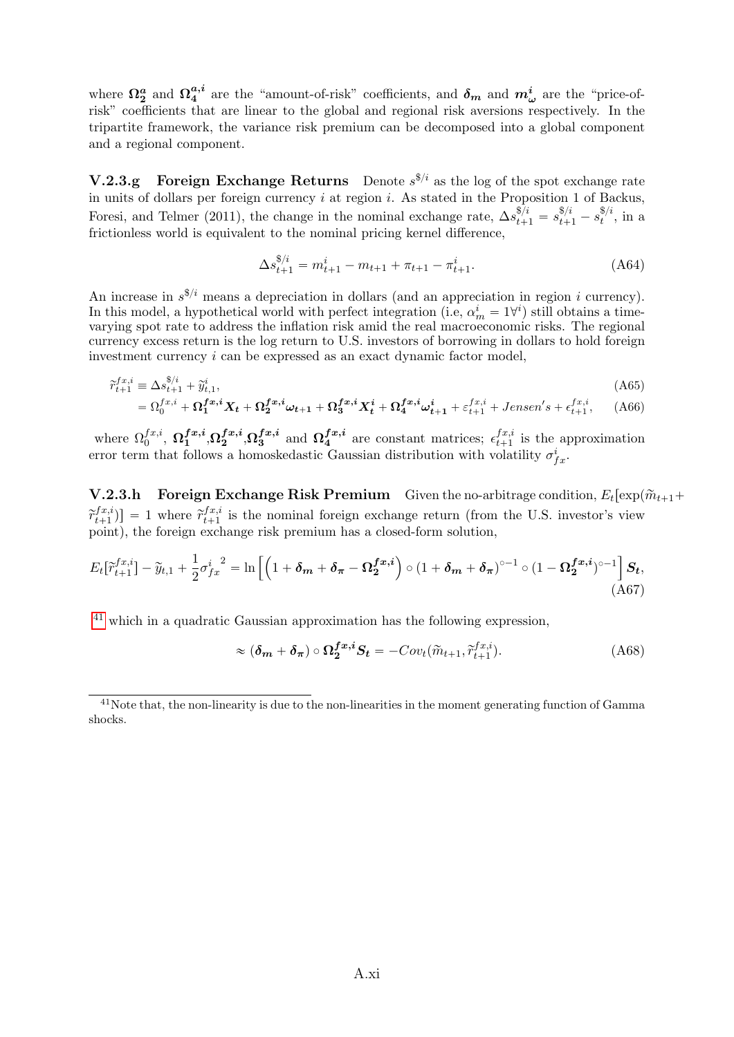where  $\Omega_2^a$  and  $\Omega_4^{a,i}$  $a_i^{\mathbf{a},i}$  are the "amount-of-risk" coefficients, and  $\delta_{m}$  and  $m^i_{\omega}$  are the "price-ofrisk" coefficients that are linear to the global and regional risk aversions respectively. In the tripartite framework, the variance risk premium can be decomposed into a global component and a regional component.

**V.2.3.g** Foreign Exchange Returns Denote  $s^{s/i}$  as the log of the spot exchange rate in units of dollars per foreign currency  $i$  at region  $i$ . As stated in the Proposition 1 of Backus, Foresi, and Telmer (2011), the change in the nominal exchange rate,  $\Delta s_{t+1}^{\$/i} = s_{t+1}^{\$/i} - s_t^{\$/i}$  $t^{^{\mathfrak{D}/i}}$ , in a frictionless world is equivalent to the nominal pricing kernel difference,

$$
\Delta s_{t+1}^{\$/\!i} = m_{t+1}^i - m_{t+1} + \pi_{t+1} - \pi_{t+1}^i. \tag{A64}
$$

An increase in  $s^{\frac{s}{i}}$  means a depreciation in dollars (and an appreciation in region i currency). In this model, a hypothetical world with perfect integration (i.e,  $\alpha_m^i = 1 \forall i$ ) still obtains a timevarying spot rate to address the inflation risk amid the real macroeconomic risks. The regional currency excess return is the log return to U.S. investors of borrowing in dollars to hold foreign investment currency i can be expressed as an exact dynamic factor model,

$$
\begin{split} \widetilde{r}_{t+1}^{f_{x,i}} & \equiv \Delta s_{t+1}^{s/i} + \widetilde{y}_{t,1}^{i}, \\ & = \Omega_0^{f_{x,i}} + \Omega_1^{f_{x,i}} X_t + \Omega_2^{f_{x,i}} \omega_{t+1} + \Omega_3^{f_{x,i}} X_t^i + \Omega_4^{f_{x,i}} \omega_{t+1}^i + \varepsilon_{t+1}^{f_{x,i}} + Jensen's + \epsilon_{t+1}^{f_{x,i}}, \end{split} \tag{A66}
$$

where  $\Omega_0^{fx,i}$ ,  $\Omega_1^{fx,i}$  $_{1}^{fx,i},\!\Omega_{2}^{fx,i}$  $_{2}^{fx,i},\!\Omega_{3}^{fx,i}$  $s^{fx,i}$  and  $\Omega_4^{fx,i}$  $f^{x,i}_4$  are constant matrices;  $\epsilon_{t+1}^{f_{x,i}}$  $t_{t+1}^{J,x,\imath}$  is the approximation error term that follows a homoskedastic Gaussian distribution with volatility  $\sigma_{fx}^{i}$ .

**V.2.3.h** Foreign Exchange Risk Premium Given the no-arbitrage condition,  $E_t[\exp(\widetilde{m}_{t+1}+\ldots+\widetilde{m}_{t+1}+\ldots+\widetilde{m}_{t+1}+\ldots+\widetilde{m}_{t+1}+\ldots+\widetilde{m}_{t+1}+\ldots+\widetilde{m}_{t+1}+\ldots+\widetilde{m}_{t+1}+\ldots+\widetilde{m}_{t+1}+\ldots+\widetilde{m}_{t+1}+\ldots+\widetilde{m}_{t+1}+\ldots+\wid$  $\widetilde{r}_{t+1}^{fx,i}$  $[t_{t+1}^{f_{x,i}}] = 1$  where  $\widetilde{r}_{t+1}^{f_{x,i}}$  $t_{t+1}^{Jx,i}$  is the nominal foreign exchange return (from the U.S. investor's view point), the foreign exchange risk premium has a closed-form solution,

$$
E_t[\widetilde{r}_{t+1}^{fx,i}] - \widetilde{y}_{t,1} + \frac{1}{2}\sigma_{fx}^{i^2} = \ln\left[\left(1 + \delta_m + \delta_\pi - \Omega_2^{fx,i}\right) \circ \left(1 + \delta_m + \delta_\pi\right)^{\circ - 1} \circ \left(1 - \Omega_2^{fx,i}\right)^{\circ - 1}\right]S_t,
$$
\n(A67)

<sup>[41](#page--1-0)</sup> which in a quadratic Gaussian approximation has the following expression,

$$
\approx (\delta_m + \delta_\pi) \circ \Omega_2^{fx,i} S_t = -Cov_t(\widetilde{m}_{t+1}, \widetilde{r}_{t+1}^{fx,i}). \tag{A68}
$$

<sup>&</sup>lt;sup>41</sup>Note that, the non-linearity is due to the non-linearities in the moment generating function of Gamma shocks.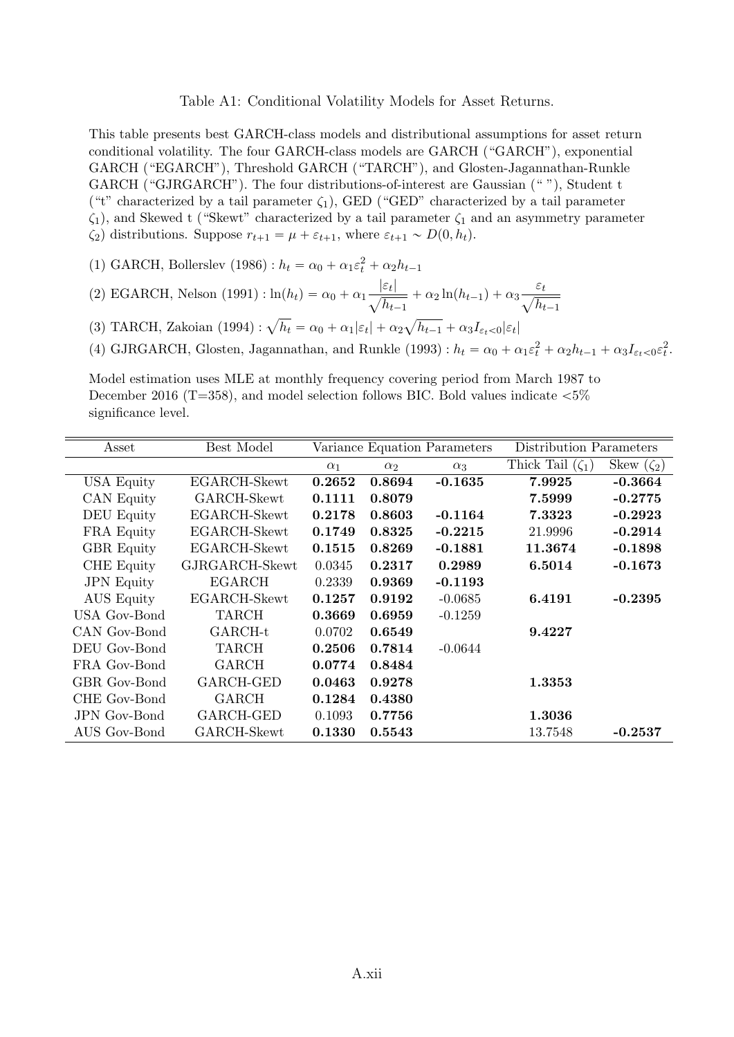#### Table A1: Conditional Volatility Models for Asset Returns.

This table presents best GARCH-class models and distributional assumptions for asset return conditional volatility. The four GARCH-class models are GARCH ("GARCH"), exponential GARCH ("EGARCH"), Threshold GARCH ("TARCH"), and Glosten-Jagannathan-Runkle GARCH ("GJRGARCH"). The four distributions-of-interest are Gaussian (" "), Student t ("t" characterized by a tail parameter  $\zeta_1$ ), GED ("GED" characterized by a tail parameter  $\zeta_1$ ), and Skewed t ("Skewt" characterized by a tail parameter  $\zeta_1$  and an asymmetry parameter  $\zeta_2$ ) distributions. Suppose  $r_{t+1} = \mu + \varepsilon_{t+1}$ , where  $\varepsilon_{t+1} \sim D(0, h_t)$ .

- (1) GARCH, Bollerslev (1986) :  $h_t = \alpha_0 + \alpha_1 \varepsilon_t^2 + \alpha_2 h_{t-1}$
- (2) EGARCH, Nelson (1991) :  $\ln(h_t) = \alpha_0 + \alpha_1 \frac{|\varepsilon_t|}{\sqrt{h_t}}$  $h_{t-1}$  $+\alpha_2 \ln(h_{t-1}) + \alpha_3 \frac{\varepsilon_t}{\sqrt{1}}$  $h_{t-1}$  $\mathbf{I}$
- (3) TARCH, Zakoian (1994) :  $\sqrt{h_t} = \alpha_0 + \alpha_1 |\varepsilon_t| + \alpha_2$  $|h_{t-1} + \alpha_3 I_{\varepsilon_t < 0} | \varepsilon_t|$
- (4) GJRGARCH, Glosten, Jagannathan, and Runkle (1993) :  $h_t = \alpha_0 + \alpha_1 \varepsilon_t^2 + \alpha_2 h_{t-1} + \alpha_3 I_{\varepsilon_t < 0} \varepsilon_t^2$ .

Model estimation uses MLE at monthly frequency covering period from March 1987 to December 2016 (T=358), and model selection follows BIC. Bold values indicate  $<5\%$ significance level.

| Asset               | Best Model     |            |            | Variance Equation Parameters | Distribution Parameters |                  |
|---------------------|----------------|------------|------------|------------------------------|-------------------------|------------------|
|                     |                | $\alpha_1$ | $\alpha_2$ | $\alpha_3$                   | Thick Tail $(\zeta_1)$  | Skew $(\zeta_2)$ |
| <b>USA Equity</b>   | EGARCH-Skewt   | 0.2652     | 0.8694     | $-0.1635$                    | 7.9925                  | $-0.3664$        |
| CAN Equity          | GARCH-Skewt    | 0.1111     | 0.8079     |                              | 7.5999                  | $-0.2775$        |
| <b>DEU</b> Equity   | EGARCH-Skewt   | 0.2178     | 0.8603     | $-0.1164$                    | 7.3323                  | $-0.2923$        |
| FRA Equity          | EGARCH-Skewt   | 0.1749     | 0.8325     | $-0.2215$                    | 21.9996                 | $-0.2914$        |
| <b>GBR</b> Equity   | EGARCH-Skewt   | 0.1515     | 0.8269     | $-0.1881$                    | 11.3674                 | $-0.1898$        |
| <b>CHE</b> Equity   | GJRGARCH-Skewt | 0.0345     | 0.2317     | 0.2989                       | 6.5014                  | $-0.1673$        |
| <b>JPN</b> Equity   | EGARCH         | 0.2339     | 0.9369     | $-0.1193$                    |                         |                  |
| <b>AUS</b> Equity   | EGARCH-Skewt   | 0.1257     | 0.9192     | $-0.0685$                    | 6.4191                  | $-0.2395$        |
| USA Gov-Bond        | <b>TARCH</b>   | 0.3669     | 0.6959     | $-0.1259$                    |                         |                  |
| CAN Gov-Bond        | GARCH-t        | 0.0702     | 0.6549     |                              | 9.4227                  |                  |
| DEU Gov-Bond        | <b>TARCH</b>   | 0.2506     | 0.7814     | $-0.0644$                    |                         |                  |
| FRA Gov-Bond        | <b>GARCH</b>   | 0.0774     | 0.8484     |                              |                         |                  |
| GBR Gov-Bond        | GARCH-GED      | 0.0463     | 0.9278     |                              | 1.3353                  |                  |
| CHE Gov-Bond        | <b>GARCH</b>   | 0.1284     | 0.4380     |                              |                         |                  |
| <b>JPN</b> Gov-Bond | GARCH-GED      | 0.1093     | 0.7756     |                              | 1.3036                  |                  |
| AUS Gov-Bond        | GARCH-Skewt    | 0.1330     | 0.5543     |                              | 13.7548                 | $-0.2537$        |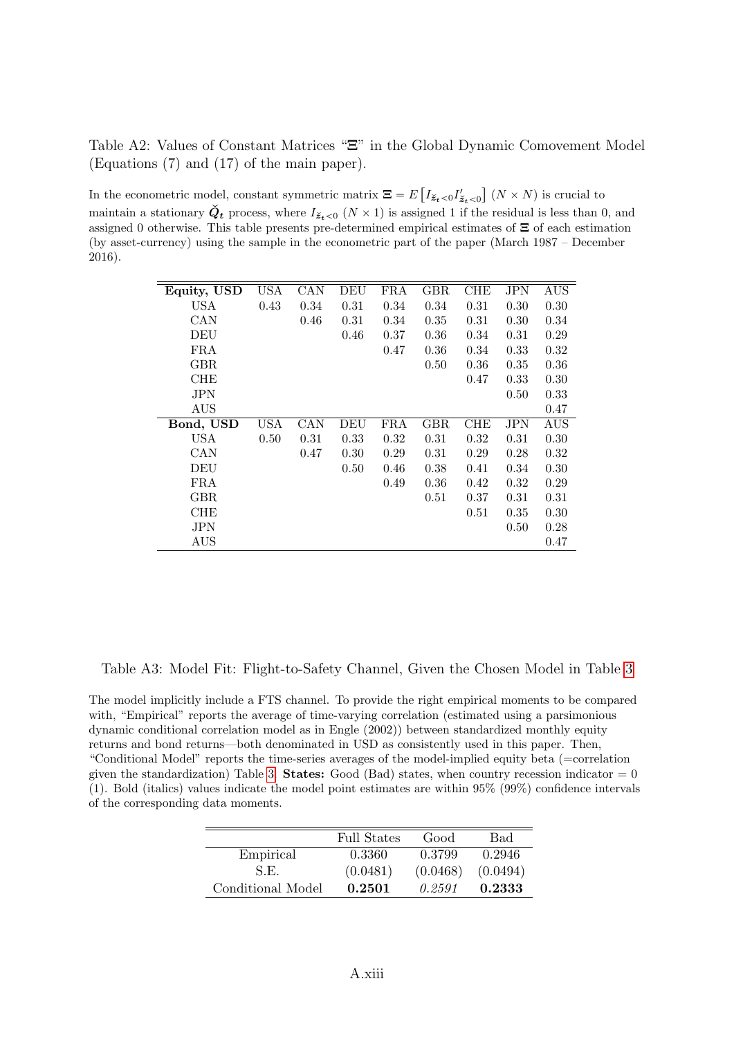Table A2: Values of Constant Matrices "Ξ" in the Global Dynamic Comovement Model (Equations (7) and (17) of the main paper).

In the econometric model, constant symmetric matrix  $\mathbf{\Xi} = E$ "  $I_{\check{\boldsymbol{z}}_t<0}I'_{\check{\boldsymbol{z}}_t<0}$ ‰  $(N \times N)$  is crucial to maintain a stationary  $\check{Q}_t$  process, where  $I_{\check{z}_t<0}$  ( $N\times1$ ) is assigned 1 if the residual is less than 0, and assigned 0 otherwise. This table presents pre-determined empirical estimates of Ξ of each estimation (by asset-currency) using the sample in the econometric part of the paper (March 1987 – December 2016).

| Equity, USD | <b>USA</b> | CAN  | DEU  | <b>FRA</b> | GBR        | CHE  | JPN        | <b>AUS</b> |
|-------------|------------|------|------|------------|------------|------|------------|------------|
| USA         | 0.43       | 0.34 | 0.31 | 0.34       | 0.34       | 0.31 | 0.30       | 0.30       |
| CAN         |            | 0.46 | 0.31 | 0.34       | 0.35       | 0.31 | 0.30       | 0.34       |
| DEU         |            |      | 0.46 | 0.37       | 0.36       | 0.34 | 0.31       | 0.29       |
| FRA         |            |      |      | 0.47       | 0.36       | 0.34 | 0.33       | 0.32       |
| GBR.        |            |      |      |            | 0.50       | 0.36 | 0.35       | 0.36       |
| CHE         |            |      |      |            |            | 0.47 | 0.33       | 0.30       |
| JPN         |            |      |      |            |            |      | 0.50       | 0.33       |
| AUS         |            |      |      |            |            |      |            | 0.47       |
| Bond, USD   | <b>USA</b> | CAN  | DEU  | <b>FRA</b> | <b>GBR</b> | CHE  | <b>JPN</b> | <b>AUS</b> |
| USA         | 0.50       | 0.31 | 0.33 | 0.32       | 0.31       | 0.32 | 0.31       | 0.30       |
| <b>CAN</b>  |            | 0.47 | 0.30 | 0.29       | 0.31       | 0.29 | 0.28       | 0.32       |
| DEU         |            |      | 0.50 | 0.46       | 0.38       | 0.41 | 0.34       | 0.30       |
| <b>FRA</b>  |            |      |      | 0.49       | 0.36       | 0.42 | 0.32       | 0.29       |
| <b>GBR</b>  |            |      |      |            | 0.51       | 0.37 | 0.31       | 0.31       |
| <b>CHE</b>  |            |      |      |            |            | 0.51 | 0.35       | 0.30       |
| <b>JPN</b>  |            |      |      |            |            |      | 0.50       | 0.28       |
| AUS         |            |      |      |            |            |      |            | 0.47       |

Table A3: Model Fit: Flight-to-Safety Channel, Given the Chosen Model in Table [3](#page--1-0)

The model implicitly include a FTS channel. To provide the right empirical moments to be compared with, "Empirical" reports the average of time-varying correlation (estimated using a parsimonious dynamic conditional correlation model as in Engle (2002)) between standardized monthly equity returns and bond returns—both denominated in USD as consistently used in this paper. Then, "Conditional Model" reports the time-series averages of the model-implied equity beta (=correlation given the standardization) Table [3.](#page--1-0) **States:** Good (Bad) states, when country recession indicator  $= 0$ (1). Bold (italics) values indicate the model point estimates are within 95% (99%) confidence intervals of the corresponding data moments.

|                   | <b>Full States</b> | Good     | Bad      |
|-------------------|--------------------|----------|----------|
| Empirical         | 0.3360             | 0.3799   | 0.2946   |
| S.E.              | (0.0481)           | (0.0468) | (0.0494) |
| Conditional Model | 0.2501             | 0.2591   | 0.2333   |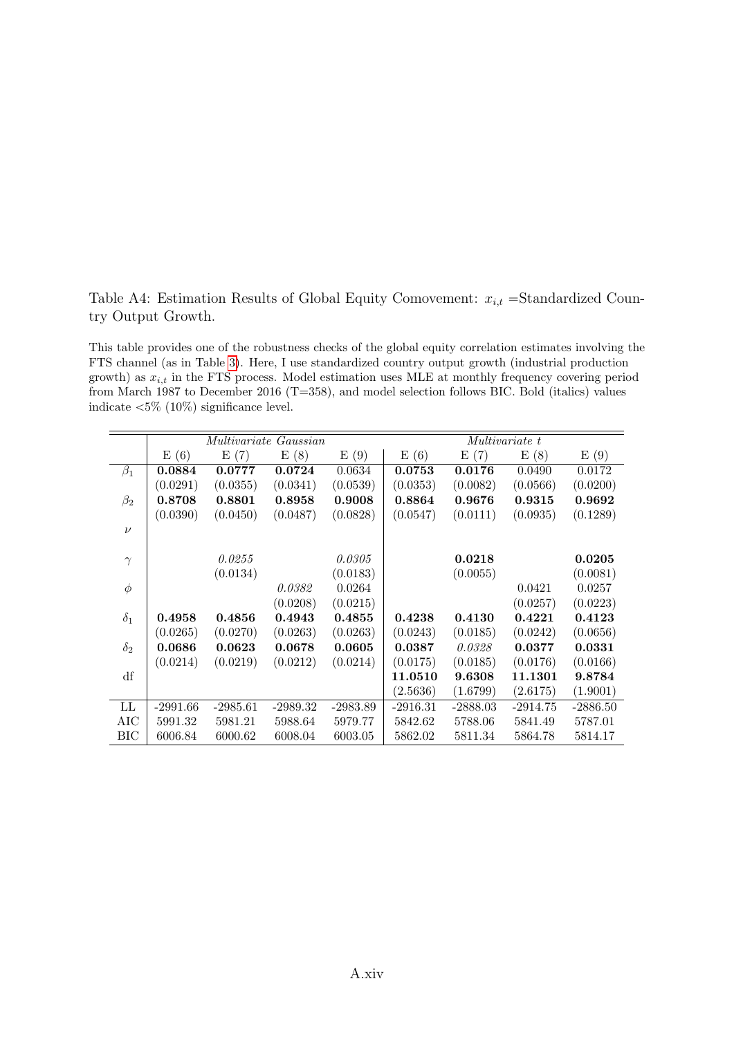Table A4: Estimation Results of Global Equity Comovement:  $x_{i,t}$  =Standardized Country Output Growth.

This table provides one of the robustness checks of the global equity correlation estimates involving the FTS channel (as in Table [3\)](#page--1-0). Here, I use standardized country output growth (industrial production growth) as  $x_{i,t}$  in the FTS process. Model estimation uses MLE at monthly frequency covering period from March 1987 to December 2016 (T=358), and model selection follows BIC. Bold (italics) values indicate  $<5\%$  (10%) significance level.

|            |            | Multivariate | Gaussian   |            |            |            | Multivariate t |            |
|------------|------------|--------------|------------|------------|------------|------------|----------------|------------|
|            | E(6)       | E(7)         | E(8)       | E(9)       | E(6)       | E(7)       | E(8)           | E(9)       |
| $\beta_1$  | 0.0884     | 0.0777       | 0.0724     | 0.0634     | 0.0753     | 0.0176     | 0.0490         | 0.0172     |
|            | (0.0291)   | (0.0355)     | (0.0341)   | (0.0539)   | (0.0353)   | (0.0082)   | (0.0566)       | (0.0200)   |
| $\beta_2$  | 0.8708     | 0.8801       | 0.8958     | 0.9008     | 0.8864     | 0.9676     | 0.9315         | 0.9692     |
|            | (0.0390)   | (0.0450)     | (0.0487)   | (0.0828)   | (0.0547)   | (0.0111)   | (0.0935)       | (0.1289)   |
| $\nu$      |            |              |            |            |            |            |                |            |
|            |            |              |            |            |            |            |                |            |
| $\gamma$   |            | 0.0255       |            | 0.0305     |            | 0.0218     |                | 0.0205     |
|            |            | (0.0134)     |            | (0.0183)   |            | (0.0055)   |                | (0.0081)   |
| $\phi$     |            |              | 0.0382     | 0.0264     |            |            | 0.0421         | 0.0257     |
|            |            |              | (0.0208)   | (0.0215)   |            |            | (0.0257)       | (0.0223)   |
| $\delta_1$ | 0.4958     | 0.4856       | 0.4943     | 0.4855     | 0.4238     | 0.4130     | 0.4221         | 0.4123     |
|            | (0.0265)   | (0.0270)     | (0.0263)   | (0.0263)   | (0.0243)   | (0.0185)   | (0.0242)       | (0.0656)   |
| $\delta_2$ | 0.0686     | 0.0623       | 0.0678     | 0.0605     | 0.0387     | 0.0328     | 0.0377         | 0.0331     |
|            | (0.0214)   | (0.0219)     | (0.0212)   | (0.0214)   | (0.0175)   | (0.0185)   | (0.0176)       | (0.0166)   |
| df         |            |              |            |            | 11.0510    | 9.6308     | 11.1301        | 9.8784     |
|            |            |              |            |            | (2.5636)   | (1.6799)   | (2.6175)       | (1.9001)   |
| LL         | $-2991.66$ | $-2985.61$   | $-2989.32$ | $-2983.89$ | $-2916.31$ | $-2888.03$ | $-2914.75$     | $-2886.50$ |
| AIC        | 5991.32    | 5981.21      | 5988.64    | 5979.77    | 5842.62    | 5788.06    | 5841.49        | 5787.01    |
| ВIС        | 6006.84    | 6000.62      | 6008.04    | 6003.05    | 5862.02    | 5811.34    | 5864.78        | 5814.17    |
|            |            |              |            |            |            |            |                |            |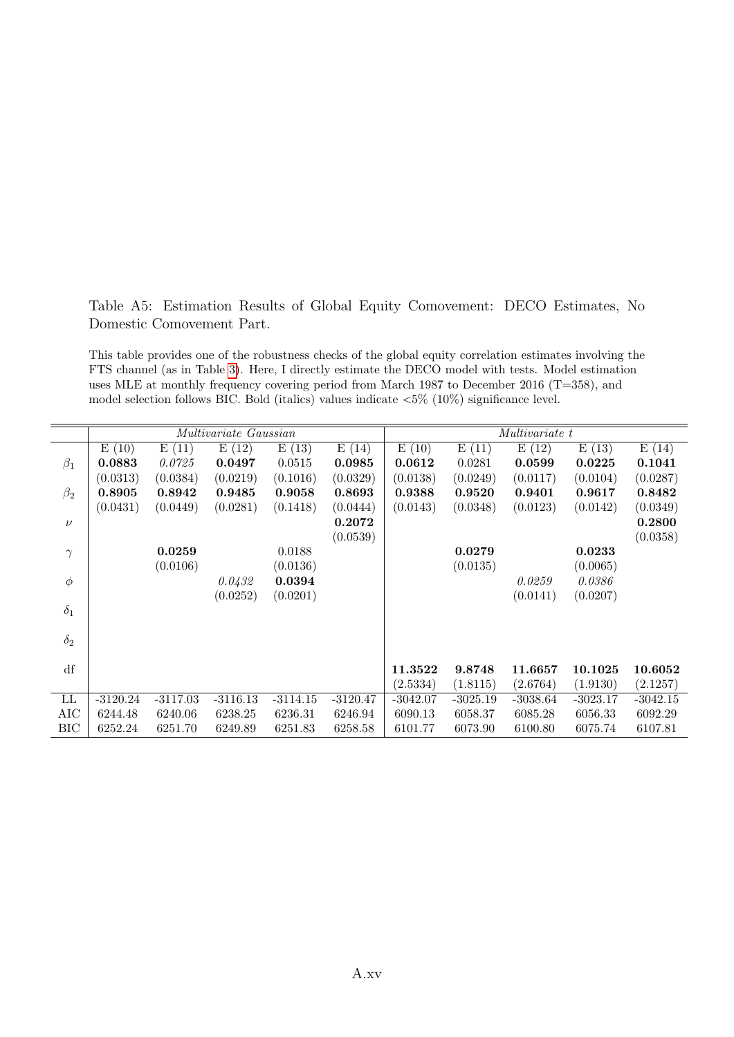Table A5: Estimation Results of Global Equity Comovement: DECO Estimates, No Domestic Comovement Part.

This table provides one of the robustness checks of the global equity correlation estimates involving the FTS channel (as in Table [3\)](#page--1-0). Here, I directly estimate the DECO model with tests. Model estimation uses MLE at monthly frequency covering period from March 1987 to December 2016 (T=358), and model selection follows BIC. Bold (italics) values indicate  $< 5\%$  (10%) significance level.

|            |            |            | <i>Multivariate Gaussian</i> |            |            | <i>Multivariate t</i> |            |            |            |            |  |  |
|------------|------------|------------|------------------------------|------------|------------|-----------------------|------------|------------|------------|------------|--|--|
|            | E(10)      | E(11)      | E(12)                        | E(13)      | E(14)      | E(10)                 | E(11)      | E(12)      | E(13)      | E(14)      |  |  |
| $\beta_1$  | 0.0883     | 0.0725     | 0.0497                       | 0.0515     | 0.0985     | 0.0612                | 0.0281     | 0.0599     | 0.0225     | 0.1041     |  |  |
|            | (0.0313)   | (0.0384)   | (0.0219)                     | (0.1016)   | (0.0329)   | (0.0138)              | (0.0249)   | (0.0117)   | (0.0104)   | (0.0287)   |  |  |
| $\beta_2$  | 0.8905     | 0.8942     | 0.9485                       | 0.9058     | 0.8693     | 0.9388                | 0.9520     | 0.9401     | 0.9617     | 0.8482     |  |  |
|            | (0.0431)   | (0.0449)   | (0.0281)                     | (0.1418)   | (0.0444)   | (0.0143)              | (0.0348)   | (0.0123)   | (0.0142)   | (0.0349)   |  |  |
| $\nu$      |            |            |                              |            | 0.2072     |                       |            |            |            | 0.2800     |  |  |
|            |            |            |                              |            | (0.0539)   |                       |            |            |            | (0.0358)   |  |  |
| $\gamma$   |            | 0.0259     |                              | 0.0188     |            |                       | 0.0279     |            | 0.0233     |            |  |  |
|            |            | (0.0106)   |                              | (0.0136)   |            |                       | (0.0135)   |            | (0.0065)   |            |  |  |
| $\phi$     |            |            | 0.0432                       | 0.0394     |            |                       |            | 0.0259     | 0.0386     |            |  |  |
|            |            |            | (0.0252)                     | (0.0201)   |            |                       |            | (0.0141)   | (0.0207)   |            |  |  |
| $\delta_1$ |            |            |                              |            |            |                       |            |            |            |            |  |  |
|            |            |            |                              |            |            |                       |            |            |            |            |  |  |
| $\delta_2$ |            |            |                              |            |            |                       |            |            |            |            |  |  |
|            |            |            |                              |            |            |                       |            |            |            |            |  |  |
| df         |            |            |                              |            |            | 11.3522               | 9.8748     | 11.6657    | 10.1025    | 10.6052    |  |  |
|            |            |            |                              |            |            | (2.5334)              | (1.8115)   | (2.6764)   | (1.9130)   | (2.1257)   |  |  |
| LL         | $-3120.24$ | $-3117.03$ | $-3116.13$                   | $-3114.15$ | $-3120.47$ | $-3042.07$            | $-3025.19$ | $-3038.64$ | $-3023.17$ | $-3042.15$ |  |  |
| AIC        | 6244.48    | 6240.06    | 6238.25                      | 6236.31    | 6246.94    | 6090.13               | 6058.37    | 6085.28    | 6056.33    | 6092.29    |  |  |
| BIC        | 6252.24    | 6251.70    | 6249.89                      | 6251.83    | 6258.58    | 6101.77               | 6073.90    | 6100.80    | 6075.74    | 6107.81    |  |  |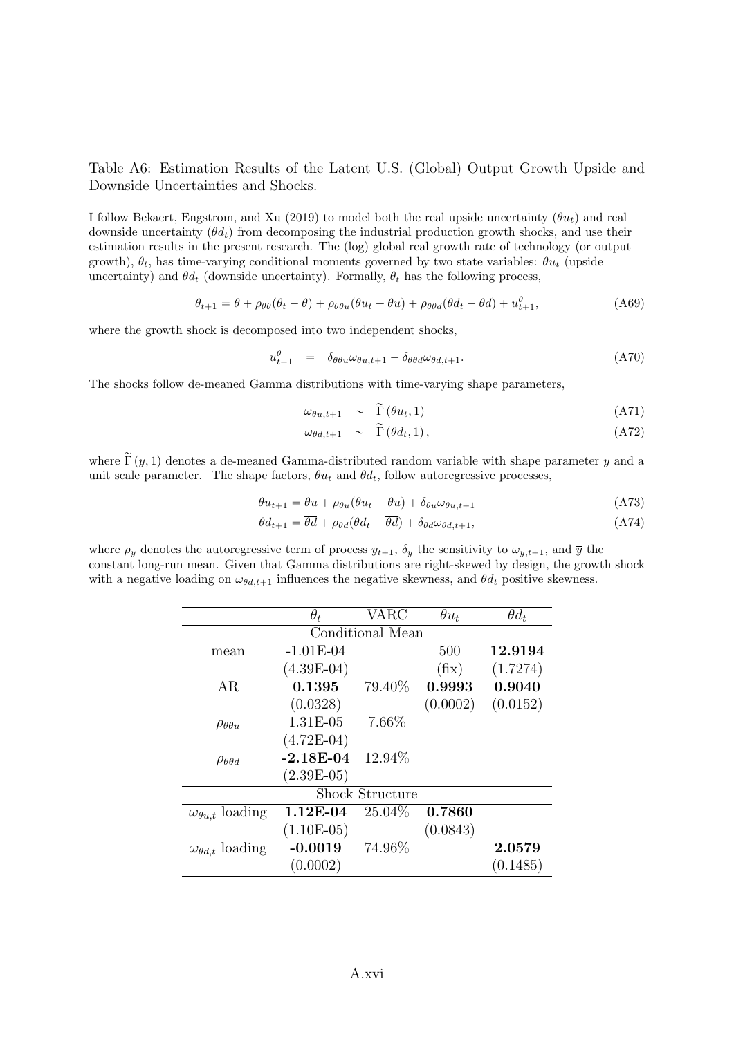Table A6: Estimation Results of the Latent U.S. (Global) Output Growth Upside and Downside Uncertainties and Shocks.

I follow Bekaert, Engstrom, and Xu (2019) to model both the real upside uncertainty  $(\theta u_t)$  and real downside uncertainty  $(\theta d_t)$  from decomposing the industrial production growth shocks, and use their estimation results in the present research. The (log) global real growth rate of technology (or output growth),  $\theta_t$ , has time-varying conditional moments governed by two state variables:  $\theta u_t$  (upside uncertainty) and  $\theta d_t$  (downside uncertainty). Formally,  $\theta_t$  has the following process,

$$
\theta_{t+1} = \overline{\theta} + \rho_{\theta\theta}(\theta_t - \overline{\theta}) + \rho_{\theta\theta u}(\theta u_t - \overline{\theta u}) + \rho_{\theta\theta d}(\theta d_t - \overline{\theta d}) + u_{t+1}^{\theta},\tag{A69}
$$

where the growth shock is decomposed into two independent shocks,

$$
u_{t+1}^{\theta} = \delta_{\theta\theta u} \omega_{\theta u, t+1} - \delta_{\theta\theta d} \omega_{\theta d, t+1}.
$$
 (A70)

The shocks follow de-meaned Gamma distributions with time-varying shape parameters,

$$
\omega_{\theta u, t+1} \sim \widetilde{\Gamma}(\theta u_t, 1) \tag{A71}
$$

<span id="page-15-0"></span>
$$
\omega_{\theta d,t+1} \sim \widetilde{\Gamma}(\theta d_t, 1), \qquad (A72)
$$

where  $\tilde{\Gamma}(y, 1)$  denotes a de-meaned Gamma-distributed random variable with shape parameter y and a unit scale parameter. The shape factors,  $\theta u_t$  and  $\theta d_t$ , follow autoregressive processes,

$$
\theta u_{t+1} = \overline{\theta u} + \rho_{\theta u} (\theta u_t - \overline{\theta u}) + \delta_{\theta u} \omega_{\theta u, t+1}
$$
\n(A73)

$$
\theta d_{t+1} = \overline{\theta d} + \rho_{\theta d} (\theta d_t - \overline{\theta d}) + \delta_{\theta d} \omega_{\theta d, t+1}, \qquad (A74)
$$

where  $\rho_y$  denotes the autoregressive term of process  $y_{t+1}, \delta_y$  the sensitivity to  $\omega_{y,t+1}$ , and  $\overline{y}$  the constant long-run mean. Given that Gamma distributions are right-skewed by design, the growth shock with a negative loading on  $\omega_{\theta d,t+1}$  influences the negative skewness, and  $\theta d_t$  positive skewness.

|                               | $\theta_t$   | VARC             | $\theta u_t$ | $\theta d_t$ |
|-------------------------------|--------------|------------------|--------------|--------------|
|                               |              | Conditional Mean |              |              |
| mean                          | $-1.01E-04$  |                  | 500          | 12.9194      |
|                               | $(4.39E-04)$ |                  | (fix)        | (1.7274)     |
| AR                            | 0.1395       | 79.40%           | 0.9993       | 0.9040       |
|                               | (0.0328)     |                  | (0.0002)     | (0.0152)     |
| $\rho_{\theta\theta u}$       | 1.31E-05     | 7.66%            |              |              |
|                               | $(4.72E-04)$ |                  |              |              |
| $\rho_{\theta\theta d}$       | $-2.18E-04$  | 12.94%           |              |              |
|                               | $(2.39E-05)$ |                  |              |              |
|                               |              | Shock Structure  |              |              |
| $\omega_{\theta u,t}$ loading | 1.12E-04     | 25.04\%          | 0.7860       |              |
|                               | $(1.10E-05)$ |                  | (0.0843)     |              |
| $\omega_{\theta d,t}$ loading | $-0.0019$    | 74.96%           |              | 2.0579       |
|                               | (0.0002)     |                  |              | (0.1485)     |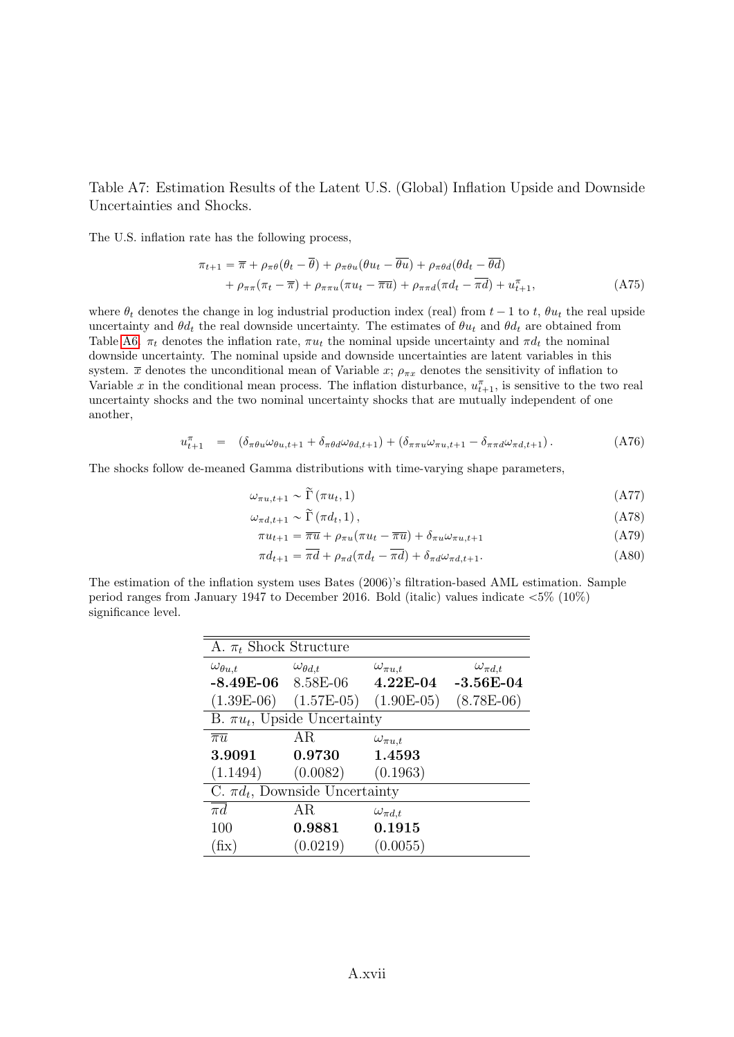Table A7: Estimation Results of the Latent U.S. (Global) Inflation Upside and Downside Uncertainties and Shocks.

The U.S. inflation rate has the following process,

$$
\pi_{t+1} = \overline{\pi} + \rho_{\pi\theta}(\theta_t - \theta) + \rho_{\pi\theta u}(\theta u_t - \theta u) + \rho_{\pi\theta d}(\theta d_t - \theta d) \n+ \rho_{\pi\pi}(\pi_t - \overline{\pi}) + \rho_{\pi\pi u}(\pi u_t - \overline{\pi u}) + \rho_{\pi\pi d}(\pi d_t - \overline{\pi d}) + u_{t+1}^{\pi},
$$
\n(A75)

where  $\theta_t$  denotes the change in log industrial production index (real) from  $t - 1$  to t,  $\theta u_t$  the real upside uncertainty and  $\theta d_t$  the real downside uncertainty. The estimates of  $\theta u_t$  and  $\theta d_t$  are obtained from Table [A6.](#page-15-0)  $\pi_t$  denotes the inflation rate,  $\pi u_t$  the nominal upside uncertainty and  $\pi d_t$  the nominal downside uncertainty. The nominal upside and downside uncertainties are latent variables in this system.  $\bar{x}$  denotes the unconditional mean of Variable x;  $\rho_{\pi x}$  denotes the sensitivity of inflation to Variable x in the conditional mean process. The inflation disturbance,  $u_{t+1}^{\pi}$ , is sensitive to the two real uncertainty shocks and the two nominal uncertainty shocks that are mutually independent of one another,

$$
u_{t+1}^{\pi} = (\delta_{\pi\theta u}\omega_{\theta u,t+1} + \delta_{\pi\theta d}\omega_{\theta d,t+1}) + (\delta_{\pi\pi u}\omega_{\pi u,t+1} - \delta_{\pi\pi d}\omega_{\pi d,t+1}). \tag{A76}
$$

The shocks follow de-meaned Gamma distributions with time-varying shape parameters,

$$
\omega_{\pi u, t+1} \sim \widetilde{\Gamma}(\pi u_t, 1) \tag{A77}
$$

$$
\omega_{\pi d, t+1} \sim \widetilde{\Gamma}(\pi d_t, 1), \tag{A78}
$$

$$
\pi u_{t+1} = \overline{\pi u} + \rho_{\pi u} (\pi u_t - \overline{\pi u}) + \delta_{\pi u} \omega_{\pi u, t+1}
$$
\n(A79)

<span id="page-16-0"></span>
$$
\pi d_{t+1} = \overline{\pi d} + \rho_{\pi d} (\pi d_t - \overline{\pi d}) + \delta_{\pi d} \omega_{\pi d, t+1}.
$$
\n(A80)

The estimation of the inflation system uses Bates (2006)'s filtration-based AML estimation. Sample period ranges from January 1947 to December 2016. Bold (italic) values indicate  $\langle 5\% | 10\% \rangle$ significance level.

| A. $\pi_t$ Shock Structure |                                        |                    |                    |  |  |  |  |  |  |  |  |  |
|----------------------------|----------------------------------------|--------------------|--------------------|--|--|--|--|--|--|--|--|--|
| $\omega_{\theta u.t}$      | $\omega_{\theta d,t}$                  | $\omega_{\pi u,t}$ | $\omega_{\pi d,t}$ |  |  |  |  |  |  |  |  |  |
| $-8.49E-06$ 8.58E-06       |                                        | $4.22E-04$         | $-3.56E-04$        |  |  |  |  |  |  |  |  |  |
|                            | $(1.39E-06)$ $(1.57E-05)$ $(1.90E-05)$ |                    | $(8.78E-06)$       |  |  |  |  |  |  |  |  |  |
|                            | B. $\pi u_t$ , Upside Uncertainty      |                    |                    |  |  |  |  |  |  |  |  |  |
| $\overline{\pi u}$         | AR.                                    | $\omega_{\pi u,t}$ |                    |  |  |  |  |  |  |  |  |  |
| 3.9091                     | 0.9730                                 | 1.4593             |                    |  |  |  |  |  |  |  |  |  |
| (1.1494)                   | (0.0082)                               | (0.1963)           |                    |  |  |  |  |  |  |  |  |  |
|                            | C. $\pi d_t$ , Downside Uncertainty    |                    |                    |  |  |  |  |  |  |  |  |  |
| $\pi d$                    | AR.                                    | $\omega_{\pi d,t}$ |                    |  |  |  |  |  |  |  |  |  |
| 100                        | 0.9881                                 | 0.1915             |                    |  |  |  |  |  |  |  |  |  |
| fix)                       | (0.0219)                               | (0.0055)           |                    |  |  |  |  |  |  |  |  |  |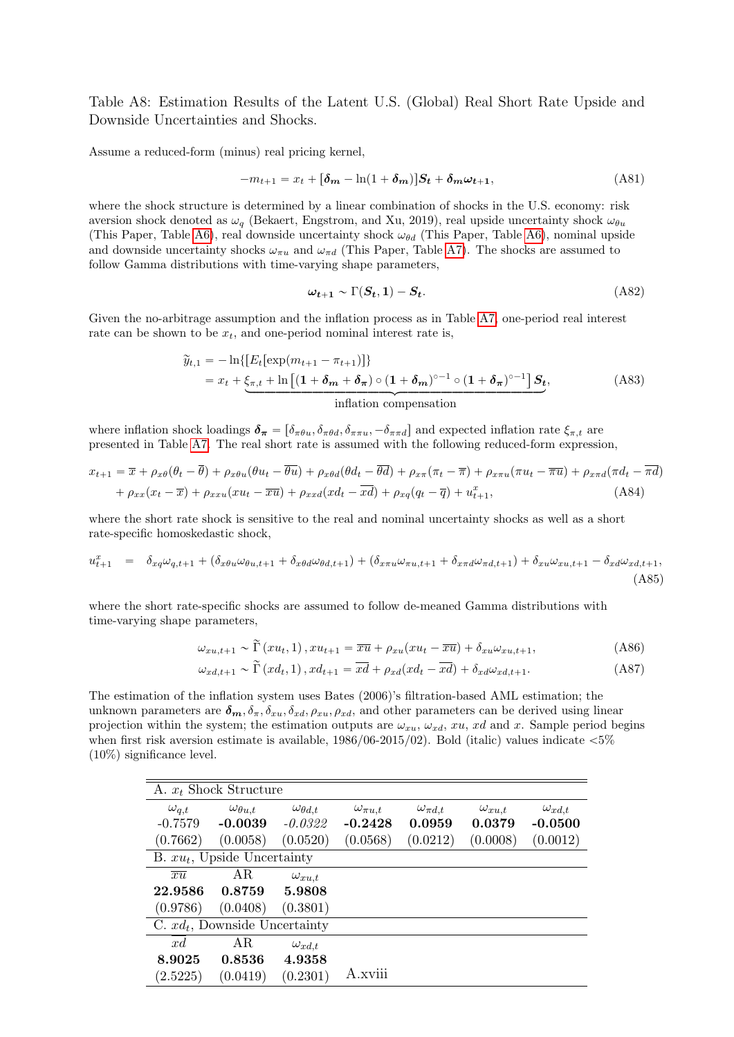Table A8: Estimation Results of the Latent U.S. (Global) Real Short Rate Upside and Downside Uncertainties and Shocks.

Assume a reduced-form (minus) real pricing kernel,

$$
-m_{t+1} = x_t + [\delta_m - \ln(1 + \delta_m)]S_t + \delta_m \omega_{t+1},
$$
\n(A81)

where the shock structure is determined by a linear combination of shocks in the U.S. economy: risk aversion shock denoted as  $\omega_q$  (Bekaert, Engstrom, and Xu, 2019), real upside uncertainty shock  $\omega_{\theta u}$ (This Paper, Table [A6\)](#page-15-0), real downside uncertainty shock  $\omega_{\theta d}$  (This Paper, Table A6), nominal upside and downside uncertainty shocks  $\omega_{\pi u}$  and  $\omega_{\pi d}$  (This Paper, Table [A7\)](#page-16-0). The shocks are assumed to follow Gamma distributions with time-varying shape parameters,

$$
\omega_{t+1} \sim \Gamma(S_t, 1) - S_t. \tag{A82}
$$

Given the no-arbitrage assumption and the inflation process as in Table [A7,](#page-16-0) one-period real interest rate can be shown to be  $x_t$ , and one-period nominal interest rate is,

$$
\widetilde{y}_{t,1} = -\ln\{ \left[ E_t \left[ \exp(m_{t+1} - \pi_{t+1}) \right] \right\} \n= x_t + \underbrace{\xi_{\pi,t} + \ln \left[ (1 + \delta_m + \delta_\pi) \circ (1 + \delta_m)^{\circ - 1} \circ (1 + \delta_\pi)^{\circ - 1} \right] S_t}_{\text{inflation compensation}},
$$
\n(A83)

where inflation shock loadings  $\delta_{\pi} = [\delta_{\pi\theta u}, \delta_{\pi\theta d}, \delta_{\pi\pi u}, -\delta_{\pi\pi d}]$  and expected inflation rate  $\xi_{\pi,t}$  are presented in Table [A7.](#page-16-0) The real short rate is assumed with the following reduced-form expression,

$$
x_{t+1} = \overline{x} + \rho_{x\theta}(\theta_t - \theta) + \rho_{x\theta u}(\theta u_t - \theta u) + \rho_{x\theta d}(\theta d_t - \theta d) + \rho_{x\pi}(\pi_t - \overline{\pi}) + \rho_{x\pi u}(\pi u_t - \overline{\pi u}) + \rho_{x\pi d}(\pi d_t - \pi d)
$$
  
+ 
$$
\rho_{xx}(x_t - \overline{x}) + \rho_{x\pi u}(xu_t - \overline{xu}) + \rho_{xxd}(xd_t - \overline{xd}) + \rho_{xq}(q_t - \overline{q}) + u_{t+1}^x, \tag{A84}
$$

where the short rate shock is sensitive to the real and nominal uncertainty shocks as well as a short rate-specific homoskedastic shock,

$$
u_{t+1}^x = \delta_{xq}\omega_{q,t+1} + (\delta_{x\theta u}\omega_{\theta u,t+1} + \delta_{x\theta d}\omega_{\theta d,t+1}) + (\delta_{x\pi u}\omega_{\pi u,t+1} + \delta_{x\pi d}\omega_{\pi d,t+1}) + \delta_{xu}\omega_{xu,t+1} - \delta_{xd}\omega_{xd,t+1},
$$
\n(A85)

where the short rate-specific shocks are assumed to follow de-meaned Gamma distributions with time-varying shape parameters,

$$
\omega_{xu,t+1} \sim \widetilde{\Gamma}(xu_t, 1), xu_{t+1} = \overline{xu} + \rho_{xu}(xu_t - \overline{xu}) + \delta_{xu}\omega_{xu,t+1},
$$
\n(A86)

<span id="page-17-0"></span>
$$
\omega_{xd,t+1} \sim \widetilde{\Gamma}(xd_t, 1), x d_{t+1} = \overline{xd} + \rho_{xd}(xd_t - \overline{xd}) + \delta_{xd}\omega_{xd,t+1}.
$$
 (A87)

The estimation of the inflation system uses Bates (2006)'s filtration-based AML estimation; the unknown parameters are  $\delta_m$ ,  $\delta_{\pi}$ ,  $\delta_{xu}$ ,  $\delta_{xd}$ ,  $\rho_{xu}$ ,  $\rho_{xd}$ , and other parameters can be derived using linear projection within the system; the estimation outputs are  $\omega_{xu}$ ,  $\omega_{xd}$ ,  $xu$ ,  $xd$  and x. Sample period begins when first risk aversion estimate is available,  $1986/06-2015/02$ ). Bold (italic) values indicate  $<5\%$ (10%) significance level.

|                 | A. $x_t$ Shock Structure         |                       |                    |                    |                 |                 |
|-----------------|----------------------------------|-----------------------|--------------------|--------------------|-----------------|-----------------|
| $\omega_{q,t}$  | $\omega_{\theta u,t}$            | $\omega_{\theta d,t}$ | $\omega_{\pi u,t}$ | $\omega_{\pi d,t}$ | $\omega_{xu,t}$ | $\omega_{xd,t}$ |
| $-0.7579$       | $-0.0039$                        | $-0.0322$             | $-0.2428$          | 0.0959             | 0.0379          | $-0.0500$       |
| (0.7662)        | (0.0058)                         | (0.0520)              | (0.0568)           | (0.0212)           | (0.0008)        | (0.0012)        |
|                 | B. $xu_t$ , Upside Uncertainty   |                       |                    |                    |                 |                 |
| $\overline{xu}$ | AR                               | $\omega_{xu,t}$       |                    |                    |                 |                 |
| 22.9586         | 0.8759                           | 5.9808                |                    |                    |                 |                 |
| (0.9786)        | (0.0408)                         | (0.3801)              |                    |                    |                 |                 |
|                 | C. $xd_t$ , Downside Uncertainty |                       |                    |                    |                 |                 |
| x d             | AR                               | $\omega_{xd,t}$       |                    |                    |                 |                 |
| 8.9025          | 0.8536                           | 4.9358                |                    |                    |                 |                 |
| (2.5225)        | (0.0419)                         | (0.2301)              | .xviii             |                    |                 |                 |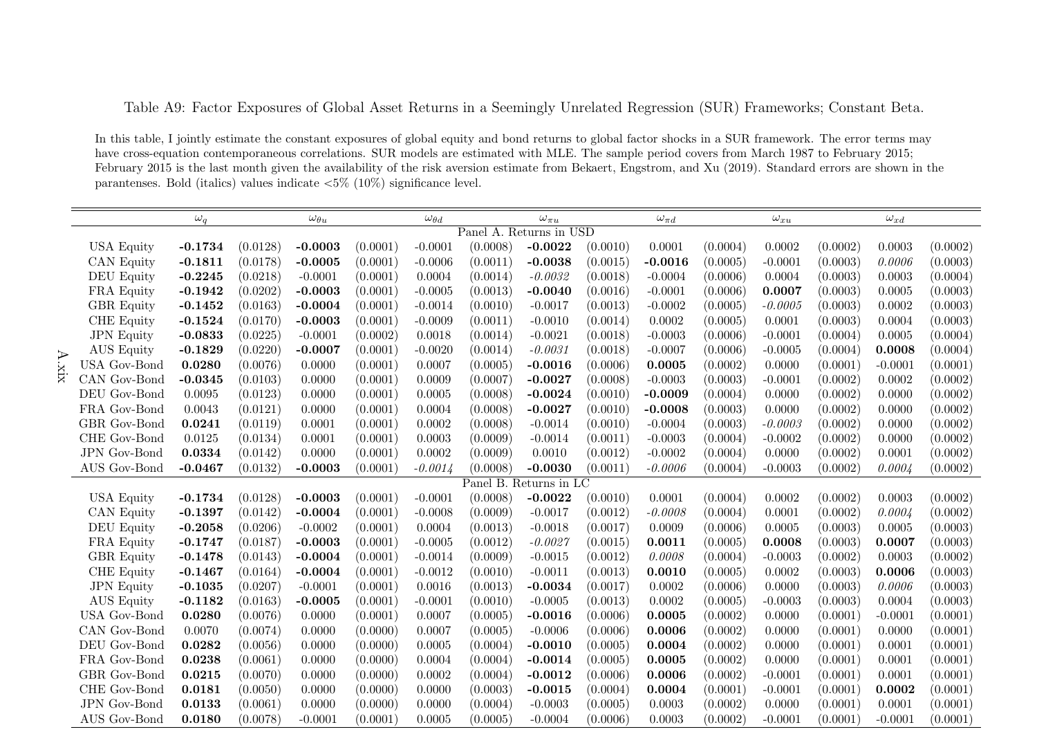### Table A9: Factor Exposures of Global Asset Returns in <sup>a</sup> Seemingly Unrelated Regression (SUR) Frameworks; Constant Beta.

In this table, I jointly estimate the constant exposures of global equity and bond returns to global factor shocks in a SUR framework. The error terms may have cross-equation contemporaneous correlations. SUR models are estimated with MLE. The sample period covers from March 1987 to February 2015; February <sup>2015</sup> is the last month <sup>g</sup>iven the availability of the risk aversion estimate from Bekaert, Engstrom, and Xu (2019). Standard errors are shown in the parantenses. Bold (italics) values indicate  $\langle 5\% \rangle$  (10%) significance level.

|                     | $\omega_q$ |          | $\omega_{\theta u}$ |          | $\omega_{\theta d}$ |          | $\omega_{\pi u}$        |          | $\omega_{\pi d}$ |          | $\omega_{xu}$ |          | $\omega_{xd}$ |          |
|---------------------|------------|----------|---------------------|----------|---------------------|----------|-------------------------|----------|------------------|----------|---------------|----------|---------------|----------|
|                     |            |          |                     |          |                     |          | Panel A. Returns in USD |          |                  |          |               |          |               |          |
| <b>USA Equity</b>   | $-0.1734$  | (0.0128) | $-0.0003$           | (0.0001) | $-0.0001$           | (0.0008) | $-0.0022$               | (0.0010) | 0.0001           | (0.0004) | 0.0002        | (0.0002) | 0.0003        | (0.0002) |
| CAN Equity          | $-0.1811$  | (0.0178) | $-0.0005$           | (0.0001) | $-0.0006$           | (0.0011) | $-0.0038$               | (0.0015) | $-0.0016$        | (0.0005) | $-0.0001$     | (0.0003) | 0.0006        | (0.0003) |
| <b>DEU</b> Equity   | $-0.2245$  | (0.0218) | $-0.0001$           | (0.0001) | 0.0004              | (0.0014) | $-0.0032$               | (0.0018) | $-0.0004$        | (0.0006) | 0.0004        | (0.0003) | 0.0003        | (0.0004) |
| FRA Equity          | $-0.1942$  | (0.0202) | $-0.0003$           | (0.0001) | $-0.0005$           | (0.0013) | $-0.0040$               | (0.0016) | $-0.0001$        | (0.0006) | 0.0007        | (0.0003) | 0.0005        | (0.0003) |
| GBR Equity          | $-0.1452$  | (0.0163) | $-0.0004$           | (0.0001) | $-0.0014$           | (0.0010) | $-0.0017$               | (0.0013) | $-0.0002$        | (0.0005) | $-0.0005$     | (0.0003) | 0.0002        | (0.0003) |
| <b>CHE</b> Equity   | $-0.1524$  | (0.0170) | $-0.0003$           | (0.0001) | $-0.0009$           | (0.0011) | $-0.0010$               | (0.0014) | 0.0002           | (0.0005) | 0.0001        | (0.0003) | 0.0004        | (0.0003) |
| <b>JPN</b> Equity   | $-0.0833$  | (0.0225) | $-0.0001$           | (0.0002) | 0.0018              | (0.0014) | $-0.0021$               | (0.0018) | $-0.0003$        | (0.0006) | $-0.0001$     | (0.0004) | 0.0005        | (0.0004) |
| <b>AUS</b> Equity   | $-0.1829$  | (0.0220) | $-0.0007$           | (0.0001) | $-0.0020$           | (0.0014) | $-0.0031$               | (0.0018) | $-0.0007$        | (0.0006) | $-0.0005$     | (0.0004) | 0.0008        | (0.0004) |
| <b>USA Gov-Bond</b> | 0.0280     | (0.0076) | 0.0000              | (0.0001) | 0.0007              | (0.0005) | $-0.0016$               | (0.0006) | 0.0005           | (0.0002) | 0.0000        | (0.0001) | $-0.0001$     | (0.0001) |
| CAN Gov-Bond        | $-0.0345$  | (0.0103) | 0.0000              | (0.0001) | 0.0009              | (0.0007) | $-0.0027$               | (0.0008) | $-0.0003$        | (0.0003) | $-0.0001$     | (0.0002) | 0.0002        | (0.0002) |
| DEU Gov-Bond        | 0.0095     | (0.0123) | 0.0000              | (0.0001) | 0.0005              | (0.0008) | $-0.0024$               | (0.0010) | $-0.0009$        | (0.0004) | 0.0000        | (0.0002) | 0.0000        | (0.0002) |
| FRA Gov-Bond        | 0.0043     | (0.0121) | 0.0000              | (0.0001) | 0.0004              | (0.0008) | $-0.0027$               | (0.0010) | $-0.0008$        | (0.0003) | 0.0000        | (0.0002) | 0.0000        | (0.0002) |
| GBR Gov-Bond        | 0.0241     | (0.0119) | 0.0001              | (0.0001) | 0.0002              | (0.0008) | $-0.0014$               | (0.0010) | $-0.0004$        | (0.0003) | $-0.0003$     | (0.0002) | 0.0000        | (0.0002) |
| CHE Gov-Bond        | 0.0125     | (0.0134) | 0.0001              | (0.0001) | 0.0003              | (0.0009) | $-0.0014$               | (0.0011) | $-0.0003$        | (0.0004) | $-0.0002$     | (0.0002) | 0.0000        | (0.0002) |
| JPN Gov-Bond        | 0.0334     | (0.0142) | 0.0000              | (0.0001) | 0.0002              | (0.0009) | 0.0010                  | (0.0012) | $-0.0002$        | (0.0004) | 0.0000        | (0.0002) | 0.0001        | (0.0002) |
| AUS Gov-Bond        | $-0.0467$  | (0.0132) | $-0.0003$           | (0.0001) | $-0.0014$           | (0.0008) | $-0.0030$               | (0.0011) | $-0.0006$        | (0.0004) | $-0.0003$     | (0.0002) | 0.0004        | (0.0002) |
|                     |            |          |                     |          |                     |          | Panel B. Returns in LC  |          |                  |          |               |          |               |          |
| <b>USA Equity</b>   | $-0.1734$  | (0.0128) | $-0.0003$           | (0.0001) | $-0.0001$           | (0.0008) | $-0.0022$               | (0.0010) | 0.0001           | (0.0004) | 0.0002        | (0.0002) | 0.0003        | (0.0002) |
| CAN Equity          | $-0.1397$  | (0.0142) | $-0.0004$           | (0.0001) | $-0.0008$           | (0.0009) | $-0.0017$               | (0.0012) | $-0.0008$        | (0.0004) | 0.0001        | (0.0002) | 0.0004        | (0.0002) |
| <b>DEU</b> Equity   | $-0.2058$  | (0.0206) | $-0.0002$           | (0.0001) | 0.0004              | (0.0013) | $-0.0018$               | (0.0017) | 0.0009           | (0.0006) | 0.0005        | (0.0003) | 0.0005        | (0.0003) |
| FRA Equity          | $-0.1747$  | (0.0187) | $-0.0003$           | (0.0001) | $-0.0005$           | (0.0012) | $-0.0027$               | (0.0015) | 0.0011           | (0.0005) | 0.0008        | (0.0003) | 0.0007        | (0.0003) |
| <b>GBR</b> Equity   | $-0.1478$  | (0.0143) | $-0.0004$           | (0.0001) | $-0.0014$           | (0.0009) | $-0.0015$               | (0.0012) | 0.0008           | (0.0004) | $-0.0003$     | (0.0002) | 0.0003        | (0.0002) |
| CHE Equity          | $-0.1467$  | (0.0164) | $-0.0004$           | (0.0001) | $-0.0012$           | (0.0010) | $-0.0011$               | (0.0013) | 0.0010           | (0.0005) | 0.0002        | (0.0003) | 0.0006        | (0.0003) |
| <b>JPN</b> Equity   | $-0.1035$  | (0.0207) | $-0.0001$           | (0.0001) | 0.0016              | (0.0013) | $-0.0034$               | (0.0017) | 0.0002           | (0.0006) | 0.0000        | (0.0003) | 0.0006        | (0.0003) |
| <b>AUS</b> Equity   | $-0.1182$  | (0.0163) | $-0.0005$           | (0.0001) | $-0.0001$           | (0.0010) | $-0.0005$               | (0.0013) | 0.0002           | (0.0005) | $-0.0003$     | (0.0003) | 0.0004        | (0.0003) |
| <b>USA Gov-Bond</b> | 0.0280     | (0.0076) | 0.0000              | (0.0001) | 0.0007              | (0.0005) | $-0.0016$               | (0.0006) | 0.0005           | (0.0002) | 0.0000        | (0.0001) | $-0.0001$     | (0.0001) |
| CAN Gov-Bond        | 0.0070     | (0.0074) | 0.0000              | (0.0000) | 0.0007              | (0.0005) | $-0.0006$               | (0.0006) | 0.0006           | (0.0002) | 0.0000        | (0.0001) | 0.0000        | (0.0001) |
| DEU Gov-Bond        | 0.0282     | (0.0056) | 0.0000              | (0.0000) | 0.0005              | (0.0004) | $-0.0010$               | (0.0005) | 0.0004           | (0.0002) | 0.0000        | (0.0001) | 0.0001        | (0.0001) |
| FRA Gov-Bond        | 0.0238     | (0.0061) | 0.0000              | (0.0000) | 0.0004              | (0.0004) | $-0.0014$               | (0.0005) | 0.0005           | (0.0002) | 0.0000        | (0.0001) | 0.0001        | (0.0001) |
| GBR Gov-Bond        | 0.0215     | (0.0070) | 0.0000              | (0.0000) | 0.0002              | (0.0004) | $-0.0012$               | (0.0006) | 0.0006           | (0.0002) | $-0.0001$     | (0.0001) | 0.0001        | (0.0001) |
| CHE Gov-Bond        | 0.0181     | (0.0050) | 0.0000              | (0.0000) | 0.0000              | (0.0003) | $-0.0015$               | (0.0004) | 0.0004           | (0.0001) | $-0.0001$     | (0.0001) | 0.0002        | (0.0001) |
| JPN Gov-Bond        | 0.0133     | (0.0061) | 0.0000              | (0.0000) | 0.0000              | (0.0004) | $-0.0003$               | (0.0005) | 0.0003           | (0.0002) | 0.0000        | (0.0001) | 0.0001        | (0.0001) |
| AUS Gov-Bond        | 0.0180     | (0.0078) | $-0.0001$           | (0.0001) | 0.0005              | (0.0005) | $-0.0004$               | (0.0006) | 0.0003           | (0.0002) | $-0.0001$     | (0.0001) | $-0.0001$     | (0.0001) |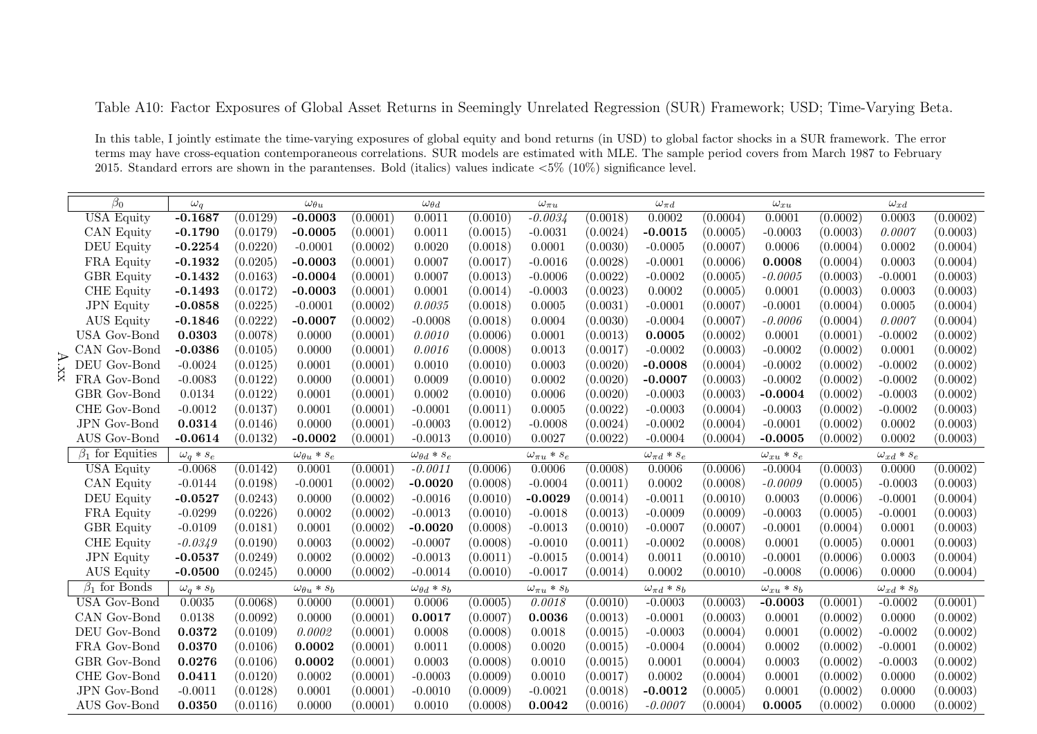Table A10: Factor Exposures of Global Asset Returns in Seemingly Unrelated Regression (SUR) Framework; USD; Time-Varying Beta.

In this table, <sup>I</sup> jointly estimate the time-varying exposures of <sup>g</sup>lobal equity and bond returns (in USD) to <sup>g</sup>lobal factor shocks in <sup>a</sup> SUR framework. The error terms may have cross-equation contemporaneous correlations. SUR models are estimated with MLE. The sample period covers from March <sup>1987</sup> to February 2015. Standard errors are shown in the parantenses. Bold (italics) values indicate  $\langle 5\% | (10\%)$  significance level.

| $\beta_0$              | $\omega_q$       |          | $\omega_{\theta u}$     |          | $\omega_{\theta d}$       |          | $\omega_{\pi u}$     |          | $\omega_{\pi d}$       |          | $\omega_{xu}$           |          | $\omega_{xd}$       |          |
|------------------------|------------------|----------|-------------------------|----------|---------------------------|----------|----------------------|----------|------------------------|----------|-------------------------|----------|---------------------|----------|
| <b>USA Equity</b>      | $-0.1687$        | (0.0129) | $-0.0003$               | (0.0001) | 0.0011                    | (0.0010) | $-0.0034$            | (0.0018) | 0.0002                 | (0.0004) | 0.0001                  | (0.0002) | 0.0003              | (0.0002) |
| CAN Equity             | $-0.1790$        | (0.0179) | $-0.0005$               | (0.0001) | 0.0011                    | (0.0015) | $-0.0031$            | (0.0024) | $-0.0015$              | (0.0005) | $-0.0003$               | (0.0003) | 0.0007              | (0.0003) |
| <b>DEU</b> Equity      | $-0.2254$        | (0.0220) | $-0.0001$               | (0.0002) | 0.0020                    | (0.0018) | 0.0001               | (0.0030) | $-0.0005$              | (0.0007) | 0.0006                  | (0.0004) | 0.0002              | (0.0004) |
| FRA Equity             | $-0.1932$        | (0.0205) | $-0.0003$               | (0.0001) | 0.0007                    | (0.0017) | $-0.0016$            | (0.0028) | $-0.0001$              | (0.0006) | 0.0008                  | (0.0004) | 0.0003              | (0.0004) |
| <b>GBR</b> Equity      | $-0.1432$        | (0.0163) | $-0.0004$               | (0.0001) | 0.0007                    | (0.0013) | $-0.0006$            | (0.0022) | $-0.0002$              | (0.0005) | $-0.0005$               | (0.0003) | $-0.0001$           | (0.0003) |
| CHE Equity             | $-0.1493$        | (0.0172) | $-0.0003$               | (0.0001) | 0.0001                    | (0.0014) | $-0.0003$            | (0.0023) | 0.0002                 | (0.0005) | 0.0001                  | (0.0003) | 0.0003              | (0.0003) |
| <b>JPN</b> Equity      | $-0.0858$        | (0.0225) | $-0.0001$               | (0.0002) | 0.0035                    | (0.0018) | 0.0005               | (0.0031) | $-0.0001$              | (0.0007) | $-0.0001$               | (0.0004) | 0.0005              | (0.0004) |
| <b>AUS</b> Equity      | $-0.1846$        | (0.0222) | $-0.0007$               | (0.0002) | $-0.0008$                 | (0.0018) | 0.0004               | (0.0030) | $-0.0004$              | (0.0007) | $-0.0006$               | (0.0004) | 0.0007              | (0.0004) |
| <b>USA Gov-Bond</b>    | 0.0303           | (0.0078) | 0.0000                  | (0.0001) | 0.0010                    | (0.0006) | 0.0001               | (0.0013) | 0.0005                 | (0.0002) | 0.0001                  | (0.0001) | $-0.0002$           | (0.0002) |
| CAN Gov-Bond           | $-0.0386$        | (0.0105) | 0.0000                  | (0.0001) | 0.0016                    | (0.0008) | 0.0013               | (0.0017) | $-0.0002$              | (0.0003) | $-0.0002$               | (0.0002) | 0.0001              | (0.0002) |
| DEU Gov-Bond           | $-0.0024$        | (0.0125) | 0.0001                  | (0.0001) | 0.0010                    | (0.0010) | 0.0003               | (0.0020) | $-0.0008$              | (0.0004) | $-0.0002$               | (0.0002) | $-0.0002$           | (0.0002) |
| FRA Gov-Bond           | $-0.0083$        | (0.0122) | 0.0000                  | (0.0001) | 0.0009                    | (0.0010) | 0.0002               | (0.0020) | $-0.0007$              | (0.0003) | $-0.0002$               | (0.0002) | $-0.0002$           | (0.0002) |
| GBR Gov-Bond           | 0.0134           | (0.0122) | 0.0001                  | (0.0001) | 0.0002                    | (0.0010) | 0.0006               | (0.0020) | $-0.0003$              | (0.0003) | $-0.0004$               | (0.0002) | $-0.0003$           | (0.0002) |
| CHE Gov-Bond           | $-0.0012$        | (0.0137) | 0.0001                  | (0.0001) | $-0.0001$                 | (0.0011) | 0.0005               | (0.0022) | $-0.0003$              | (0.0004) | $-0.0003$               | (0.0002) | $-0.0002$           | (0.0003) |
| JPN Gov-Bond           | 0.0314           | (0.0146) | 0.0000                  | (0.0001) | $-0.0003$                 | (0.0012) | $-0.0008$            | (0.0024) | $-0.0002$              | (0.0004) | $-0.0001$               | (0.0002) | 0.0002              | (0.0003) |
| AUS Gov-Bond           | $-0.0614$        | (0.0132) | $-0.0002$               | (0.0001) | $-0.0013$                 | (0.0010) | 0.0027               | (0.0022) | $-0.0004$              | (0.0004) | $-0.0005$               | (0.0002) | 0.0002              | (0.0003) |
| $\beta_1$ for Equities | $\omega_q * s_e$ |          | $\omega_{\theta u}*s_e$ |          | $\omega_{\theta d} * s_e$ |          | $\omega_{\pi u}*s_e$ |          | $\omega_{\pi d} * s_e$ |          | $\omega_{xu} * s_e$     |          | $\omega_{xd} * s_e$ |          |
| <b>USA Equity</b>      | $-0.0068$        | (0.0142) | 0.0001                  | (0.0001) | $-0.0011$                 | (0.0006) | 0.0006               | (0.0008) | 0.0006                 | (0.0006) | $-0.0004$               | (0.0003) | 0.0000              | (0.0002) |
| CAN Equity             | $-0.0144$        | (0.0198) | $-0.0001$               | (0.0002) | $-0.0020$                 | (0.0008) | $-0.0004$            | (0.0011) | 0.0002                 | (0.0008) | $-0.0009$               | (0.0005) | $-0.0003$           | (0.0003) |
| DEU Equity             | $-0.0527$        | (0.0243) | 0.0000                  | (0.0002) | $-0.0016$                 | (0.0010) | $-0.0029$            | (0.0014) | $-0.0011$              | (0.0010) | 0.0003                  | (0.0006) | $-0.0001$           | (0.0004) |
| FRA Equity             | $-0.0299$        | (0.0226) | 0.0002                  | (0.0002) | $-0.0013$                 | (0.0010) | $-0.0018$            | (0.0013) | $-0.0009$              | (0.0009) | $-0.0003$               | (0.0005) | $-0.0001$           | (0.0003) |
| <b>GBR</b> Equity      | $-0.0109$        | (0.0181) | 0.0001                  | (0.0002) | $-0.0020$                 | (0.0008) | $-0.0013$            | (0.0010) | $-0.0007$              | (0.0007) | $-0.0001$               | (0.0004) | 0.0001              | (0.0003) |
| <b>CHE</b> Equity      | $-0.0349$        | (0.0190) | 0.0003                  | (0.0002) | $-0.0007$                 | (0.0008) | $-0.0010$            | (0.0011) | $-0.0002$              | (0.0008) | 0.0001                  | (0.0005) | 0.0001              | (0.0003) |
| <b>JPN</b> Equity      | $-0.0537$        | (0.0249) | 0.0002                  | (0.0002) | $-0.0013$                 | (0.0011) | $-0.0015$            | (0.0014) | 0.0011                 | (0.0010) | $-0.0001$               | (0.0006) | 0.0003              | (0.0004) |
| <b>AUS</b> Equity      | $-0.0500$        | (0.0245) | 0.0000                  | (0.0002) | $-0.0014$                 | (0.0010) | $-0.0017$            | (0.0014) | 0.0002                 | (0.0010) | $-0.0008$               | (0.0006) | 0.0000              | (0.0004) |
| $\beta_1$ for Bonds    | $\omega_q * s_b$ |          | $\omega_{\theta u}*s_b$ |          | $\omega_{\theta d} * s_b$ |          | $\omega_{\pi u}*s_b$ |          | $\omega_{\pi d} * s_b$ |          | $\omega_{xu}\ast s_{b}$ |          | $\omega_{xd} * s_b$ |          |
| <b>USA Gov-Bond</b>    | 0.0035           | (0.0068) | 0.0000                  | (0.0001) | 0.0006                    | (0.0005) | 0.0018               | (0.0010) | $-0.0003$              | (0.0003) | $-0.0003$               | (0.0001) | $-0.0002$           | (0.0001) |
| CAN Gov-Bond           | 0.0138           | (0.0092) | 0.0000                  | (0.0001) | 0.0017                    | (0.0007) | 0.0036               | (0.0013) | $-0.0001$              | (0.0003) | 0.0001                  | (0.0002) | 0.0000              | (0.0002) |
| DEU Gov-Bond           | 0.0372           | (0.0109) | 0.0002                  | (0.0001) | 0.0008                    | (0.0008) | 0.0018               | (0.0015) | $-0.0003$              | (0.0004) | 0.0001                  | (0.0002) | $-0.0002$           | (0.0002) |
| FRA Gov-Bond           | 0.0370           | (0.0106) | 0.0002                  | (0.0001) | 0.0011                    | (0.0008) | 0.0020               | (0.0015) | $-0.0004$              | (0.0004) | 0.0002                  | (0.0002) | $-0.0001$           | (0.0002) |
| GBR Gov-Bond           | 0.0276           | (0.0106) | 0.0002                  | (0.0001) | 0.0003                    | (0.0008) | 0.0010               | (0.0015) | 0.0001                 | (0.0004) | 0.0003                  | (0.0002) | $-0.0003$           | (0.0002) |
| CHE Gov-Bond           | 0.0411           | (0.0120) | 0.0002                  | (0.0001) | $-0.0003$                 | (0.0009) | 0.0010               | (0.0017) | 0.0002                 | (0.0004) | 0.0001                  | (0.0002) | 0.0000              | (0.0002) |
| <b>JPN</b> Gov-Bond    | $-0.0011$        | (0.0128) | 0.0001                  | (0.0001) | $-0.0010$                 | (0.0009) | $-0.0021$            | (0.0018) | $-0.0012$              | (0.0005) | 0.0001                  | (0.0002) | 0.0000              | (0.0003) |
| AUS Gov-Bond           | 0.0350           | (0.0116) | 0.0000                  | (0.0001) | 0.0010                    | (0.0008) | 0.0042               | (0.0016) | $-0.0007$              | (0.0004) | 0.0005                  | (0.0002) | 0.0000              | (0.0002) |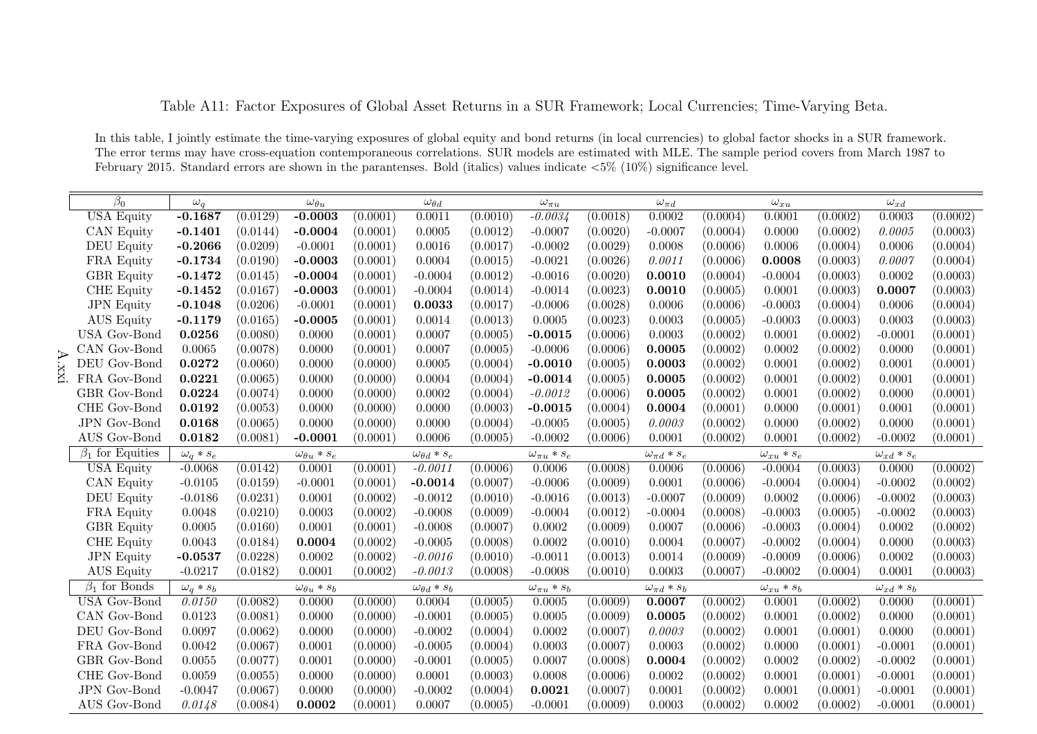Table A11: Factor Exposures of Global Asset Returns in <sup>a</sup> SUR Framework; Local Currencies; Time-Varying Beta.

In this table, I jointly estimate the time-varying exposures of global equity and bond returns (in local currencies) to global factor shocks in a SUR framework. The error terms may have cross-equation contemporaneous correlations. SUR models are estimated with MLE. The sample period covers from March <sup>1987</sup> to February 2015. Standard errors are shown in the parantenses. Bold (italics) values indicate  $\langle 5\% | (10\%)$  significance level.

| $\beta_0$<br>$\omega_q$<br>$\omega_{\theta d}$<br>$\omega_{\pi u}$<br>$\omega_{\pi d}$<br>$\omega_{xd}$<br>$\omega_{\theta u}$<br>$\omega_{xu}$<br><b>USA Equity</b><br>0.0002<br>0.0011<br>$-0.0034$<br>0.0003<br>$-0.1687$<br>(0.0129)<br>$-0.0003$<br>(0.0001)<br>(0.0010)<br>(0.0018)<br>(0.0004)<br>0.0001<br>(0.0002)<br>(0.0002)<br>$-0.0007$<br>(0.0003)<br>CAN Equity<br>(0.0144)<br>$-0.0004$<br>(0.0001)<br>0.0005<br>(0.0012)<br>$-0.0007$<br>(0.0020)<br>(0.0004)<br>0.0000<br>(0.0002)<br>0.0005<br>$-0.1401$<br><b>DEU</b> Equity<br>$-0.2066$<br>(0.0209)<br>$-0.0001$<br>(0.0001)<br>0.0016<br>$-0.0002$<br>(0.0029)<br>0.0008<br>(0.0006)<br>0.0006<br>(0.0004)<br>0.0006<br>(0.0004)<br>(0.0017)<br>FRA Equity<br>$-0.0003$<br>0.0004<br>$-0.0021$<br>0.0011<br>0.0008<br>(0.0004)<br>$-0.1734$<br>(0.0190)<br>(0.0001)<br>(0.0015)<br>(0.0026)<br>(0.0006)<br>(0.0003)<br>0.0007<br><b>GBR</b> Equity<br>$-0.0004$<br>$-0.0016$<br>0.0010<br>$-0.0004$<br>0.0002<br>(0.0003)<br>$-0.1472$<br>(0.0145)<br>$-0.0004$<br>(0.0001)<br>(0.0012)<br>(0.0020)<br>(0.0004)<br>(0.0003)<br><b>CHE</b> Equity<br>$-0.1452$<br>(0.0167)<br>$-0.0003$<br>(0.0001)<br>$-0.0004$<br>(0.0014)<br>$-0.0014$<br>(0.0023)<br>0.0010<br>0.0001<br>(0.0003)<br>0.0007<br>(0.0003)<br>(0.0005)<br><b>JPN</b> Equity<br>$-0.0006$<br>0.0006<br>(0.0206)<br>$-0.0001$<br>(0.0001)<br>0.0033<br>(0.0028)<br>$-0.0003$<br>0.0006<br>(0.0004)<br>$-0.1048$<br>(0.0017)<br>(0.0006)<br>(0.0004)<br><b>AUS</b> Equity<br>$-0.0005$<br>0.0014<br>0.0005<br>0.0003<br>$-0.0003$<br>$-0.1179$<br>(0.0165)<br>(0.0001)<br>(0.0013)<br>(0.0023)<br>(0.0005)<br>(0.0003)<br>0.0003<br>(0.0003)<br>0.0003<br><b>USA Gov-Bond</b><br>0.0256<br>(0.0080)<br>0.0000<br>0.0007<br>$-0.0015$<br>(0.0002)<br>0.0001<br>(0.0002)<br>$-0.0001$<br>(0.0001)<br>(0.0001)<br>(0.0005)<br>(0.0006)<br>CAN Gov-Bond<br>0.0002<br>0.0065<br>(0.0078)<br>0.0000<br>(0.0001)<br>0.0007<br>(0.0005)<br>$-0.0006$<br>(0.0006)<br>0.0005<br>(0.0002)<br>(0.0002)<br>0.0000<br>(0.0001)<br>DEU Gov-Bond<br>0.0272<br>(0.0060)<br>0.0000<br>0.0005<br>$-0.0010$<br>(0.0005)<br>0.0001<br>0.0001<br>(0.0001)<br>(0.0000)<br>(0.0004)<br>0.0003<br>(0.0002)<br>(0.0002)<br>FRA Gov-Bond<br>0.0221<br>(0.0065)<br>0.0004<br>$-0.0014$<br>0.0001<br>0.0001<br>(0.0001)<br>0.0000<br>(0.0000)<br>(0.0004)<br>(0.0005)<br>0.0005<br>(0.0002)<br>(0.0002)<br>GBR Gov-Bond<br>0.0224<br>(0.0074)<br>0.0000<br>(0.0000)<br>0.0002<br>$-0.0012$<br>(0.0006)<br>0.0005<br>0.0001<br>0.0000<br>(0.0001)<br>(0.0004)<br>(0.0002)<br>(0.0002)<br>CHE Gov-Bond<br>0.0192<br>(0.0053)<br>0.0000<br>(0.0000)<br>0.0000<br>(0.0003)<br>$-0.0015$<br>(0.0004)<br>0.0004<br>(0.0001)<br>0.0000<br>(0.0001)<br>0.0001<br>(0.0001)<br><b>JPN</b> Gov-Bond<br>0.0168<br>(0.0065)<br>0.0000<br>(0.0000)<br>0.0000<br>(0.0004)<br>$-0.0005$<br>(0.0005)<br>0.0003<br>(0.0002)<br>0.0000<br>(0.0002)<br>0.0000<br>(0.0001)<br>AUS Gov-Bond<br>0.0182<br>$-0.0001$<br>0.0006<br>$-0.0002$<br>0.0001<br>0.0001<br>$-0.0002$<br>(0.0081)<br>(0.0001)<br>(0.0005)<br>(0.0006)<br>(0.0002)<br>(0.0002)<br>(0.0001)<br>$\beta_1$ for Equities<br>$\omega_q * s_e$<br>$\omega_{\theta d} * s_e$<br>$\omega_{\pi u}*s_e$<br>$\omega_{xd} * s_e$<br>$\omega_{\theta u}*s_e$<br>$\omega_{\pi d} * s_e$<br>$\omega_{xu}*s_{e}$<br>(0.0142)<br>$-0.0011$<br>0.0006<br>0.0006<br>0.0000<br><b>USA Equity</b><br>$-0.0068$<br>0.0001<br>(0.0001)<br>(0.0006)<br>(0.0008)<br>(0.0006)<br>$-0.0004$<br>(0.0003)<br>(0.0002)<br>CAN Equity<br>$-0.0006$<br>0.0001<br>$-0.0002$<br>(0.0002)<br>$-0.0105$<br>(0.0159)<br>$-0.0001$<br>(0.0001)<br>$-0.0014$<br>(0.0007)<br>(0.0009)<br>(0.0006)<br>$-0.0004$<br>(0.0004)<br>DEU Equity<br>(0.0231)<br>$-0.0012$<br>$-0.0016$<br>$-0.0007$<br>0.0002<br>$-0.0002$<br>(0.0003)<br>$-0.0186$<br>0.0001<br>(0.0002)<br>(0.0010)<br>(0.0013)<br>(0.0009)<br>(0.0006)<br>FRA Equity<br>0.0048<br>(0.0210)<br>0.0003<br>$-0.0008$<br>$-0.0004$<br>$-0.0004$<br>$-0.0003$<br>(0.0005)<br>$-0.0002$<br>(0.0003)<br>(0.0002)<br>(0.0009)<br>(0.0012)<br>(0.0008)<br><b>GBR</b> Equity<br>$-0.0008$<br>$-0.0003$<br>0.0002<br>0.0005<br>(0.0160)<br>0.0001<br>(0.0001)<br>(0.0007)<br>0.0002<br>(0.0009)<br>0.0007<br>(0.0006)<br>(0.0004)<br>(0.0002)<br>CHE Equity<br>0.0043<br>$-0.0005$<br>0.0002<br>0.0004<br>$-0.0002$<br>(0.0003)<br>(0.0184)<br>0.0004<br>(0.0002)<br>(0.0008)<br>(0.0010)<br>(0.0007)<br>(0.0004)<br>0.0000<br><b>JPN</b> Equity<br>(0.0228)<br>0.0002<br>$-0.0016$<br>$-0.0011$<br>0.0014<br>0.0002<br>$-0.0537$<br>(0.0002)<br>(0.0010)<br>(0.0013)<br>(0.0009)<br>$-0.0009$<br>(0.0006)<br>(0.0003)<br>$-0.0008$<br>0.0003<br><b>AUS</b> Equity<br>$-0.0217$<br>(0.0182)<br>0.0001<br>(0.0002)<br>$-0.0013$<br>(0.0007)<br>$-0.0002$<br>0.0001<br>(0.0008)<br>(0.0010)<br>(0.0004)<br>(0.0003)<br>$\beta_1$ for Bonds<br>$\omega_q * s_b$<br>$\omega_{\theta d} * s_b$<br>$\omega_{\pi u}*s_b$<br>$\omega_{xu} * s_b$<br>$\omega_{\theta u} * s_b$<br>$\omega_{\pi d} * s_b$<br>$\omega_{xd}$ * $s_b$<br><b>USA Gov-Bond</b><br>0.0005<br>0.0001<br>0.0000<br>0.0150<br>(0.0082)<br>0.0000<br>(0.0000)<br>0.0004<br>$\overline{(0.0005)}$<br>(0.0009)<br>0.0007<br>(0.0002)<br>(0.0002)<br>(0.0001)<br>CAN Gov-Bond<br>0.0123<br>(0.0081)<br>0.0000<br>(0.0000)<br>$-0.0001$<br>0.0005<br>(0.0009)<br>0.0005<br>0.0001<br>0.0000<br>(0.0001)<br>(0.0005)<br>(0.0002)<br>(0.0002)<br>DEU Gov-Bond<br>0.0097<br>(0.0062)<br>0.0000<br>$-0.0002$<br>0.0002<br>0.0003<br>0.0001<br>0.0000<br>(0.0001)<br>(0.0000)<br>(0.0004)<br>(0.0007)<br>(0.0002)<br>(0.0001)<br>FRA Gov-Bond<br>0.0042<br>(0.0067)<br>0.0001<br>(0.0000)<br>$-0.0005$<br>0.0003<br>(0.0007)<br>0.0003<br>(0.0002)<br>0.0000<br>(0.0001)<br>$-0.0001$<br>(0.0001)<br>(0.0004)<br>GBR Gov-Bond<br>0.0055<br>$-0.0001$<br>0.0007<br>0.0002<br>$-0.0002$<br>(0.0077)<br>0.0001<br>(0.0000)<br>(0.0008)<br>0.0004<br>(0.0002)<br>(0.0002)<br>(0.0001)<br>(0.0005)<br>CHE Gov-Bond<br>0.0059<br>0.0000<br>0.0008<br>0.0002<br>$-0.0001$<br>(0.0055)<br>(0.0000)<br>0.0001<br>(0.0003)<br>(0.0006)<br>(0.0002)<br>0.0001<br>(0.0001)<br>(0.0001)<br><b>JPN</b> Gov-Bond<br>$-0.0047$<br>0.0000<br>$-0.0002$<br>0.0021<br>0.0001<br>0.0001<br>$-0.0001$<br>(0.0067)<br>(0.0000)<br>(0.0004)<br>(0.0007)<br>(0.0002)<br>(0.0001)<br>(0.0001)<br>0.0003<br>AUS Gov-Bond<br>0.0002<br>0.0007<br>$-0.0001$<br>0.0002<br>(0.0002)<br>$-0.0001$<br>0.0148<br>(0.0084)<br>(0.0001)<br>(0.0005)<br>(0.0009)<br>(0.0002)<br>(0.0001) |  |  |  |  |  |  |  |  |
|----------------------------------------------------------------------------------------------------------------------------------------------------------------------------------------------------------------------------------------------------------------------------------------------------------------------------------------------------------------------------------------------------------------------------------------------------------------------------------------------------------------------------------------------------------------------------------------------------------------------------------------------------------------------------------------------------------------------------------------------------------------------------------------------------------------------------------------------------------------------------------------------------------------------------------------------------------------------------------------------------------------------------------------------------------------------------------------------------------------------------------------------------------------------------------------------------------------------------------------------------------------------------------------------------------------------------------------------------------------------------------------------------------------------------------------------------------------------------------------------------------------------------------------------------------------------------------------------------------------------------------------------------------------------------------------------------------------------------------------------------------------------------------------------------------------------------------------------------------------------------------------------------------------------------------------------------------------------------------------------------------------------------------------------------------------------------------------------------------------------------------------------------------------------------------------------------------------------------------------------------------------------------------------------------------------------------------------------------------------------------------------------------------------------------------------------------------------------------------------------------------------------------------------------------------------------------------------------------------------------------------------------------------------------------------------------------------------------------------------------------------------------------------------------------------------------------------------------------------------------------------------------------------------------------------------------------------------------------------------------------------------------------------------------------------------------------------------------------------------------------------------------------------------------------------------------------------------------------------------------------------------------------------------------------------------------------------------------------------------------------------------------------------------------------------------------------------------------------------------------------------------------------------------------------------------------------------------------------------------------------------------------------------------------------------------------------------------------------------------------------------------------------------------------------------------------------------------------------------------------------------------------------------------------------------------------------------------------------------------------------------------------------------------------------------------------------------------------------------------------------------------------------------------------------------------------------------------------------------------------------------------------------------------------------------------------------------------------------------------------------------------------------------------------------------------------------------------------------------------------------------------------------------------------------------------------------------------------------------------------------------------------------------------------------------------------------------------------------------------------------------------------------------------------------------------------------------------------------------------------------------------------------------------------------------------------------------------------------------------------------------------------------------------------------------------------------------------------------------------------------------------------------------------------------------------------------------------------------------------------------------------------------------------------------------------------------------------------------------------------------------------------------------------------------------------------------------------------------------------------------------------------------------------------------------------------------------------------------------------------------------------------------------------------------------------------------------------------------------------------------------------------------------------------------------------------------------------------------------------------------------------------------------------------------------------------------------------------------------------------------------------------------------------------------------------------------------------------------------------------------------------------------------------------------------------------------------------------------------------------------------------------------------------------------------------------------------------------------------------------------------------------------------------------------------------------------------------------------------------------------------------------------------------------------------------------|--|--|--|--|--|--|--|--|
|                                                                                                                                                                                                                                                                                                                                                                                                                                                                                                                                                                                                                                                                                                                                                                                                                                                                                                                                                                                                                                                                                                                                                                                                                                                                                                                                                                                                                                                                                                                                                                                                                                                                                                                                                                                                                                                                                                                                                                                                                                                                                                                                                                                                                                                                                                                                                                                                                                                                                                                                                                                                                                                                                                                                                                                                                                                                                                                                                                                                                                                                                                                                                                                                                                                                                                                                                                                                                                                                                                                                                                                                                                                                                                                                                                                                                                                                                                                                                                                                                                                                                                                                                                                                                                                                                                                                                                                                                                                                                                                                                                                                                                                                                                                                                                                                                                                                                                                                                                                                                                                                                                                                                                                                                                                                                                                                                                                                                                                                                                                                                                                                                                                                                                                                                                                                                                                                                                                                                                                                                                                                                                                                                                                                                                                                                                                                                                                                                                                                                                                                                                      |  |  |  |  |  |  |  |  |
|                                                                                                                                                                                                                                                                                                                                                                                                                                                                                                                                                                                                                                                                                                                                                                                                                                                                                                                                                                                                                                                                                                                                                                                                                                                                                                                                                                                                                                                                                                                                                                                                                                                                                                                                                                                                                                                                                                                                                                                                                                                                                                                                                                                                                                                                                                                                                                                                                                                                                                                                                                                                                                                                                                                                                                                                                                                                                                                                                                                                                                                                                                                                                                                                                                                                                                                                                                                                                                                                                                                                                                                                                                                                                                                                                                                                                                                                                                                                                                                                                                                                                                                                                                                                                                                                                                                                                                                                                                                                                                                                                                                                                                                                                                                                                                                                                                                                                                                                                                                                                                                                                                                                                                                                                                                                                                                                                                                                                                                                                                                                                                                                                                                                                                                                                                                                                                                                                                                                                                                                                                                                                                                                                                                                                                                                                                                                                                                                                                                                                                                                                                      |  |  |  |  |  |  |  |  |
|                                                                                                                                                                                                                                                                                                                                                                                                                                                                                                                                                                                                                                                                                                                                                                                                                                                                                                                                                                                                                                                                                                                                                                                                                                                                                                                                                                                                                                                                                                                                                                                                                                                                                                                                                                                                                                                                                                                                                                                                                                                                                                                                                                                                                                                                                                                                                                                                                                                                                                                                                                                                                                                                                                                                                                                                                                                                                                                                                                                                                                                                                                                                                                                                                                                                                                                                                                                                                                                                                                                                                                                                                                                                                                                                                                                                                                                                                                                                                                                                                                                                                                                                                                                                                                                                                                                                                                                                                                                                                                                                                                                                                                                                                                                                                                                                                                                                                                                                                                                                                                                                                                                                                                                                                                                                                                                                                                                                                                                                                                                                                                                                                                                                                                                                                                                                                                                                                                                                                                                                                                                                                                                                                                                                                                                                                                                                                                                                                                                                                                                                                                      |  |  |  |  |  |  |  |  |
|                                                                                                                                                                                                                                                                                                                                                                                                                                                                                                                                                                                                                                                                                                                                                                                                                                                                                                                                                                                                                                                                                                                                                                                                                                                                                                                                                                                                                                                                                                                                                                                                                                                                                                                                                                                                                                                                                                                                                                                                                                                                                                                                                                                                                                                                                                                                                                                                                                                                                                                                                                                                                                                                                                                                                                                                                                                                                                                                                                                                                                                                                                                                                                                                                                                                                                                                                                                                                                                                                                                                                                                                                                                                                                                                                                                                                                                                                                                                                                                                                                                                                                                                                                                                                                                                                                                                                                                                                                                                                                                                                                                                                                                                                                                                                                                                                                                                                                                                                                                                                                                                                                                                                                                                                                                                                                                                                                                                                                                                                                                                                                                                                                                                                                                                                                                                                                                                                                                                                                                                                                                                                                                                                                                                                                                                                                                                                                                                                                                                                                                                                                      |  |  |  |  |  |  |  |  |
|                                                                                                                                                                                                                                                                                                                                                                                                                                                                                                                                                                                                                                                                                                                                                                                                                                                                                                                                                                                                                                                                                                                                                                                                                                                                                                                                                                                                                                                                                                                                                                                                                                                                                                                                                                                                                                                                                                                                                                                                                                                                                                                                                                                                                                                                                                                                                                                                                                                                                                                                                                                                                                                                                                                                                                                                                                                                                                                                                                                                                                                                                                                                                                                                                                                                                                                                                                                                                                                                                                                                                                                                                                                                                                                                                                                                                                                                                                                                                                                                                                                                                                                                                                                                                                                                                                                                                                                                                                                                                                                                                                                                                                                                                                                                                                                                                                                                                                                                                                                                                                                                                                                                                                                                                                                                                                                                                                                                                                                                                                                                                                                                                                                                                                                                                                                                                                                                                                                                                                                                                                                                                                                                                                                                                                                                                                                                                                                                                                                                                                                                                                      |  |  |  |  |  |  |  |  |
|                                                                                                                                                                                                                                                                                                                                                                                                                                                                                                                                                                                                                                                                                                                                                                                                                                                                                                                                                                                                                                                                                                                                                                                                                                                                                                                                                                                                                                                                                                                                                                                                                                                                                                                                                                                                                                                                                                                                                                                                                                                                                                                                                                                                                                                                                                                                                                                                                                                                                                                                                                                                                                                                                                                                                                                                                                                                                                                                                                                                                                                                                                                                                                                                                                                                                                                                                                                                                                                                                                                                                                                                                                                                                                                                                                                                                                                                                                                                                                                                                                                                                                                                                                                                                                                                                                                                                                                                                                                                                                                                                                                                                                                                                                                                                                                                                                                                                                                                                                                                                                                                                                                                                                                                                                                                                                                                                                                                                                                                                                                                                                                                                                                                                                                                                                                                                                                                                                                                                                                                                                                                                                                                                                                                                                                                                                                                                                                                                                                                                                                                                                      |  |  |  |  |  |  |  |  |
|                                                                                                                                                                                                                                                                                                                                                                                                                                                                                                                                                                                                                                                                                                                                                                                                                                                                                                                                                                                                                                                                                                                                                                                                                                                                                                                                                                                                                                                                                                                                                                                                                                                                                                                                                                                                                                                                                                                                                                                                                                                                                                                                                                                                                                                                                                                                                                                                                                                                                                                                                                                                                                                                                                                                                                                                                                                                                                                                                                                                                                                                                                                                                                                                                                                                                                                                                                                                                                                                                                                                                                                                                                                                                                                                                                                                                                                                                                                                                                                                                                                                                                                                                                                                                                                                                                                                                                                                                                                                                                                                                                                                                                                                                                                                                                                                                                                                                                                                                                                                                                                                                                                                                                                                                                                                                                                                                                                                                                                                                                                                                                                                                                                                                                                                                                                                                                                                                                                                                                                                                                                                                                                                                                                                                                                                                                                                                                                                                                                                                                                                                                      |  |  |  |  |  |  |  |  |
|                                                                                                                                                                                                                                                                                                                                                                                                                                                                                                                                                                                                                                                                                                                                                                                                                                                                                                                                                                                                                                                                                                                                                                                                                                                                                                                                                                                                                                                                                                                                                                                                                                                                                                                                                                                                                                                                                                                                                                                                                                                                                                                                                                                                                                                                                                                                                                                                                                                                                                                                                                                                                                                                                                                                                                                                                                                                                                                                                                                                                                                                                                                                                                                                                                                                                                                                                                                                                                                                                                                                                                                                                                                                                                                                                                                                                                                                                                                                                                                                                                                                                                                                                                                                                                                                                                                                                                                                                                                                                                                                                                                                                                                                                                                                                                                                                                                                                                                                                                                                                                                                                                                                                                                                                                                                                                                                                                                                                                                                                                                                                                                                                                                                                                                                                                                                                                                                                                                                                                                                                                                                                                                                                                                                                                                                                                                                                                                                                                                                                                                                                                      |  |  |  |  |  |  |  |  |
|                                                                                                                                                                                                                                                                                                                                                                                                                                                                                                                                                                                                                                                                                                                                                                                                                                                                                                                                                                                                                                                                                                                                                                                                                                                                                                                                                                                                                                                                                                                                                                                                                                                                                                                                                                                                                                                                                                                                                                                                                                                                                                                                                                                                                                                                                                                                                                                                                                                                                                                                                                                                                                                                                                                                                                                                                                                                                                                                                                                                                                                                                                                                                                                                                                                                                                                                                                                                                                                                                                                                                                                                                                                                                                                                                                                                                                                                                                                                                                                                                                                                                                                                                                                                                                                                                                                                                                                                                                                                                                                                                                                                                                                                                                                                                                                                                                                                                                                                                                                                                                                                                                                                                                                                                                                                                                                                                                                                                                                                                                                                                                                                                                                                                                                                                                                                                                                                                                                                                                                                                                                                                                                                                                                                                                                                                                                                                                                                                                                                                                                                                                      |  |  |  |  |  |  |  |  |
|                                                                                                                                                                                                                                                                                                                                                                                                                                                                                                                                                                                                                                                                                                                                                                                                                                                                                                                                                                                                                                                                                                                                                                                                                                                                                                                                                                                                                                                                                                                                                                                                                                                                                                                                                                                                                                                                                                                                                                                                                                                                                                                                                                                                                                                                                                                                                                                                                                                                                                                                                                                                                                                                                                                                                                                                                                                                                                                                                                                                                                                                                                                                                                                                                                                                                                                                                                                                                                                                                                                                                                                                                                                                                                                                                                                                                                                                                                                                                                                                                                                                                                                                                                                                                                                                                                                                                                                                                                                                                                                                                                                                                                                                                                                                                                                                                                                                                                                                                                                                                                                                                                                                                                                                                                                                                                                                                                                                                                                                                                                                                                                                                                                                                                                                                                                                                                                                                                                                                                                                                                                                                                                                                                                                                                                                                                                                                                                                                                                                                                                                                                      |  |  |  |  |  |  |  |  |
|                                                                                                                                                                                                                                                                                                                                                                                                                                                                                                                                                                                                                                                                                                                                                                                                                                                                                                                                                                                                                                                                                                                                                                                                                                                                                                                                                                                                                                                                                                                                                                                                                                                                                                                                                                                                                                                                                                                                                                                                                                                                                                                                                                                                                                                                                                                                                                                                                                                                                                                                                                                                                                                                                                                                                                                                                                                                                                                                                                                                                                                                                                                                                                                                                                                                                                                                                                                                                                                                                                                                                                                                                                                                                                                                                                                                                                                                                                                                                                                                                                                                                                                                                                                                                                                                                                                                                                                                                                                                                                                                                                                                                                                                                                                                                                                                                                                                                                                                                                                                                                                                                                                                                                                                                                                                                                                                                                                                                                                                                                                                                                                                                                                                                                                                                                                                                                                                                                                                                                                                                                                                                                                                                                                                                                                                                                                                                                                                                                                                                                                                                                      |  |  |  |  |  |  |  |  |
|                                                                                                                                                                                                                                                                                                                                                                                                                                                                                                                                                                                                                                                                                                                                                                                                                                                                                                                                                                                                                                                                                                                                                                                                                                                                                                                                                                                                                                                                                                                                                                                                                                                                                                                                                                                                                                                                                                                                                                                                                                                                                                                                                                                                                                                                                                                                                                                                                                                                                                                                                                                                                                                                                                                                                                                                                                                                                                                                                                                                                                                                                                                                                                                                                                                                                                                                                                                                                                                                                                                                                                                                                                                                                                                                                                                                                                                                                                                                                                                                                                                                                                                                                                                                                                                                                                                                                                                                                                                                                                                                                                                                                                                                                                                                                                                                                                                                                                                                                                                                                                                                                                                                                                                                                                                                                                                                                                                                                                                                                                                                                                                                                                                                                                                                                                                                                                                                                                                                                                                                                                                                                                                                                                                                                                                                                                                                                                                                                                                                                                                                                                      |  |  |  |  |  |  |  |  |
|                                                                                                                                                                                                                                                                                                                                                                                                                                                                                                                                                                                                                                                                                                                                                                                                                                                                                                                                                                                                                                                                                                                                                                                                                                                                                                                                                                                                                                                                                                                                                                                                                                                                                                                                                                                                                                                                                                                                                                                                                                                                                                                                                                                                                                                                                                                                                                                                                                                                                                                                                                                                                                                                                                                                                                                                                                                                                                                                                                                                                                                                                                                                                                                                                                                                                                                                                                                                                                                                                                                                                                                                                                                                                                                                                                                                                                                                                                                                                                                                                                                                                                                                                                                                                                                                                                                                                                                                                                                                                                                                                                                                                                                                                                                                                                                                                                                                                                                                                                                                                                                                                                                                                                                                                                                                                                                                                                                                                                                                                                                                                                                                                                                                                                                                                                                                                                                                                                                                                                                                                                                                                                                                                                                                                                                                                                                                                                                                                                                                                                                                                                      |  |  |  |  |  |  |  |  |
|                                                                                                                                                                                                                                                                                                                                                                                                                                                                                                                                                                                                                                                                                                                                                                                                                                                                                                                                                                                                                                                                                                                                                                                                                                                                                                                                                                                                                                                                                                                                                                                                                                                                                                                                                                                                                                                                                                                                                                                                                                                                                                                                                                                                                                                                                                                                                                                                                                                                                                                                                                                                                                                                                                                                                                                                                                                                                                                                                                                                                                                                                                                                                                                                                                                                                                                                                                                                                                                                                                                                                                                                                                                                                                                                                                                                                                                                                                                                                                                                                                                                                                                                                                                                                                                                                                                                                                                                                                                                                                                                                                                                                                                                                                                                                                                                                                                                                                                                                                                                                                                                                                                                                                                                                                                                                                                                                                                                                                                                                                                                                                                                                                                                                                                                                                                                                                                                                                                                                                                                                                                                                                                                                                                                                                                                                                                                                                                                                                                                                                                                                                      |  |  |  |  |  |  |  |  |
|                                                                                                                                                                                                                                                                                                                                                                                                                                                                                                                                                                                                                                                                                                                                                                                                                                                                                                                                                                                                                                                                                                                                                                                                                                                                                                                                                                                                                                                                                                                                                                                                                                                                                                                                                                                                                                                                                                                                                                                                                                                                                                                                                                                                                                                                                                                                                                                                                                                                                                                                                                                                                                                                                                                                                                                                                                                                                                                                                                                                                                                                                                                                                                                                                                                                                                                                                                                                                                                                                                                                                                                                                                                                                                                                                                                                                                                                                                                                                                                                                                                                                                                                                                                                                                                                                                                                                                                                                                                                                                                                                                                                                                                                                                                                                                                                                                                                                                                                                                                                                                                                                                                                                                                                                                                                                                                                                                                                                                                                                                                                                                                                                                                                                                                                                                                                                                                                                                                                                                                                                                                                                                                                                                                                                                                                                                                                                                                                                                                                                                                                                                      |  |  |  |  |  |  |  |  |
|                                                                                                                                                                                                                                                                                                                                                                                                                                                                                                                                                                                                                                                                                                                                                                                                                                                                                                                                                                                                                                                                                                                                                                                                                                                                                                                                                                                                                                                                                                                                                                                                                                                                                                                                                                                                                                                                                                                                                                                                                                                                                                                                                                                                                                                                                                                                                                                                                                                                                                                                                                                                                                                                                                                                                                                                                                                                                                                                                                                                                                                                                                                                                                                                                                                                                                                                                                                                                                                                                                                                                                                                                                                                                                                                                                                                                                                                                                                                                                                                                                                                                                                                                                                                                                                                                                                                                                                                                                                                                                                                                                                                                                                                                                                                                                                                                                                                                                                                                                                                                                                                                                                                                                                                                                                                                                                                                                                                                                                                                                                                                                                                                                                                                                                                                                                                                                                                                                                                                                                                                                                                                                                                                                                                                                                                                                                                                                                                                                                                                                                                                                      |  |  |  |  |  |  |  |  |
|                                                                                                                                                                                                                                                                                                                                                                                                                                                                                                                                                                                                                                                                                                                                                                                                                                                                                                                                                                                                                                                                                                                                                                                                                                                                                                                                                                                                                                                                                                                                                                                                                                                                                                                                                                                                                                                                                                                                                                                                                                                                                                                                                                                                                                                                                                                                                                                                                                                                                                                                                                                                                                                                                                                                                                                                                                                                                                                                                                                                                                                                                                                                                                                                                                                                                                                                                                                                                                                                                                                                                                                                                                                                                                                                                                                                                                                                                                                                                                                                                                                                                                                                                                                                                                                                                                                                                                                                                                                                                                                                                                                                                                                                                                                                                                                                                                                                                                                                                                                                                                                                                                                                                                                                                                                                                                                                                                                                                                                                                                                                                                                                                                                                                                                                                                                                                                                                                                                                                                                                                                                                                                                                                                                                                                                                                                                                                                                                                                                                                                                                                                      |  |  |  |  |  |  |  |  |
|                                                                                                                                                                                                                                                                                                                                                                                                                                                                                                                                                                                                                                                                                                                                                                                                                                                                                                                                                                                                                                                                                                                                                                                                                                                                                                                                                                                                                                                                                                                                                                                                                                                                                                                                                                                                                                                                                                                                                                                                                                                                                                                                                                                                                                                                                                                                                                                                                                                                                                                                                                                                                                                                                                                                                                                                                                                                                                                                                                                                                                                                                                                                                                                                                                                                                                                                                                                                                                                                                                                                                                                                                                                                                                                                                                                                                                                                                                                                                                                                                                                                                                                                                                                                                                                                                                                                                                                                                                                                                                                                                                                                                                                                                                                                                                                                                                                                                                                                                                                                                                                                                                                                                                                                                                                                                                                                                                                                                                                                                                                                                                                                                                                                                                                                                                                                                                                                                                                                                                                                                                                                                                                                                                                                                                                                                                                                                                                                                                                                                                                                                                      |  |  |  |  |  |  |  |  |
|                                                                                                                                                                                                                                                                                                                                                                                                                                                                                                                                                                                                                                                                                                                                                                                                                                                                                                                                                                                                                                                                                                                                                                                                                                                                                                                                                                                                                                                                                                                                                                                                                                                                                                                                                                                                                                                                                                                                                                                                                                                                                                                                                                                                                                                                                                                                                                                                                                                                                                                                                                                                                                                                                                                                                                                                                                                                                                                                                                                                                                                                                                                                                                                                                                                                                                                                                                                                                                                                                                                                                                                                                                                                                                                                                                                                                                                                                                                                                                                                                                                                                                                                                                                                                                                                                                                                                                                                                                                                                                                                                                                                                                                                                                                                                                                                                                                                                                                                                                                                                                                                                                                                                                                                                                                                                                                                                                                                                                                                                                                                                                                                                                                                                                                                                                                                                                                                                                                                                                                                                                                                                                                                                                                                                                                                                                                                                                                                                                                                                                                                                                      |  |  |  |  |  |  |  |  |
|                                                                                                                                                                                                                                                                                                                                                                                                                                                                                                                                                                                                                                                                                                                                                                                                                                                                                                                                                                                                                                                                                                                                                                                                                                                                                                                                                                                                                                                                                                                                                                                                                                                                                                                                                                                                                                                                                                                                                                                                                                                                                                                                                                                                                                                                                                                                                                                                                                                                                                                                                                                                                                                                                                                                                                                                                                                                                                                                                                                                                                                                                                                                                                                                                                                                                                                                                                                                                                                                                                                                                                                                                                                                                                                                                                                                                                                                                                                                                                                                                                                                                                                                                                                                                                                                                                                                                                                                                                                                                                                                                                                                                                                                                                                                                                                                                                                                                                                                                                                                                                                                                                                                                                                                                                                                                                                                                                                                                                                                                                                                                                                                                                                                                                                                                                                                                                                                                                                                                                                                                                                                                                                                                                                                                                                                                                                                                                                                                                                                                                                                                                      |  |  |  |  |  |  |  |  |
|                                                                                                                                                                                                                                                                                                                                                                                                                                                                                                                                                                                                                                                                                                                                                                                                                                                                                                                                                                                                                                                                                                                                                                                                                                                                                                                                                                                                                                                                                                                                                                                                                                                                                                                                                                                                                                                                                                                                                                                                                                                                                                                                                                                                                                                                                                                                                                                                                                                                                                                                                                                                                                                                                                                                                                                                                                                                                                                                                                                                                                                                                                                                                                                                                                                                                                                                                                                                                                                                                                                                                                                                                                                                                                                                                                                                                                                                                                                                                                                                                                                                                                                                                                                                                                                                                                                                                                                                                                                                                                                                                                                                                                                                                                                                                                                                                                                                                                                                                                                                                                                                                                                                                                                                                                                                                                                                                                                                                                                                                                                                                                                                                                                                                                                                                                                                                                                                                                                                                                                                                                                                                                                                                                                                                                                                                                                                                                                                                                                                                                                                                                      |  |  |  |  |  |  |  |  |
|                                                                                                                                                                                                                                                                                                                                                                                                                                                                                                                                                                                                                                                                                                                                                                                                                                                                                                                                                                                                                                                                                                                                                                                                                                                                                                                                                                                                                                                                                                                                                                                                                                                                                                                                                                                                                                                                                                                                                                                                                                                                                                                                                                                                                                                                                                                                                                                                                                                                                                                                                                                                                                                                                                                                                                                                                                                                                                                                                                                                                                                                                                                                                                                                                                                                                                                                                                                                                                                                                                                                                                                                                                                                                                                                                                                                                                                                                                                                                                                                                                                                                                                                                                                                                                                                                                                                                                                                                                                                                                                                                                                                                                                                                                                                                                                                                                                                                                                                                                                                                                                                                                                                                                                                                                                                                                                                                                                                                                                                                                                                                                                                                                                                                                                                                                                                                                                                                                                                                                                                                                                                                                                                                                                                                                                                                                                                                                                                                                                                                                                                                                      |  |  |  |  |  |  |  |  |
|                                                                                                                                                                                                                                                                                                                                                                                                                                                                                                                                                                                                                                                                                                                                                                                                                                                                                                                                                                                                                                                                                                                                                                                                                                                                                                                                                                                                                                                                                                                                                                                                                                                                                                                                                                                                                                                                                                                                                                                                                                                                                                                                                                                                                                                                                                                                                                                                                                                                                                                                                                                                                                                                                                                                                                                                                                                                                                                                                                                                                                                                                                                                                                                                                                                                                                                                                                                                                                                                                                                                                                                                                                                                                                                                                                                                                                                                                                                                                                                                                                                                                                                                                                                                                                                                                                                                                                                                                                                                                                                                                                                                                                                                                                                                                                                                                                                                                                                                                                                                                                                                                                                                                                                                                                                                                                                                                                                                                                                                                                                                                                                                                                                                                                                                                                                                                                                                                                                                                                                                                                                                                                                                                                                                                                                                                                                                                                                                                                                                                                                                                                      |  |  |  |  |  |  |  |  |
|                                                                                                                                                                                                                                                                                                                                                                                                                                                                                                                                                                                                                                                                                                                                                                                                                                                                                                                                                                                                                                                                                                                                                                                                                                                                                                                                                                                                                                                                                                                                                                                                                                                                                                                                                                                                                                                                                                                                                                                                                                                                                                                                                                                                                                                                                                                                                                                                                                                                                                                                                                                                                                                                                                                                                                                                                                                                                                                                                                                                                                                                                                                                                                                                                                                                                                                                                                                                                                                                                                                                                                                                                                                                                                                                                                                                                                                                                                                                                                                                                                                                                                                                                                                                                                                                                                                                                                                                                                                                                                                                                                                                                                                                                                                                                                                                                                                                                                                                                                                                                                                                                                                                                                                                                                                                                                                                                                                                                                                                                                                                                                                                                                                                                                                                                                                                                                                                                                                                                                                                                                                                                                                                                                                                                                                                                                                                                                                                                                                                                                                                                                      |  |  |  |  |  |  |  |  |
|                                                                                                                                                                                                                                                                                                                                                                                                                                                                                                                                                                                                                                                                                                                                                                                                                                                                                                                                                                                                                                                                                                                                                                                                                                                                                                                                                                                                                                                                                                                                                                                                                                                                                                                                                                                                                                                                                                                                                                                                                                                                                                                                                                                                                                                                                                                                                                                                                                                                                                                                                                                                                                                                                                                                                                                                                                                                                                                                                                                                                                                                                                                                                                                                                                                                                                                                                                                                                                                                                                                                                                                                                                                                                                                                                                                                                                                                                                                                                                                                                                                                                                                                                                                                                                                                                                                                                                                                                                                                                                                                                                                                                                                                                                                                                                                                                                                                                                                                                                                                                                                                                                                                                                                                                                                                                                                                                                                                                                                                                                                                                                                                                                                                                                                                                                                                                                                                                                                                                                                                                                                                                                                                                                                                                                                                                                                                                                                                                                                                                                                                                                      |  |  |  |  |  |  |  |  |
|                                                                                                                                                                                                                                                                                                                                                                                                                                                                                                                                                                                                                                                                                                                                                                                                                                                                                                                                                                                                                                                                                                                                                                                                                                                                                                                                                                                                                                                                                                                                                                                                                                                                                                                                                                                                                                                                                                                                                                                                                                                                                                                                                                                                                                                                                                                                                                                                                                                                                                                                                                                                                                                                                                                                                                                                                                                                                                                                                                                                                                                                                                                                                                                                                                                                                                                                                                                                                                                                                                                                                                                                                                                                                                                                                                                                                                                                                                                                                                                                                                                                                                                                                                                                                                                                                                                                                                                                                                                                                                                                                                                                                                                                                                                                                                                                                                                                                                                                                                                                                                                                                                                                                                                                                                                                                                                                                                                                                                                                                                                                                                                                                                                                                                                                                                                                                                                                                                                                                                                                                                                                                                                                                                                                                                                                                                                                                                                                                                                                                                                                                                      |  |  |  |  |  |  |  |  |
|                                                                                                                                                                                                                                                                                                                                                                                                                                                                                                                                                                                                                                                                                                                                                                                                                                                                                                                                                                                                                                                                                                                                                                                                                                                                                                                                                                                                                                                                                                                                                                                                                                                                                                                                                                                                                                                                                                                                                                                                                                                                                                                                                                                                                                                                                                                                                                                                                                                                                                                                                                                                                                                                                                                                                                                                                                                                                                                                                                                                                                                                                                                                                                                                                                                                                                                                                                                                                                                                                                                                                                                                                                                                                                                                                                                                                                                                                                                                                                                                                                                                                                                                                                                                                                                                                                                                                                                                                                                                                                                                                                                                                                                                                                                                                                                                                                                                                                                                                                                                                                                                                                                                                                                                                                                                                                                                                                                                                                                                                                                                                                                                                                                                                                                                                                                                                                                                                                                                                                                                                                                                                                                                                                                                                                                                                                                                                                                                                                                                                                                                                                      |  |  |  |  |  |  |  |  |
|                                                                                                                                                                                                                                                                                                                                                                                                                                                                                                                                                                                                                                                                                                                                                                                                                                                                                                                                                                                                                                                                                                                                                                                                                                                                                                                                                                                                                                                                                                                                                                                                                                                                                                                                                                                                                                                                                                                                                                                                                                                                                                                                                                                                                                                                                                                                                                                                                                                                                                                                                                                                                                                                                                                                                                                                                                                                                                                                                                                                                                                                                                                                                                                                                                                                                                                                                                                                                                                                                                                                                                                                                                                                                                                                                                                                                                                                                                                                                                                                                                                                                                                                                                                                                                                                                                                                                                                                                                                                                                                                                                                                                                                                                                                                                                                                                                                                                                                                                                                                                                                                                                                                                                                                                                                                                                                                                                                                                                                                                                                                                                                                                                                                                                                                                                                                                                                                                                                                                                                                                                                                                                                                                                                                                                                                                                                                                                                                                                                                                                                                                                      |  |  |  |  |  |  |  |  |
|                                                                                                                                                                                                                                                                                                                                                                                                                                                                                                                                                                                                                                                                                                                                                                                                                                                                                                                                                                                                                                                                                                                                                                                                                                                                                                                                                                                                                                                                                                                                                                                                                                                                                                                                                                                                                                                                                                                                                                                                                                                                                                                                                                                                                                                                                                                                                                                                                                                                                                                                                                                                                                                                                                                                                                                                                                                                                                                                                                                                                                                                                                                                                                                                                                                                                                                                                                                                                                                                                                                                                                                                                                                                                                                                                                                                                                                                                                                                                                                                                                                                                                                                                                                                                                                                                                                                                                                                                                                                                                                                                                                                                                                                                                                                                                                                                                                                                                                                                                                                                                                                                                                                                                                                                                                                                                                                                                                                                                                                                                                                                                                                                                                                                                                                                                                                                                                                                                                                                                                                                                                                                                                                                                                                                                                                                                                                                                                                                                                                                                                                                                      |  |  |  |  |  |  |  |  |
|                                                                                                                                                                                                                                                                                                                                                                                                                                                                                                                                                                                                                                                                                                                                                                                                                                                                                                                                                                                                                                                                                                                                                                                                                                                                                                                                                                                                                                                                                                                                                                                                                                                                                                                                                                                                                                                                                                                                                                                                                                                                                                                                                                                                                                                                                                                                                                                                                                                                                                                                                                                                                                                                                                                                                                                                                                                                                                                                                                                                                                                                                                                                                                                                                                                                                                                                                                                                                                                                                                                                                                                                                                                                                                                                                                                                                                                                                                                                                                                                                                                                                                                                                                                                                                                                                                                                                                                                                                                                                                                                                                                                                                                                                                                                                                                                                                                                                                                                                                                                                                                                                                                                                                                                                                                                                                                                                                                                                                                                                                                                                                                                                                                                                                                                                                                                                                                                                                                                                                                                                                                                                                                                                                                                                                                                                                                                                                                                                                                                                                                                                                      |  |  |  |  |  |  |  |  |
|                                                                                                                                                                                                                                                                                                                                                                                                                                                                                                                                                                                                                                                                                                                                                                                                                                                                                                                                                                                                                                                                                                                                                                                                                                                                                                                                                                                                                                                                                                                                                                                                                                                                                                                                                                                                                                                                                                                                                                                                                                                                                                                                                                                                                                                                                                                                                                                                                                                                                                                                                                                                                                                                                                                                                                                                                                                                                                                                                                                                                                                                                                                                                                                                                                                                                                                                                                                                                                                                                                                                                                                                                                                                                                                                                                                                                                                                                                                                                                                                                                                                                                                                                                                                                                                                                                                                                                                                                                                                                                                                                                                                                                                                                                                                                                                                                                                                                                                                                                                                                                                                                                                                                                                                                                                                                                                                                                                                                                                                                                                                                                                                                                                                                                                                                                                                                                                                                                                                                                                                                                                                                                                                                                                                                                                                                                                                                                                                                                                                                                                                                                      |  |  |  |  |  |  |  |  |
|                                                                                                                                                                                                                                                                                                                                                                                                                                                                                                                                                                                                                                                                                                                                                                                                                                                                                                                                                                                                                                                                                                                                                                                                                                                                                                                                                                                                                                                                                                                                                                                                                                                                                                                                                                                                                                                                                                                                                                                                                                                                                                                                                                                                                                                                                                                                                                                                                                                                                                                                                                                                                                                                                                                                                                                                                                                                                                                                                                                                                                                                                                                                                                                                                                                                                                                                                                                                                                                                                                                                                                                                                                                                                                                                                                                                                                                                                                                                                                                                                                                                                                                                                                                                                                                                                                                                                                                                                                                                                                                                                                                                                                                                                                                                                                                                                                                                                                                                                                                                                                                                                                                                                                                                                                                                                                                                                                                                                                                                                                                                                                                                                                                                                                                                                                                                                                                                                                                                                                                                                                                                                                                                                                                                                                                                                                                                                                                                                                                                                                                                                                      |  |  |  |  |  |  |  |  |
|                                                                                                                                                                                                                                                                                                                                                                                                                                                                                                                                                                                                                                                                                                                                                                                                                                                                                                                                                                                                                                                                                                                                                                                                                                                                                                                                                                                                                                                                                                                                                                                                                                                                                                                                                                                                                                                                                                                                                                                                                                                                                                                                                                                                                                                                                                                                                                                                                                                                                                                                                                                                                                                                                                                                                                                                                                                                                                                                                                                                                                                                                                                                                                                                                                                                                                                                                                                                                                                                                                                                                                                                                                                                                                                                                                                                                                                                                                                                                                                                                                                                                                                                                                                                                                                                                                                                                                                                                                                                                                                                                                                                                                                                                                                                                                                                                                                                                                                                                                                                                                                                                                                                                                                                                                                                                                                                                                                                                                                                                                                                                                                                                                                                                                                                                                                                                                                                                                                                                                                                                                                                                                                                                                                                                                                                                                                                                                                                                                                                                                                                                                      |  |  |  |  |  |  |  |  |
|                                                                                                                                                                                                                                                                                                                                                                                                                                                                                                                                                                                                                                                                                                                                                                                                                                                                                                                                                                                                                                                                                                                                                                                                                                                                                                                                                                                                                                                                                                                                                                                                                                                                                                                                                                                                                                                                                                                                                                                                                                                                                                                                                                                                                                                                                                                                                                                                                                                                                                                                                                                                                                                                                                                                                                                                                                                                                                                                                                                                                                                                                                                                                                                                                                                                                                                                                                                                                                                                                                                                                                                                                                                                                                                                                                                                                                                                                                                                                                                                                                                                                                                                                                                                                                                                                                                                                                                                                                                                                                                                                                                                                                                                                                                                                                                                                                                                                                                                                                                                                                                                                                                                                                                                                                                                                                                                                                                                                                                                                                                                                                                                                                                                                                                                                                                                                                                                                                                                                                                                                                                                                                                                                                                                                                                                                                                                                                                                                                                                                                                                                                      |  |  |  |  |  |  |  |  |
|                                                                                                                                                                                                                                                                                                                                                                                                                                                                                                                                                                                                                                                                                                                                                                                                                                                                                                                                                                                                                                                                                                                                                                                                                                                                                                                                                                                                                                                                                                                                                                                                                                                                                                                                                                                                                                                                                                                                                                                                                                                                                                                                                                                                                                                                                                                                                                                                                                                                                                                                                                                                                                                                                                                                                                                                                                                                                                                                                                                                                                                                                                                                                                                                                                                                                                                                                                                                                                                                                                                                                                                                                                                                                                                                                                                                                                                                                                                                                                                                                                                                                                                                                                                                                                                                                                                                                                                                                                                                                                                                                                                                                                                                                                                                                                                                                                                                                                                                                                                                                                                                                                                                                                                                                                                                                                                                                                                                                                                                                                                                                                                                                                                                                                                                                                                                                                                                                                                                                                                                                                                                                                                                                                                                                                                                                                                                                                                                                                                                                                                                                                      |  |  |  |  |  |  |  |  |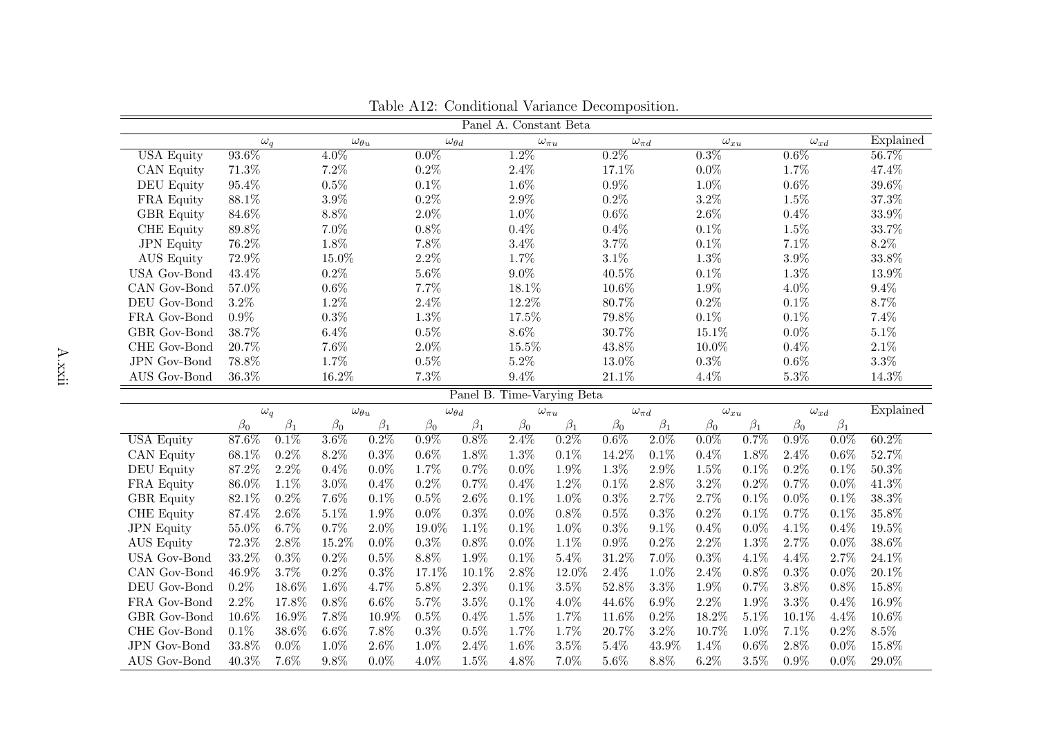|                            |            |            |                     |           |                     |           |                  | Panel A. Constant Beta |                  |           |               |           |                    |           |           |
|----------------------------|------------|------------|---------------------|-----------|---------------------|-----------|------------------|------------------------|------------------|-----------|---------------|-----------|--------------------|-----------|-----------|
|                            |            | $\omega_q$ | $\omega_{\theta u}$ |           | $\omega_{\theta d}$ |           | $\omega_{\pi u}$ |                        | $\omega_{\pi d}$ |           | $\omega_{xu}$ |           | $\omega_{xd}$      |           | Explained |
| <b>USA Equity</b>          | 93.6%      |            | 4.0%                |           | $0.0\%$             |           | 1.2%             |                        | 0.2%             |           | 0.3%          |           | $0.6\%$            |           | 56.7%     |
| CAN Equity                 | $71.3\%$   |            | 7.2%                |           | $0.2\%$             |           | $2.4\%$          |                        | 17.1%            |           | $0.0\%$       |           | $1.7\%$            |           | 47.4%     |
| <b>DEU</b> Equity          | $95.4\%$   |            | $0.5\%$             |           | $0.1\%$             |           | $1.6\%$          |                        | $0.9\%$          |           | $1.0\%$       |           | $0.6\%$<br>$1.5\%$ |           | $39.6\%$  |
| FRA Equity                 | 88.1%      |            | $3.9\%$             |           | $0.2\%$             |           |                  | $2.9\%$                |                  | $0.2\%$   |               | $3.2\%$   |                    |           | 37.3%     |
| <b>GBR</b> Equity          | 84.6%      |            | 8.8%                |           | $2.0\%$             |           | $1.0\%$          |                        | $0.6\%$          |           | $2.6\%$       |           | $0.4\%$            |           | $33.9\%$  |
| CHE Equity                 | $89.8\%$   |            | 7.0%                |           | $0.8\%$             |           | $0.4\%$          |                        | $0.4\%$          |           | $0.1\%$       |           | $1.5\%$            |           | 33.7%     |
| <b>JPN</b> Equity          | $76.2\%$   |            | 1.8%                |           | $7.8\%$             |           | $3.4\%$          |                        | $3.7\%$          |           | $0.1\%$       |           | $7.1\%$            |           | $8.2\%$   |
| <b>AUS</b> Equity          | 72.9%      |            | 15.0%               |           | $2.2\%$             |           | $1.7\%$          |                        | $3.1\%$          |           | $1.3\%$       |           | $3.9\%$            |           | $33.8\%$  |
| USA Gov-Bond               | 43.4%      |            | 0.2%                |           | $5.6\%$             |           | $9.0\%$          |                        | $40.5\%$         |           | 0.1%          |           | $1.3\%$            |           | 13.9%     |
| CAN Gov-Bond               | 57.0%      |            | 0.6%                |           | 7.7%                |           | 18.1%            |                        | 10.6%            |           | 1.9%          |           | $4.0\%$            |           | $9.4\%$   |
| DEU Gov-Bond               | 3.2%       |            | $1.2\%$             |           | 2.4%                |           |                  | 12.2%                  |                  | 80.7%     |               | $0.2\%$   |                    |           | 8.7%      |
| FRA Gov-Bond               | $0.9\%$    |            | $0.3\%$             |           | $1.3\%$             |           | $17.5\%$         |                        | 79.8%            |           | 0.1%          |           | $0.1\%$            |           | $7.4\%$   |
| GBR Gov-Bond               | 38.7%      |            | $6.4\%$             |           | $0.5\%$             |           | $8.6\%$          |                        | $30.7\%$         |           | 15.1%         |           | $0.0\%$            |           | $5.1\%$   |
| CHE Gov-Bond               | 20.7%      |            | 7.6%                |           | $2.0\%$             |           | $15.5\%$         |                        | $43.8\%$         |           | 10.0%         |           | $0.4\%$            |           | $2.1\%$   |
| JPN Gov-Bond               | 78.8%      |            | 1.7%                |           | $0.5\%$             |           |                  | $5.2\%$                |                  | 13.0%     |               | $0.3\%$   |                    |           | $3.3\%$   |
| AUS Gov-Bond               | $36.3\%$   | 16.2%      |                     |           | $7.3\%$             | $9.4\%$   |                  |                        | $21.1\%$         |           | $4.4\%$       |           | $5.3\%$            |           | 14.3%     |
| Panel B. Time-Varying Beta |            |            |                     |           |                     |           |                  |                        |                  |           |               |           |                    |           |           |
|                            | $\omega_q$ |            | $\omega_{\theta u}$ |           | $\omega_{\theta d}$ |           | $\omega_{\pi u}$ |                        | $\omega_{\pi d}$ |           | $\omega_{xu}$ |           | $\omega_{xd}$      |           | Explained |
|                            | $\beta_0$  | $\beta_1$  | $\beta_0$           | $\beta_1$ | $\beta_0$           | $\beta_1$ | $\beta_0$        | $\beta_1$              | $\beta_0$        | $\beta_1$ | $\beta_0$     | $\beta_1$ | $\beta_0$          | $\beta_1$ |           |
| USA Equity                 | 87.6%      | 0.1%       | $3.6\%$             | 0.2%      | $0.9\%$             | $0.8\%$   | $2.4\%$          | 0.2%                   | $0.6\%$          | $2.0\%$   | $0.0\%$       | 0.7%      | $0.9\%$            | $0.0\%$   | $60.2\%$  |
| <b>CAN</b> Equity          | 68.1%      | 0.2%       | 8.2%                | $0.3\%$   | 0.6%                | 1.8%      | $1.3\%$          | $0.1\%$                | 14.2%            | $0.1\%$   | $0.4\%$       | 1.8%      | 2.4%               | 0.6%      | 52.7%     |
| DEU Equity                 | 87.2%      | $2.2\%$    | 0.4%                | $0.0\%$   | 1.7%                | 0.7%      | $0.0\%$          | $1.9\%$                | $1.3\%$          | $2.9\%$   | 1.5%          | 0.1%      | 0.2%               | 0.1%      | 50.3%     |
| FRA Equity                 | 86.0%      | 1.1%       | $3.0\%$             | 0.4%      | 0.2%                | 0.7%      | 0.4%             | 1.2%                   | $0.1\%$          | 2.8%      | 3.2%          | 0.2%      | 0.7%               | $0.0\%$   | 41.3%     |
| <b>GBR</b> Equity          | 82.1%      | 0.2%       | 7.6%                | 0.1%      | $0.5\%$             | 2.6%      | 0.1%             | 1.0%                   | $0.3\%$          | 2.7%      | 2.7%          | 0.1%      | $0.0\%$            | 0.1%      | 38.3%     |
| <b>CHE</b> Equity          | 87.4%      | $2.6\%$    | 5.1%                | 1.9%      | $0.0\%$             | 0.3%      | $0.0\%$          | $0.8\%$                | $0.5\%$          | $0.3\%$   | 0.2%          | 0.1%      | 0.7%               | 0.1%      | 35.8%     |
| <b>JPN</b> Equity          | 55.0%      | 6.7%       | 0.7%                | $2.0\%$   | 19.0%               | 1.1%      | 0.1%             | 1.0%                   | $0.3\%$          | 9.1%      | 0.4%          | $0.0\%$   | 4.1%               | 0.4%      | 19.5%     |
| <b>AUS</b> Equity          | 72.3%      | 2.8%       | 15.2%               | $0.0\%$   | $0.3\%$             | 0.8%      | $0.0\%$          | $1.1\%$                | $0.9\%$          | $0.2\%$   | $2.2\%$       | $1.3\%$   | $2.7\%$            | $0.0\%$   | 38.6%     |
| <b>USA Gov-Bond</b>        | 33.2%      | 0.3%       | 0.2%                | $0.5\%$   | 8.8%                | 1.9%      | $0.1\%$          | $5.4\%$                | $31.2\%$         | 7.0%      | $0.3\%$       | 4.1%      | 4.4%               | 2.7%      | 24.1%     |
| CAN Gov-Bond               | 46.9%      | 3.7%       | 0.2%                | 0.3%      | 17.1%               | 10.1%     | $2.8\%$          | 12.0%                  | $2.4\%$          | 1.0%      | $2.4\%$       | 0.8%      | $0.3\%$            | $0.0\%$   | 20.1%     |
| DEU Gov-Bond               | 0.2%       | 18.6%      | 1.6%                | 4.7%      | $5.8\%$             | 2.3%      | 0.1%             | $3.5\%$                | 52.8%            | $3.3\%$   | 1.9%          | 0.7%      | $3.8\%$            | 0.8%      | 15.8%     |
| FRA Gov-Bond               | 2.2%       | 17.8%      | 0.8%                | $6.6\%$   | 5.7%                | 3.5%      | 0.1%             | $4.0\%$                | 44.6%            | $6.9\%$   | 2.2%          | 1.9%      | $3.3\%$            | 0.4%      | 16.9%     |
| GBR Gov-Bond               | 10.6%      | 16.9%      | 7.8%                | 10.9%     | $0.5\%$             | 0.4%      | $1.5\%$          | 1.7%                   | 11.6%            | 0.2%      | 18.2%         | 5.1%      | 10.1%              | 4.4%      | 10.6%     |
| CHE Gov-Bond               | $0.1\%$    | 38.6%      | $6.6\%$             | 7.8%      | 0.3%                | 0.5%      | 1.7%             | 1.7%                   | 20.7%            | $3.2\%$   | 10.7%         | $1.0\%$   | 7.1%               | 0.2%      | $8.5\%$   |
| JPN Gov-Bond               | 33.8%      | $0.0\%$    | 1.0%                | $2.6\%$   | 1.0%                | 2.4%      | $1.6\%$          | $3.5\%$                | 5.4%             | 43.9%     | 1.4%          | 0.6%      | $2.8\%$            | $0.0\%$   | 15.8%     |
| AUS Gov-Bond               | 40.3%      | 7.6%       | 9.8%                | $0.0\%$   | $4.0\%$             | 1.5%      | 4.8%             | $7.0\%$                | $5.6\%$          | 8.8%      | 6.2%          | $3.5\%$   | $0.9\%$            | $0.0\%$   | 29.0%     |

Table A12: Conditional Variance Decomposition.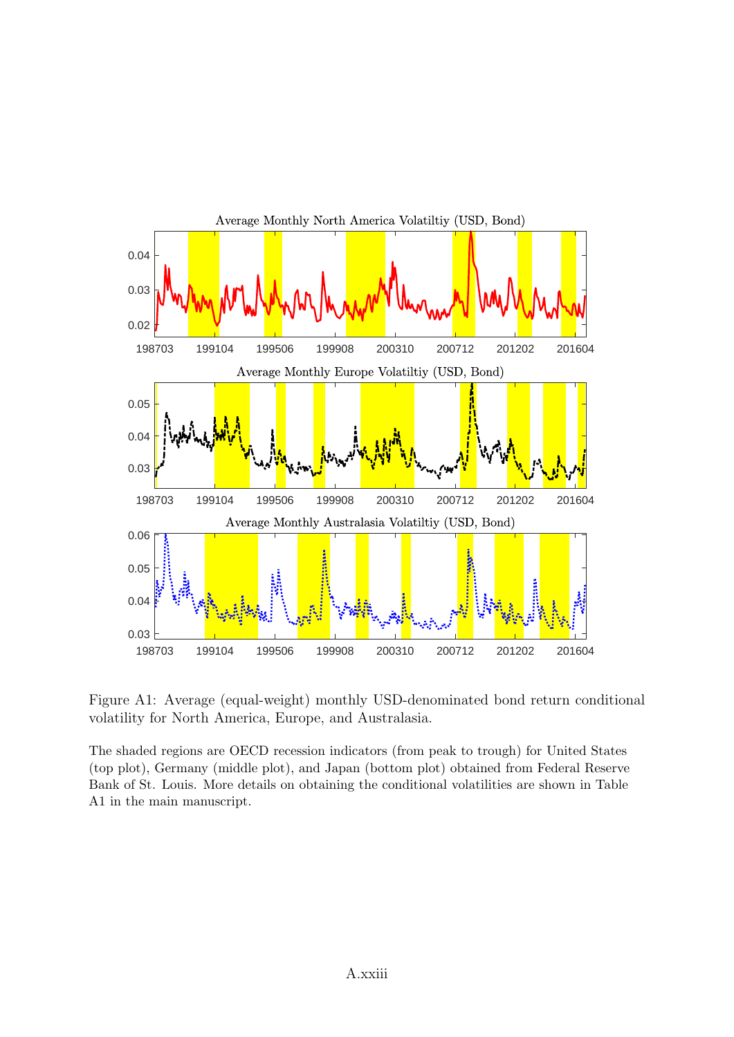

Figure A1: Average (equal-weight) monthly USD-denominated bond return conditional volatility for North America, Europe, and Australasia.

The shaded regions are OECD recession indicators (from peak to trough) for United States (top plot), Germany (middle plot), and Japan (bottom plot) obtained from Federal Reserve Bank of St. Louis. More details on obtaining the conditional volatilities are shown in Table A1 in the main manuscript.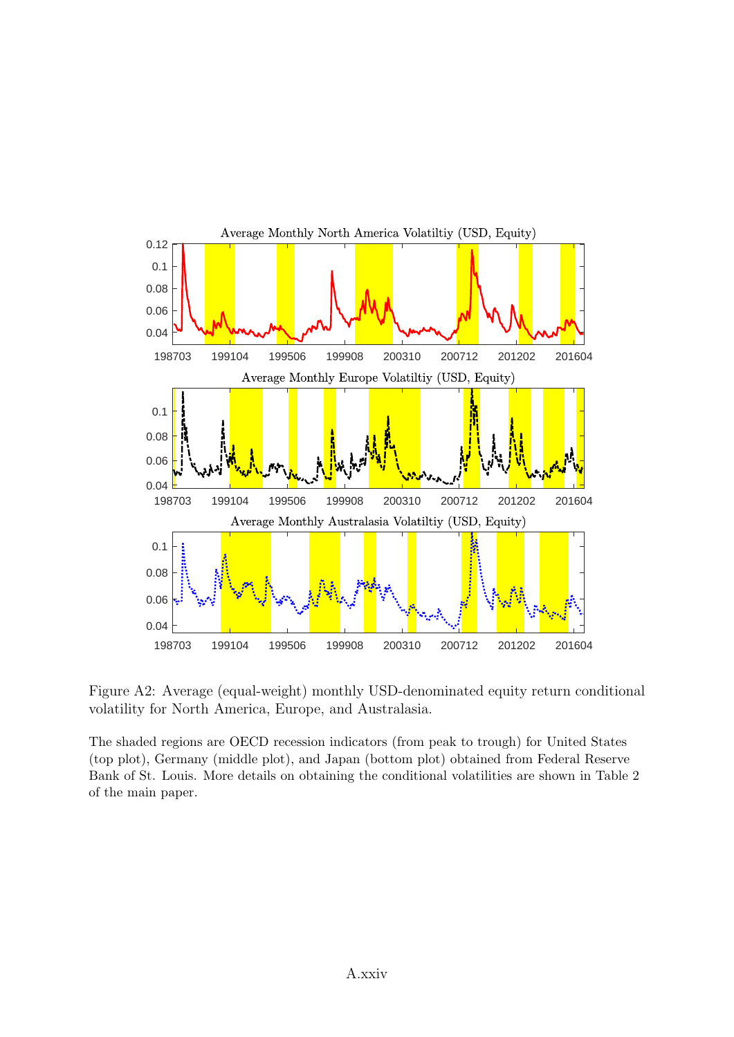

Figure A2: Average (equal-weight) monthly USD-denominated equity return conditional volatility for North America, Europe, and Australasia.

The shaded regions are OECD recession indicators (from peak to trough) for United States (top plot), Germany (middle plot), and Japan (bottom plot) obtained from Federal Reserve Bank of St. Louis. More details on obtaining the conditional volatilities are shown in Table 2 of the main paper.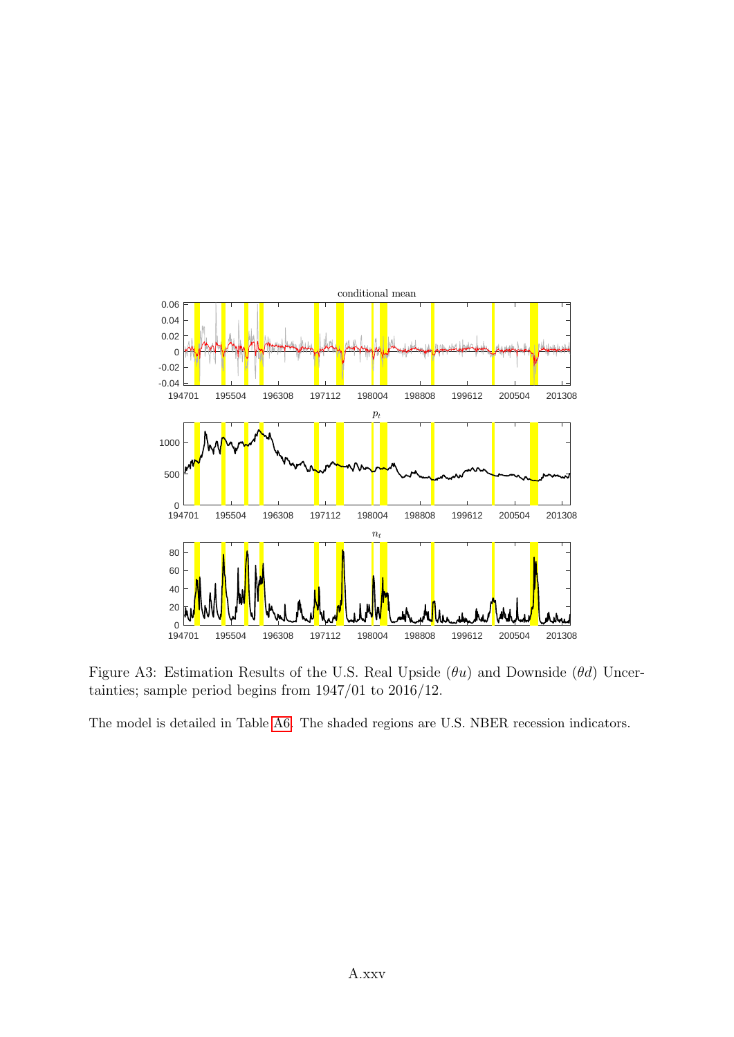

Figure A3: Estimation Results of the U.S. Real Upside ( $\theta u$ ) and Downside ( $\theta d$ ) Uncertainties; sample period begins from 1947/01 to 2016/12.

The model is detailed in Table [A6.](#page-15-0) The shaded regions are U.S. NBER recession indicators.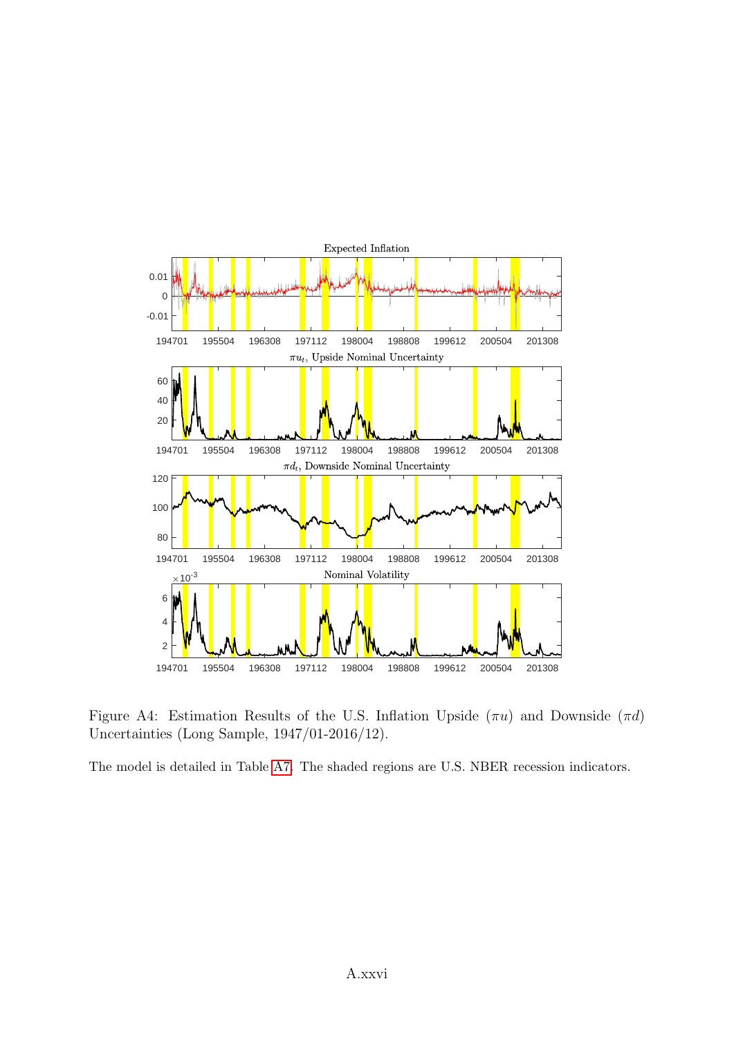

Figure A4: Estimation Results of the U.S. Inflation Upside  $(\pi u)$  and Downside  $(\pi d)$ Uncertainties (Long Sample, 1947/01-2016/12).

The model is detailed in Table [A7.](#page-16-0) The shaded regions are U.S. NBER recession indicators.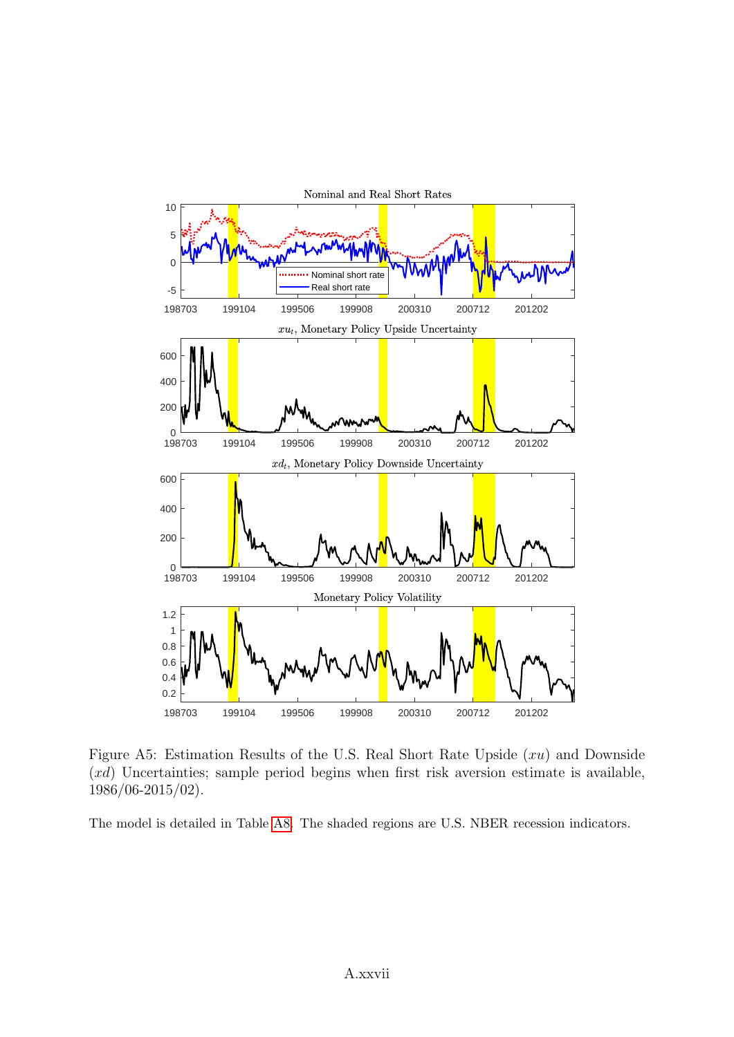

Figure A5: Estimation Results of the U.S. Real Short Rate Upside  $(xu)$  and Downside (xd) Uncertainties; sample period begins when first risk aversion estimate is available, 1986/06-2015/02).

The model is detailed in Table [A8.](#page-17-0) The shaded regions are U.S. NBER recession indicators.